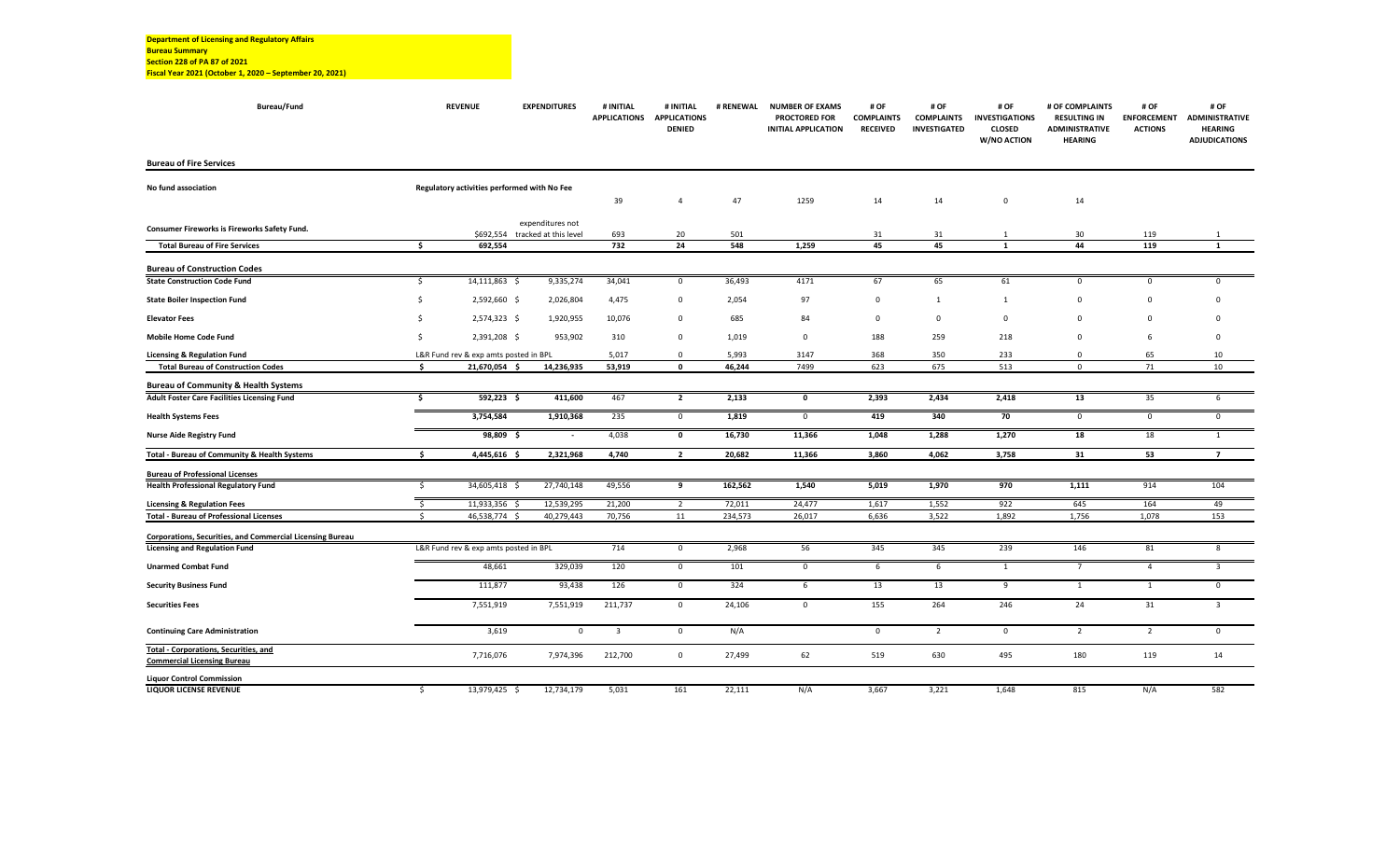| Bureau/Fund                                               |         | <b>REVENUE</b>                              | <b>EXPENDITURES</b>   | # INITIAL<br><b>APPLICATIONS</b> | # INITIAL<br><b>APPLICATIONS</b><br><b>DENIED</b> | # RENEWAL  | <b>NUMBER OF EXAMS</b><br><b>PROCTORED FOR</b><br><b>INITIAL APPLICATION</b> | # OF<br><b>COMPLAINTS</b><br><b>RECEIVED</b> | # OF<br><b>COMPLAINTS</b><br><b>INVESTIGATED</b> | # OF<br><b>INVESTIGATIONS</b><br><b>CLOSED</b><br>W/NO ACTION | # OF COMPLAINTS<br><b>RESULTING IN</b><br><b>ADMINISTRATIVE</b><br><b>HEARING</b> | # OF<br><b>ENFORCEMENT</b><br><b>ACTIONS</b> | # OF<br><b>ADMINISTRATIVE</b><br><b>HEARING</b><br><b>ADJUDICATIONS</b> |
|-----------------------------------------------------------|---------|---------------------------------------------|-----------------------|----------------------------------|---------------------------------------------------|------------|------------------------------------------------------------------------------|----------------------------------------------|--------------------------------------------------|---------------------------------------------------------------|-----------------------------------------------------------------------------------|----------------------------------------------|-------------------------------------------------------------------------|
| <b>Bureau of Fire Services</b>                            |         |                                             |                       |                                  |                                                   |            |                                                                              |                                              |                                                  |                                                               |                                                                                   |                                              |                                                                         |
| No fund association                                       |         | Regulatory activities performed with No Fee |                       |                                  |                                                   |            |                                                                              |                                              |                                                  |                                                               |                                                                                   |                                              |                                                                         |
|                                                           |         |                                             |                       | 39                               | $\overline{a}$                                    | 47         | 1259                                                                         | 14                                           | 14                                               | $\mathbf 0$                                                   | 14                                                                                |                                              |                                                                         |
| Consumer Fireworks is Fireworks Safety Fund.              |         |                                             | expenditures not      |                                  |                                                   |            |                                                                              |                                              |                                                  |                                                               |                                                                                   |                                              |                                                                         |
| <b>Total Bureau of Fire Services</b>                      | \$.     | \$692,554<br>692,554                        | tracked at this level | 693<br>732                       | 20<br>24                                          | 501<br>548 | 1,259                                                                        | 31<br>45                                     | 31<br>45                                         | -1<br>$\mathbf{1}$                                            | 30<br>44                                                                          | 119<br>119                                   | 1<br>1                                                                  |
|                                                           |         |                                             |                       |                                  |                                                   |            |                                                                              |                                              |                                                  |                                                               |                                                                                   |                                              |                                                                         |
| <b>Bureau of Construction Codes</b>                       |         |                                             |                       |                                  |                                                   |            |                                                                              |                                              |                                                  |                                                               |                                                                                   |                                              |                                                                         |
| <b>State Construction Code Fund</b>                       | \$      | 14,111,863 \$                               | 9,335,274             | 34,041                           | $\mathbf 0$                                       | 36,493     | 4171                                                                         | 67                                           | 65                                               | 61                                                            | $\mathbf 0$                                                                       | $\mathbf 0$                                  | $\Omega$                                                                |
| <b>State Boiler Inspection Fund</b>                       | -Ś      | 2,592,660 \$                                | 2,026,804             | 4,475                            | $\mathbf 0$                                       | 2,054      | 97                                                                           | $\mathsf 0$                                  | 1                                                | -1                                                            | $\mathbf 0$                                                                       | $\mathbf 0$                                  | $\Omega$                                                                |
| <b>Elevator Fees</b>                                      | \$      | 2,574,323 \$                                | 1,920,955             | 10,076                           | $\mathbf 0$                                       | 685        | 84                                                                           | 0                                            | $\mathsf 0$                                      | $\mathbf 0$                                                   | $\mathsf 0$                                                                       | $\mathbf 0$                                  | $\Omega$                                                                |
| Mobile Home Code Fund                                     | -\$     | 2,391,208 \$                                | 953,902               | 310                              | $\mathbf 0$                                       | 1,019      | $\mathbf 0$                                                                  | 188                                          | 259                                              | 218                                                           | $\mathbf 0$                                                                       | 6                                            | $\Omega$                                                                |
| <b>Licensing &amp; Regulation Fund</b>                    |         | L&R Fund rev & exp amts posted in BPL       |                       | 5,017                            | $\mathbf 0$                                       | 5,993      | 3147                                                                         | 368                                          | 350                                              | 233                                                           | $\mathsf 0$                                                                       | 65                                           | 10                                                                      |
| <b>Total Bureau of Construction Codes</b>                 | ŝ.      | 21,670,054 \$                               | 14,236,935            | 53,919                           | $\mathbf 0$                                       | 46,244     | 7499                                                                         | 623                                          | 675                                              | 513                                                           | $\Omega$                                                                          | 71                                           | 10                                                                      |
| <b>Bureau of Community &amp; Health Systems</b>           |         |                                             |                       |                                  |                                                   |            |                                                                              |                                              |                                                  |                                                               |                                                                                   |                                              |                                                                         |
| <b>Adult Foster Care Facilities Licensing Fund</b>        | \$.     | 592,223 \$                                  | 411,600               | 467                              | $\overline{2}$                                    | 2,133      | $\mathbf 0$                                                                  | 2,393                                        | 2,434                                            | 2,418                                                         | 13                                                                                | 35                                           | 6                                                                       |
| <b>Health Systems Fees</b>                                |         | 3,754,584                                   | 1,910,368             | 235                              | $\mathsf 0$                                       | 1,819      | $\mathbf 0$                                                                  | 419                                          | 340                                              | 70                                                            | $\mathsf 0$                                                                       | $\mathbf{0}$                                 | $\mathbf 0$                                                             |
| <b>Nurse Aide Registry Fund</b>                           |         | 98,809<br>- \$                              |                       | 4,038                            | 0                                                 | 16,730     | 11,366                                                                       | 1,048                                        | 1,288                                            | 1,270                                                         | 18                                                                                | 18                                           | $\mathbf{1}$                                                            |
| Total - Bureau of Community & Health Systems              | Ŝ       | 4,445,616 \$                                | 2,321,968             | 4,740                            | $\overline{2}$                                    | 20,682     | 11,366                                                                       | 3,860                                        | 4,062                                            | 3,758                                                         | 31                                                                                | 53                                           | $\overline{7}$                                                          |
| <b>Bureau of Professional Licenses</b>                    |         |                                             |                       |                                  |                                                   |            |                                                                              |                                              |                                                  |                                                               |                                                                                   |                                              |                                                                         |
| <b>Health Professional Regulatory Fund</b>                | \$      | 34,605,418 \$                               | 27,740,148            | 49,556                           | 9                                                 | 162,562    | 1,540                                                                        | 5,019                                        | 1,970                                            | 970                                                           | 1,111                                                                             | 914                                          | 104                                                                     |
| <b>Licensing &amp; Regulation Fees</b>                    | $\zeta$ | 11,933,356 \$                               | 12,539,295            | 21,200                           | $\overline{2}$                                    | 72,011     | 24,477                                                                       | 1,617                                        | 1,552                                            | 922                                                           | 645                                                                               | 164                                          | 49                                                                      |
| <b>Total - Bureau of Professional Licenses</b>            | \$      | 46,538,774 \$                               | 40,279,443            | 70,756                           | 11                                                | 234,573    | 26,017                                                                       | 6,636                                        | 3,522                                            | 1,892                                                         | 1,756                                                                             | 1,078                                        | 153                                                                     |
| Corporations, Securities, and Commercial Licensing Bureau |         |                                             |                       |                                  |                                                   |            |                                                                              |                                              |                                                  |                                                               |                                                                                   |                                              |                                                                         |
| <b>Licensing and Regulation Fund</b>                      |         | L&R Fund rev & exp amts posted in BPL       |                       | 714                              | $\mathbf 0$                                       | 2,968      | 56                                                                           | 345                                          | 345                                              | 239                                                           | 146                                                                               | 81                                           | 8                                                                       |
| <b>Unarmed Combat Fund</b>                                |         | 48,661                                      | 329,039               | 120                              | $\mathbf 0$                                       | 101        | $\mathbf{0}$                                                                 | 6                                            | 6                                                | -1                                                            | $7^{\circ}$                                                                       | $\overline{4}$                               | $\overline{3}$                                                          |
| <b>Security Business Fund</b>                             |         | 111,877                                     | 93,438                | 126                              | $\mathsf 0$                                       | 324        | 6                                                                            | 13                                           | 13                                               | 9                                                             | $\mathbf{1}$                                                                      | 1                                            | $\mathbf 0$                                                             |
| <b>Securities Fees</b>                                    |         | 7,551,919                                   | 7,551,919             | 211,737                          | $\mathsf 0$                                       | 24,106     | $\mathsf 0$                                                                  | 155                                          | 264                                              | 246                                                           | 24                                                                                | 31                                           | $\overline{3}$                                                          |
| <b>Continuing Care Administration</b>                     |         | 3,619                                       | $\mathbf 0$           | $\overline{\mathbf{3}}$          | $\mathbf 0$                                       | N/A        |                                                                              | $\mathsf{o}$                                 | $\overline{2}$                                   | $\mathbf 0$                                                   | $\overline{2}$                                                                    | $\overline{2}$                               | $\mathbf 0$                                                             |
| <b>Total - Corporations, Securities, and</b>              |         |                                             |                       |                                  |                                                   |            |                                                                              |                                              |                                                  |                                                               |                                                                                   |                                              |                                                                         |
| <b>Commercial Licensing Bureau</b>                        |         | 7,716,076                                   | 7,974,396             | 212,700                          | $\mathbf 0$                                       | 27,499     | 62                                                                           | 519                                          | 630                                              | 495                                                           | 180                                                                               | 119                                          | 14                                                                      |
| <b>Liquor Control Commission</b>                          |         |                                             |                       |                                  |                                                   |            |                                                                              |                                              |                                                  |                                                               |                                                                                   |                                              |                                                                         |
| <b>LIQUOR LICENSE REVENUE</b>                             | \$      | 13,979,425 \$                               | 12,734,179            | 5,031                            | 161                                               | 22,111     | N/A                                                                          | 3,667                                        | 3,221                                            | 1,648                                                         | 815                                                                               | N/A                                          | 582                                                                     |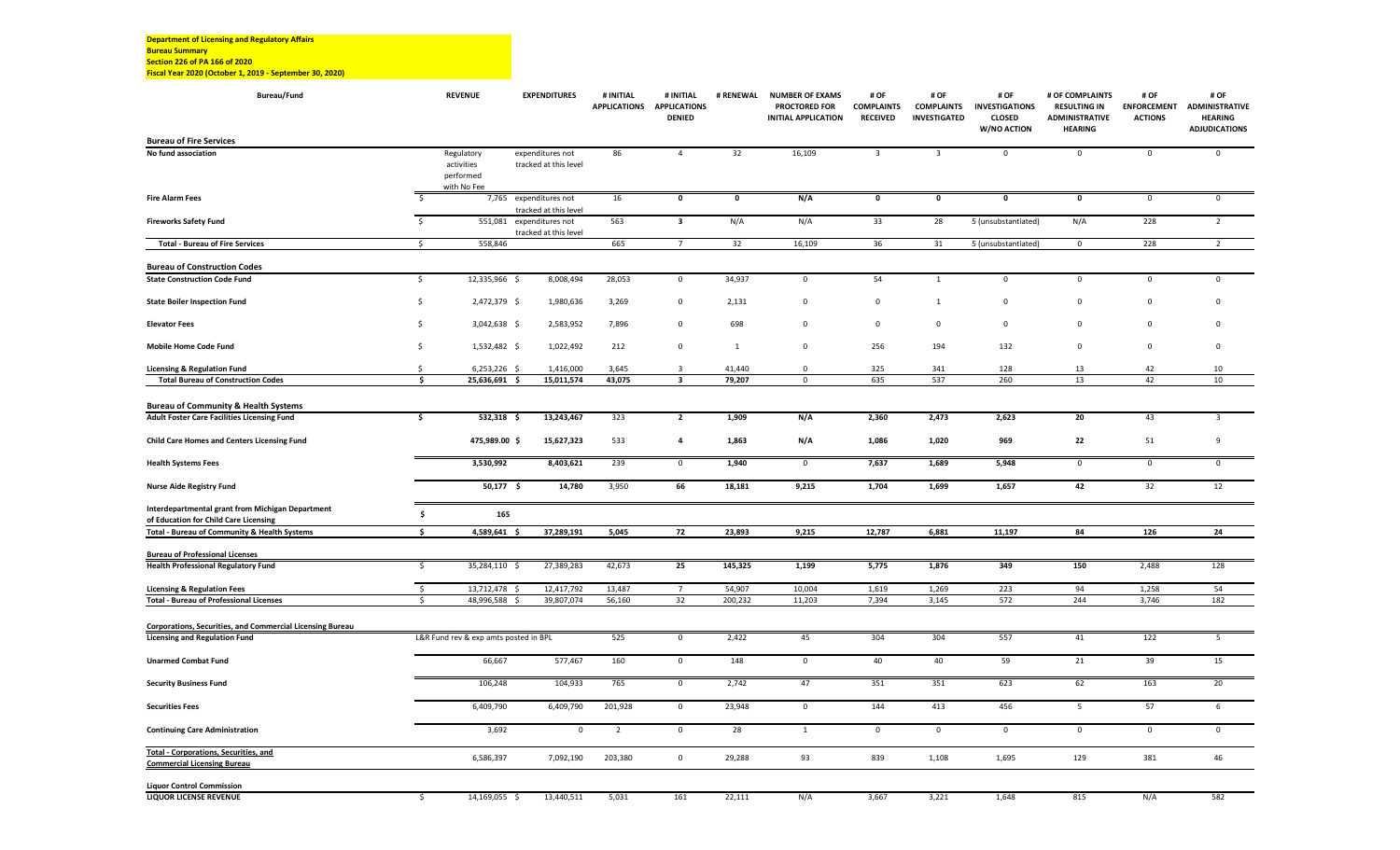**Department of Licensing and Regulatory Affairs Bureau Summary Section 226 of PA 166 of 2020 Fiscal Year 2020 (October 1, 2019 ‐ September 30, 2020)**

| <b>Bureau/Fund</b>                                                                               |                         | <b>REVENUE</b>                                       | <b>EXPENDITURES</b>                             | # INITIAL      | # INITIAL<br>APPLICATIONS APPLICATIONS<br><b>DENIED</b> | # RENEWAL    | <b>NUMBER OF EXAMS</b><br><b>PROCTORED FOR</b><br><b>INITIAL APPLICATION</b> | # OF<br><b>COMPLAINTS</b><br><b>RECEIVED</b> | # OF<br><b>COMPLAINTS</b><br><b>INVESTIGATED</b> | # OF<br><b>INVESTIGATIONS</b><br><b>CLOSED</b><br>W/NO ACTION | # OF COMPLAINTS<br><b>RESULTING IN</b><br><b>ADMINISTRATIVE</b><br><b>HEARING</b> | # OF<br><b>ENFORCEMENT</b><br><b>ACTIONS</b> | # OF<br><b>ADMINISTRATIVE</b><br><b>HEARING</b><br><b>ADJUDICATIONS</b> |
|--------------------------------------------------------------------------------------------------|-------------------------|------------------------------------------------------|-------------------------------------------------|----------------|---------------------------------------------------------|--------------|------------------------------------------------------------------------------|----------------------------------------------|--------------------------------------------------|---------------------------------------------------------------|-----------------------------------------------------------------------------------|----------------------------------------------|-------------------------------------------------------------------------|
| <b>Bureau of Fire Services</b>                                                                   |                         |                                                      |                                                 |                |                                                         |              |                                                                              |                                              |                                                  |                                                               |                                                                                   |                                              |                                                                         |
| No fund association                                                                              |                         | Regulatory<br>activities<br>performed<br>with No Fee | expenditures not<br>tracked at this level       | 86             | $\overline{4}$                                          | 32           | 16,109                                                                       | $\overline{3}$                               | $\overline{\mathbf{3}}$                          | $\mathbf 0$                                                   | $\mathsf 0$                                                                       | $\mathbf 0$                                  | $\mathbf 0$                                                             |
| <b>Fire Alarm Fees</b>                                                                           | S.                      |                                                      | 7,765 expenditures not<br>tracked at this level | 16             | $\mathbf 0$                                             | $\pmb{0}$    | N/A                                                                          | 0                                            | $\pmb{0}$                                        | $\mathbf 0$                                                   | $\mathbf 0$                                                                       | $\mathsf 0$                                  | $\mathsf 0$                                                             |
| <b>Fireworks Safety Fund</b>                                                                     | $\overline{\mathsf{S}}$ | 551,081                                              | expenditures not<br>tracked at this level       | 563            | $\mathbf{3}$                                            | N/A          | N/A                                                                          | 33                                           | 28                                               | 5 (unsubstantiated)                                           | N/A                                                                               | 228                                          | $\overline{2}$                                                          |
| <b>Total - Bureau of Fire Services</b>                                                           | \$                      | 558,846                                              |                                                 | 665            | $7\overline{ }$                                         | 32           | 16,109                                                                       | 36                                           | 31                                               | 5 (unsubstantiated)                                           | $\mathsf 0$                                                                       | 228                                          | $\overline{2}$                                                          |
| <b>Bureau of Construction Codes</b>                                                              |                         |                                                      |                                                 |                |                                                         |              |                                                                              |                                              |                                                  |                                                               |                                                                                   |                                              |                                                                         |
| <b>State Construction Code Fund</b>                                                              | \$                      | 12,335,966 \$                                        | 8,008,494                                       | 28,053         | 0                                                       | 34,937       | $\mathsf 0$                                                                  | 54                                           | 1                                                | $\mathsf 0$                                                   | $\mathbf 0$                                                                       | $\mathbf 0$                                  | $\mathsf 0$                                                             |
| <b>State Boiler Inspection Fund</b>                                                              | $\mathsf{S}$            | 2,472,379 \$                                         | 1,980,636                                       | 3,269          | 0                                                       | 2,131        | $\mathbf 0$                                                                  | $\mathbf 0$                                  | $\mathbf{1}$                                     | $\mathbf 0$                                                   | $\mathsf 0$                                                                       | $\mathbf 0$                                  | $\mathbf 0$                                                             |
| <b>Elevator Fees</b>                                                                             | \$                      | 3,042,638 \$                                         | 2,583,952                                       | 7,896          | 0                                                       | 698          | $\Omega$                                                                     | $\Omega$                                     | $\mathsf 0$                                      | $\Omega$                                                      | $\Omega$                                                                          | $\Omega$                                     | $\mathbf 0$                                                             |
| Mobile Home Code Fund                                                                            | \$                      | 1,532,482 \$                                         | 1,022,492                                       | 212            | $\mathsf 0$                                             | $\mathbf{1}$ | $\mathsf 0$                                                                  | 256                                          | 194                                              | 132                                                           | $\mathbf 0$                                                                       | $\mathbf 0$                                  | $\mathsf 0$                                                             |
| <b>Licensing &amp; Regulation Fund</b>                                                           | Ś                       | $6,253,226$ \$                                       | 1,416,000                                       | 3,645          | $\overline{3}$                                          | 41,440       | $\mathbf 0$                                                                  | 325                                          | 341                                              | 128                                                           | 13                                                                                | 42                                           | 10                                                                      |
| <b>Total Bureau of Construction Codes</b>                                                        | Ŝ.                      | 25,636,691 \$                                        | 15,011,574                                      | 43,075         | $\overline{\mathbf{3}}$                                 | 79,207       | $\mathsf 0$                                                                  | 635                                          | 537                                              | 260                                                           | 13                                                                                | 42                                           | 10                                                                      |
| <b>Bureau of Community &amp; Health Systems</b>                                                  |                         |                                                      |                                                 |                |                                                         |              |                                                                              |                                              |                                                  |                                                               |                                                                                   |                                              |                                                                         |
| Adult Foster Care Facilities Licensing Fund                                                      | \$                      | $532,318$ \$                                         | 13,243,467                                      | 323            | $\overline{2}$                                          | 1,909        | N/A                                                                          | 2,360                                        | 2,473                                            | 2,623                                                         | 20                                                                                | 43                                           | $\overline{\mathbf{3}}$                                                 |
| <b>Child Care Homes and Centers Licensing Fund</b>                                               |                         | 475,989.00 \$                                        | 15,627,323                                      | 533            | $\overline{\mathbf{4}}$                                 | 1,863        | N/A                                                                          | 1,086                                        | 1,020                                            | 969                                                           | 22                                                                                | 51                                           | 9                                                                       |
| <b>Health Systems Fees</b>                                                                       |                         | 3,530,992                                            | 8,403,621                                       | 239            | $\mathbf 0$                                             | 1,940        | $\mathbf 0$                                                                  | 7,637                                        | 1,689                                            | 5,948                                                         | $\mathsf 0$                                                                       | $\mathbf 0$                                  | $\mathbf 0$                                                             |
| <b>Nurse Aide Registry Fund</b>                                                                  |                         | 50,177 \$                                            | 14,780                                          | 3,950          | 66                                                      | 18,181       | 9,215                                                                        | 1,704                                        | 1,699                                            | 1,657                                                         | 42                                                                                | 32                                           | 12                                                                      |
| <b>Interdepartmental grant from Michigan Department</b><br>of Education for Child Care Licensing | \$                      | 165                                                  |                                                 |                |                                                         |              |                                                                              |                                              |                                                  |                                                               |                                                                                   |                                              |                                                                         |
| <b>Total - Bureau of Community &amp; Health Systems</b>                                          | \$                      | 4,589,641 \$                                         | 37,289,191                                      | 5,045          | 72                                                      | 23,893       | 9,215                                                                        | 12,787                                       | 6,881                                            | 11,197                                                        | 84                                                                                | 126                                          | 24                                                                      |
| <b>Bureau of Professional Licenses</b>                                                           |                         |                                                      |                                                 |                |                                                         |              |                                                                              |                                              |                                                  |                                                               |                                                                                   |                                              |                                                                         |
| <b>Health Professional Regulatory Fund</b>                                                       | \$                      | 35,284,110 \$                                        | 27,389,283                                      | 42,673         | 25                                                      | 145,325      | 1,199                                                                        | 5,775                                        | 1,876                                            | 349                                                           | 150                                                                               | 2,488                                        | 128                                                                     |
| <b>Licensing &amp; Regulation Fees</b>                                                           | $\overline{\mathsf{s}}$ | 13,712,478 \$                                        | 12,417,792                                      | 13,487         | $\overline{7}$                                          | 54,907       | 10,004                                                                       | 1,619                                        | 1,269                                            | 223                                                           | 94                                                                                | 1,258                                        | 54                                                                      |
| <b>Total - Bureau of Professional Licenses</b>                                                   | \$                      | 48,996,588 \$                                        | 39,807,074                                      | 56,160         | 32                                                      | 200,232      | 11,203                                                                       | 7,394                                        | 3,145                                            | 572                                                           | 244                                                                               | 3,746                                        | 182                                                                     |
| Corporations, Securities, and Commercial Licensing Bureau                                        |                         |                                                      |                                                 |                |                                                         |              |                                                                              |                                              |                                                  |                                                               |                                                                                   |                                              |                                                                         |
| <b>Licensing and Regulation Fund</b>                                                             |                         | L&R Fund rev & exp amts posted in BPL                |                                                 | 525            | $\mathsf 0$                                             | 2,422        | 45                                                                           | 304                                          | 304                                              | 557                                                           | 41                                                                                | 122                                          | 5                                                                       |
| <b>Unarmed Combat Fund</b>                                                                       |                         | 66,667                                               | 577,467                                         | 160            | $\mathbf 0$                                             | 148          | $\mathsf 0$                                                                  | 40                                           | 40                                               | 59                                                            | 21                                                                                | 39                                           | 15                                                                      |
| <b>Security Business Fund</b>                                                                    |                         | 106,248                                              | 104,933                                         | 765            | $\mathbf 0$                                             | 2,742        | 47                                                                           | 351                                          | 351                                              | 623                                                           | 62                                                                                | 163                                          | 20                                                                      |
| <b>Securities Fees</b>                                                                           |                         | 6,409,790                                            | 6,409,790                                       | 201,928        | $\mathsf 0$                                             | 23,948       | $\mathsf 0$                                                                  | 144                                          | 413                                              | 456                                                           | 5                                                                                 | 57                                           | 6                                                                       |
| <b>Continuing Care Administration</b>                                                            |                         | 3,692                                                | 0                                               | $\overline{2}$ | $\mathsf 0$                                             | 28           | 1                                                                            | $\mathsf{O}\xspace$                          | $\mathsf 0$                                      | $\mathbf 0$                                                   | $\mathbf 0$                                                                       | $\mathsf 0$                                  | $\mathbf 0$                                                             |
| <b>Total - Corporations, Securities, and</b><br><b>Commercial Licensing Bureau</b>               |                         | 6,586,397                                            | 7,092,190                                       | 203,380        | $\mathsf{O}\xspace$                                     | 29,288       | 93                                                                           | 839                                          | 1,108                                            | 1,695                                                         | 129                                                                               | 381                                          | 46                                                                      |
| <b>Liquor Control Commission</b>                                                                 |                         |                                                      |                                                 |                |                                                         |              |                                                                              |                                              |                                                  |                                                               |                                                                                   |                                              |                                                                         |
| <b>LIQUOR LICENSE REVENUE</b>                                                                    | -S                      | 14,169,055 \$                                        | 13,440,511                                      | 5,031          | 161                                                     | 22,111       | N/A                                                                          | 3,667                                        | 3,221                                            | 1,648                                                         | 815                                                                               | N/A                                          | 582                                                                     |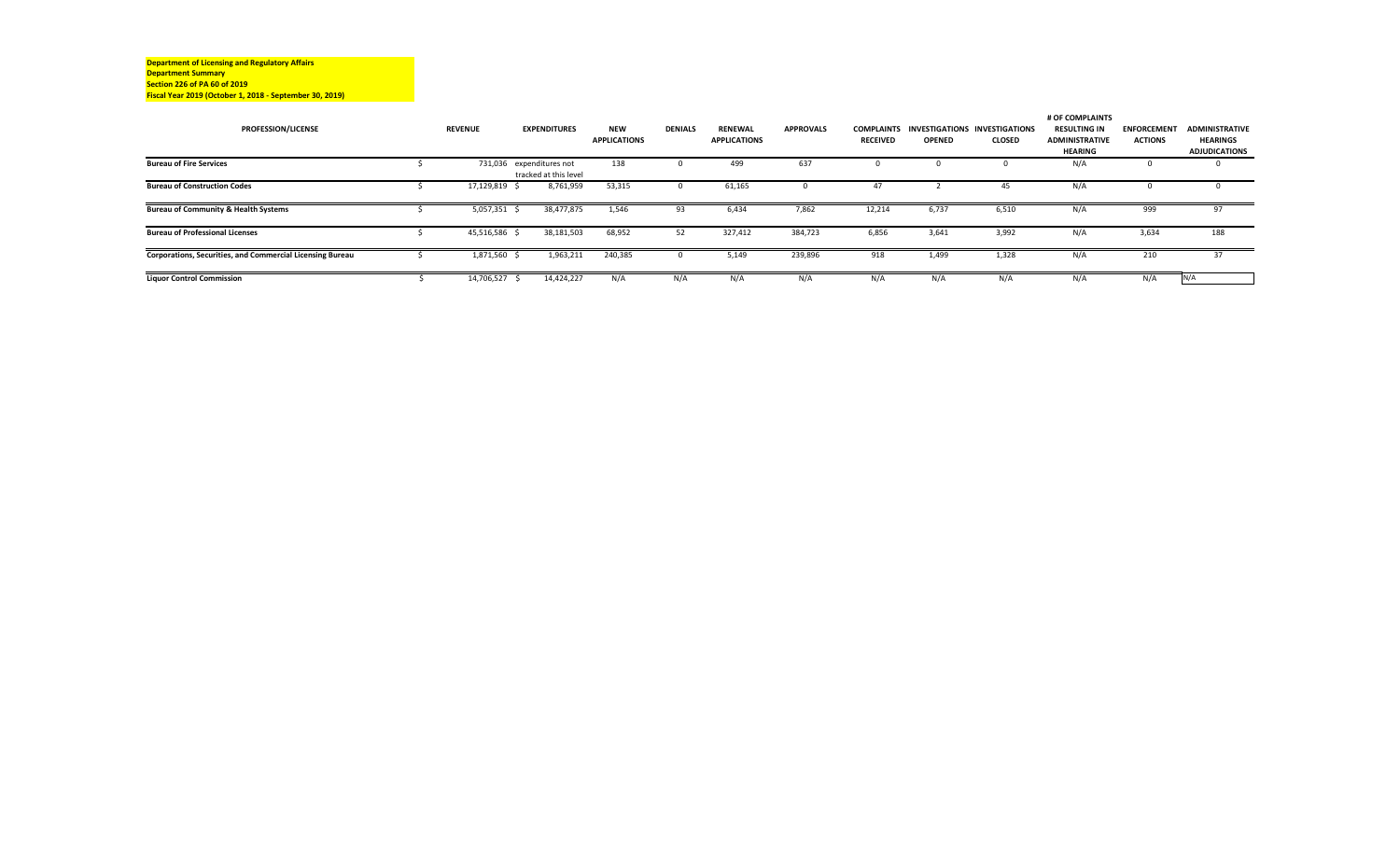**Department of Licensing and Regulatory Affairs Department Summary Section 226 of PA 60 of 2019 Fiscal Year 2019 (October 1, 2018 ‐ September 30, 2019)**

|                                                           |                |                          |                     |                |                     |                  |                 |               |                                                 | # OF COMPLAINTS       |                    |                       |
|-----------------------------------------------------------|----------------|--------------------------|---------------------|----------------|---------------------|------------------|-----------------|---------------|-------------------------------------------------|-----------------------|--------------------|-----------------------|
| <b>PROFESSION/LICENSE</b>                                 | <b>REVENUE</b> | <b>EXPENDITURES</b>      | <b>NEW</b>          | <b>DENIALS</b> | <b>RENEWAL</b>      | <b>APPROVALS</b> |                 |               | <b>COMPLAINTS INVESTIGATIONS INVESTIGATIONS</b> | <b>RESULTING IN</b>   | <b>ENFORCEMENT</b> | <b>ADMINISTRATIVE</b> |
|                                                           |                |                          | <b>APPLICATIONS</b> |                | <b>APPLICATIONS</b> |                  | <b>RECEIVED</b> | <b>OPENED</b> | <b>CLOSED</b>                                   | <b>ADMINISTRATIVE</b> | <b>ACTIONS</b>     | <b>HEARINGS</b>       |
|                                                           |                |                          |                     |                |                     |                  |                 |               |                                                 | <b>HEARING</b>        |                    | <b>ADJUDICATIONS</b>  |
| <b>Bureau of Fire Services</b>                            |                | 731,036 expenditures not | 138                 |                | 499                 | 637              |                 |               |                                                 | N/A                   |                    |                       |
|                                                           |                | tracked at this level    |                     |                |                     |                  |                 |               |                                                 |                       |                    |                       |
| <b>Bureau of Construction Codes</b>                       | 17,129,819 \$  | 8,761,959                | 53,315              |                | 61,165              |                  | 4.              |               | 45                                              | N/A                   |                    |                       |
|                                                           |                |                          |                     |                |                     |                  |                 |               |                                                 |                       |                    |                       |
| <b>Bureau of Community &amp; Health Systems</b>           | 5,057,351      | 38,477,875               | 1,546               | 93             | 6,434               | 7,862            | 12,214          | 6,737         | 6,510                                           | N/A                   | 999                | 97                    |
|                                                           |                |                          |                     |                |                     |                  |                 |               |                                                 |                       |                    |                       |
| <b>Bureau of Professional Licenses</b>                    | 45,516,586     | 38,181,503               | 68,952              | 52             | 327,412             | 384,723          | 6,856           | 3,641         | 3,992                                           | N/A                   | 3,634              | 188                   |
|                                                           |                |                          |                     |                |                     |                  |                 |               |                                                 |                       |                    |                       |
| Corporations, Securities, and Commercial Licensing Bureau | 1,871,560 \$   | 1,963,211                | 240,385             | $\Omega$       | 5,149               | 239,896          | 918             | 1,499         | 1,328                                           | N/A                   | 210                | 37                    |
|                                                           |                |                          |                     |                |                     |                  |                 |               |                                                 |                       |                    |                       |
| <b>Liquor Control Commission</b>                          | 14,706,527 \$  | 14,424,227               | N/A                 | N/A            | N/A                 | N/A              | N/A             | N/A           | N/A                                             | N/A                   | N/A                | N/A                   |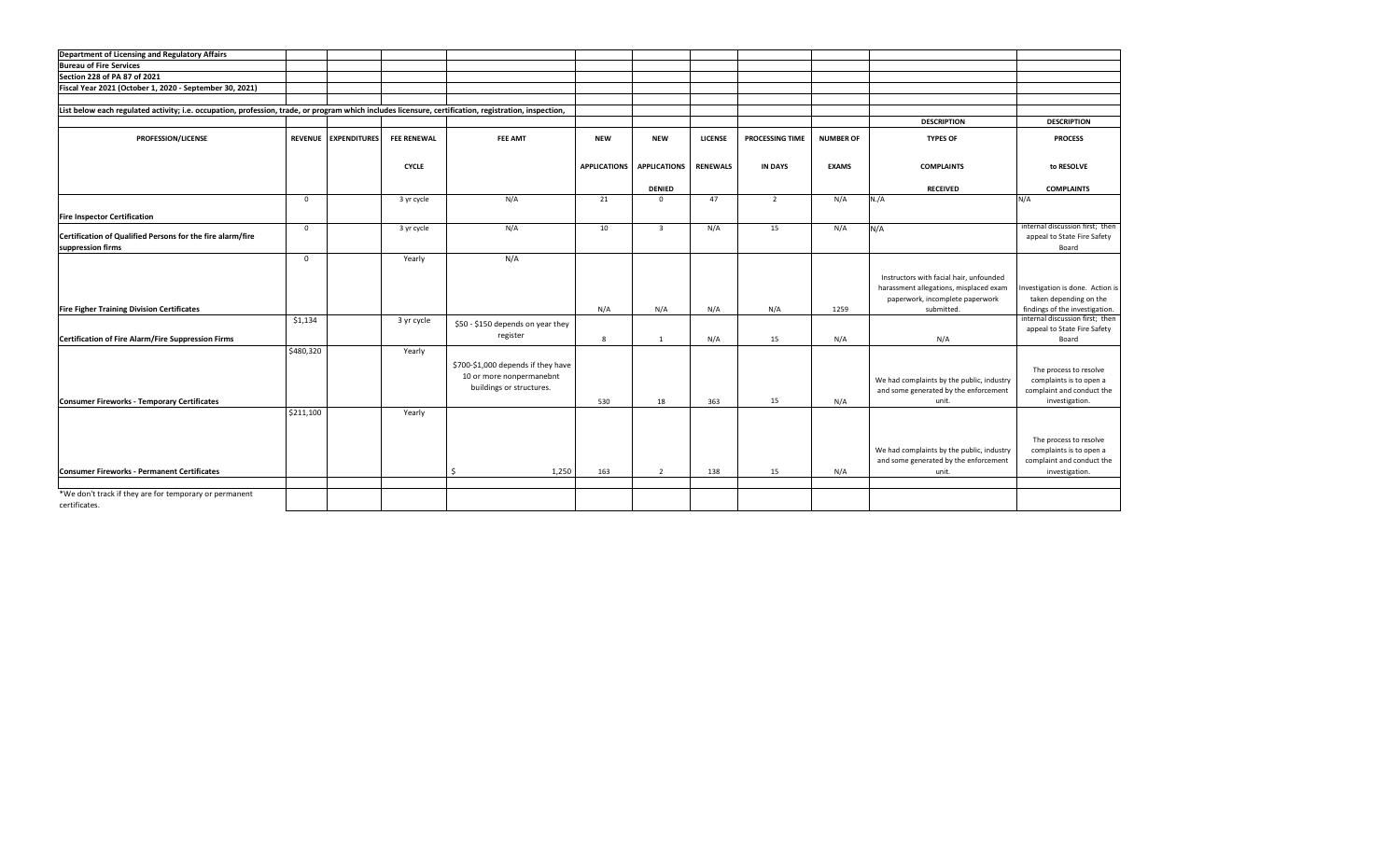| Department of Licensing and Regulatory Affairs                                                                                                        |             |                      |                    |                                                                                            |                     |                         |                 |                 |                  |                                                                                                                                    |                                                                                                  |
|-------------------------------------------------------------------------------------------------------------------------------------------------------|-------------|----------------------|--------------------|--------------------------------------------------------------------------------------------|---------------------|-------------------------|-----------------|-----------------|------------------|------------------------------------------------------------------------------------------------------------------------------------|--------------------------------------------------------------------------------------------------|
| <b>Bureau of Fire Services</b>                                                                                                                        |             |                      |                    |                                                                                            |                     |                         |                 |                 |                  |                                                                                                                                    |                                                                                                  |
| Section 228 of PA 87 of 2021                                                                                                                          |             |                      |                    |                                                                                            |                     |                         |                 |                 |                  |                                                                                                                                    |                                                                                                  |
| Fiscal Year 2021 (October 1, 2020 - September 30, 2021)                                                                                               |             |                      |                    |                                                                                            |                     |                         |                 |                 |                  |                                                                                                                                    |                                                                                                  |
|                                                                                                                                                       |             |                      |                    |                                                                                            |                     |                         |                 |                 |                  |                                                                                                                                    |                                                                                                  |
| List below each regulated activity; i.e. occupation, profession, trade, or program which includes licensure, certification, registration, inspection, |             |                      |                    |                                                                                            |                     |                         |                 |                 |                  |                                                                                                                                    |                                                                                                  |
|                                                                                                                                                       |             |                      |                    |                                                                                            |                     |                         |                 |                 |                  | <b>DESCRIPTION</b>                                                                                                                 | <b>DESCRIPTION</b>                                                                               |
| PROFESSION/LICENSE                                                                                                                                    |             | REVENUE EXPENDITURES | <b>FEE RENEWAL</b> | <b>FEE AMT</b>                                                                             | <b>NEW</b>          | <b>NEW</b>              | <b>LICENSE</b>  | PROCESSING TIME | <b>NUMBER OF</b> | <b>TYPES OF</b>                                                                                                                    | <b>PROCESS</b>                                                                                   |
|                                                                                                                                                       |             |                      | <b>CYCLE</b>       |                                                                                            | <b>APPLICATIONS</b> | <b>APPLICATIONS</b>     | <b>RENEWALS</b> | <b>IN DAYS</b>  | <b>EXAMS</b>     | <b>COMPLAINTS</b>                                                                                                                  | to RESOLVE                                                                                       |
|                                                                                                                                                       |             |                      |                    |                                                                                            |                     | <b>DENIED</b>           |                 |                 |                  | <b>RECEIVED</b>                                                                                                                    | <b>COMPLAINTS</b>                                                                                |
|                                                                                                                                                       | $^{\circ}$  |                      | 3 yr cycle         | N/A                                                                                        | 21                  | $\mathbf{0}$            | 47              | $\overline{2}$  | N/A              | N./A                                                                                                                               | N/A                                                                                              |
|                                                                                                                                                       |             |                      |                    |                                                                                            |                     |                         |                 |                 |                  |                                                                                                                                    |                                                                                                  |
| <b>Fire Inspector Certification</b>                                                                                                                   |             |                      |                    |                                                                                            |                     |                         |                 |                 |                  |                                                                                                                                    |                                                                                                  |
| Certification of Qualified Persons for the fire alarm/fire<br>suppression firms                                                                       | $\mathbf 0$ |                      | 3 yr cycle         | N/A                                                                                        | 10                  | $\overline{\mathbf{3}}$ | N/A             | 15              | N/A              | N/A                                                                                                                                | internal discussion first; then<br>appeal to State Fire Safety<br>Board                          |
|                                                                                                                                                       | $\Omega$    |                      | Yearly             | N/A                                                                                        |                     |                         |                 |                 |                  |                                                                                                                                    |                                                                                                  |
| <b>Fire Figher Training Division Certificates</b>                                                                                                     |             |                      |                    |                                                                                            | N/A                 | N/A                     | N/A             | N/A             | 1259             | Instructors with facial hair, unfounded<br>harassment allegations, misplaced exam<br>paperwork, incomplete paperwork<br>submitted. | Investigation is done. Action is<br>taken depending on the<br>findings of the investigation.     |
|                                                                                                                                                       | \$1,134     |                      | 3 yr cycle         | \$50 - \$150 depends on year they                                                          |                     |                         |                 |                 |                  |                                                                                                                                    | internal discussion first; then                                                                  |
| Certification of Fire Alarm/Fire Suppression Firms                                                                                                    |             |                      |                    | register                                                                                   | 8                   | $\overline{1}$          | N/A             | 15              | N/A              | N/A                                                                                                                                | appeal to State Fire Safety<br>Board                                                             |
| <b>Consumer Fireworks - Temporary Certificates</b>                                                                                                    | \$480,320   |                      | Yearly             | \$700-\$1,000 depends if they have<br>10 or more nonpermanebnt<br>buildings or structures. | 530                 | 18                      | 363             | 15              | N/A              | We had complaints by the public, industry<br>and some generated by the enforcement<br>unit.                                        | The process to resolve<br>complaints is to open a<br>complaint and conduct the<br>investigation. |
|                                                                                                                                                       | \$211,100   |                      | Yearly             |                                                                                            |                     |                         |                 |                 |                  |                                                                                                                                    | The process to resolve                                                                           |
| <b>Consumer Fireworks - Permanent Certificates</b>                                                                                                    |             |                      |                    | Ŝ.<br>1,250                                                                                | 163                 | $\overline{2}$          | 138             | 15              | N/A              | We had complaints by the public, industry<br>and some generated by the enforcement<br>unit.                                        | complaints is to open a<br>complaint and conduct the<br>investigation.                           |
| *We don't track if they are for temporary or permanent                                                                                                |             |                      |                    |                                                                                            |                     |                         |                 |                 |                  |                                                                                                                                    |                                                                                                  |
| certificates.                                                                                                                                         |             |                      |                    |                                                                                            |                     |                         |                 |                 |                  |                                                                                                                                    |                                                                                                  |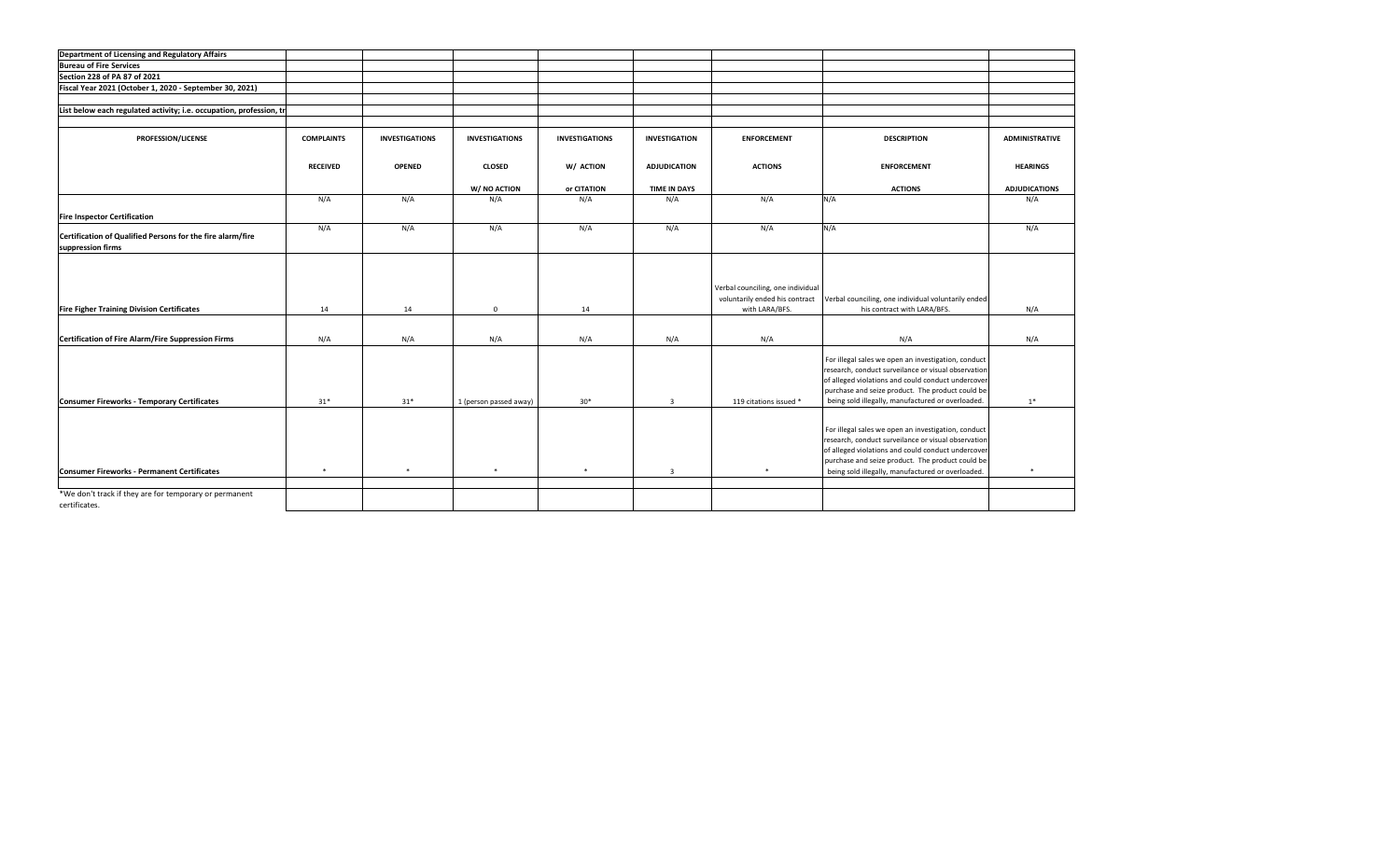| Department of Licensing and Regulatory Affairs                                  |                   |                       |                        |                       |                      |                                                                                       |                                                                                                                                                                                                                                                                           |                       |
|---------------------------------------------------------------------------------|-------------------|-----------------------|------------------------|-----------------------|----------------------|---------------------------------------------------------------------------------------|---------------------------------------------------------------------------------------------------------------------------------------------------------------------------------------------------------------------------------------------------------------------------|-----------------------|
| <b>Bureau of Fire Services</b>                                                  |                   |                       |                        |                       |                      |                                                                                       |                                                                                                                                                                                                                                                                           |                       |
| Section 228 of PA 87 of 2021                                                    |                   |                       |                        |                       |                      |                                                                                       |                                                                                                                                                                                                                                                                           |                       |
| Fiscal Year 2021 (October 1, 2020 - September 30, 2021)                         |                   |                       |                        |                       |                      |                                                                                       |                                                                                                                                                                                                                                                                           |                       |
|                                                                                 |                   |                       |                        |                       |                      |                                                                                       |                                                                                                                                                                                                                                                                           |                       |
| List below each regulated activity; i.e. occupation, profession, th             |                   |                       |                        |                       |                      |                                                                                       |                                                                                                                                                                                                                                                                           |                       |
|                                                                                 |                   |                       |                        |                       |                      |                                                                                       |                                                                                                                                                                                                                                                                           |                       |
| PROFESSION/LICENSE                                                              | <b>COMPLAINTS</b> | <b>INVESTIGATIONS</b> | <b>INVESTIGATIONS</b>  | <b>INVESTIGATIONS</b> | <b>INVESTIGATION</b> | <b>ENFORCEMENT</b>                                                                    | <b>DESCRIPTION</b>                                                                                                                                                                                                                                                        | <b>ADMINISTRATIVE</b> |
|                                                                                 | <b>RECEIVED</b>   | <b>OPENED</b>         | <b>CLOSED</b>          | W/ ACTION             | <b>ADJUDICATION</b>  | <b>ACTIONS</b>                                                                        | <b>ENFORCEMENT</b>                                                                                                                                                                                                                                                        | <b>HEARINGS</b>       |
|                                                                                 |                   |                       | W/ NO ACTION           | or CITATION           | <b>TIME IN DAYS</b>  |                                                                                       | <b>ACTIONS</b>                                                                                                                                                                                                                                                            | <b>ADJUDICATIONS</b>  |
|                                                                                 | N/A               | N/A                   | N/A                    | N/A                   | N/A                  | N/A                                                                                   | N/A                                                                                                                                                                                                                                                                       | N/A                   |
| <b>Fire Inspector Certification</b>                                             |                   |                       |                        |                       |                      |                                                                                       |                                                                                                                                                                                                                                                                           |                       |
| Certification of Qualified Persons for the fire alarm/fire<br>suppression firms | N/A               | N/A                   | N/A                    | N/A                   | N/A                  | N/A                                                                                   | N/A                                                                                                                                                                                                                                                                       | N/A                   |
| <b>Fire Figher Training Division Certificates</b>                               | 14                | 14                    | $\mathbf{0}$           | 14                    |                      | Verbal counciling, one individual<br>voluntarily ended his contract<br>with LARA/BFS. | Verbal counciling, one individual voluntarily ended<br>his contract with LARA/BFS.                                                                                                                                                                                        | N/A                   |
|                                                                                 |                   |                       |                        |                       |                      |                                                                                       |                                                                                                                                                                                                                                                                           |                       |
| Certification of Fire Alarm/Fire Suppression Firms                              | N/A               | N/A                   | N/A                    | N/A                   | N/A                  | N/A                                                                                   | N/A                                                                                                                                                                                                                                                                       | N/A                   |
| <b>Consumer Fireworks - Temporary Certificates</b>                              | $31*$             | $31*$                 | 1 (person passed away) | $30*$                 | $\overline{3}$       | 119 citations issued *                                                                | For illegal sales we open an investigation, conduct<br>research, conduct surveilance or visual observation<br>of alleged violations and could conduct undercover<br>purchase and seize product. The product could be<br>being sold illegally, manufactured or overloaded. | $1*$                  |
| <b>Consumer Fireworks - Permanent Certificates</b>                              | $\ast$            | $\ast$                | $\ast$                 | $\ast$                | $\overline{3}$       | $\ast$                                                                                | For illegal sales we open an investigation, conduct<br>research, conduct surveilance or visual observation<br>of alleged violations and could conduct undercover<br>purchase and seize product. The product could be<br>being sold illegally, manufactured or overloaded. | $\ast$                |
|                                                                                 |                   |                       |                        |                       |                      |                                                                                       |                                                                                                                                                                                                                                                                           |                       |
| *We don't track if they are for temporary or permanent<br>certificates.         |                   |                       |                        |                       |                      |                                                                                       |                                                                                                                                                                                                                                                                           |                       |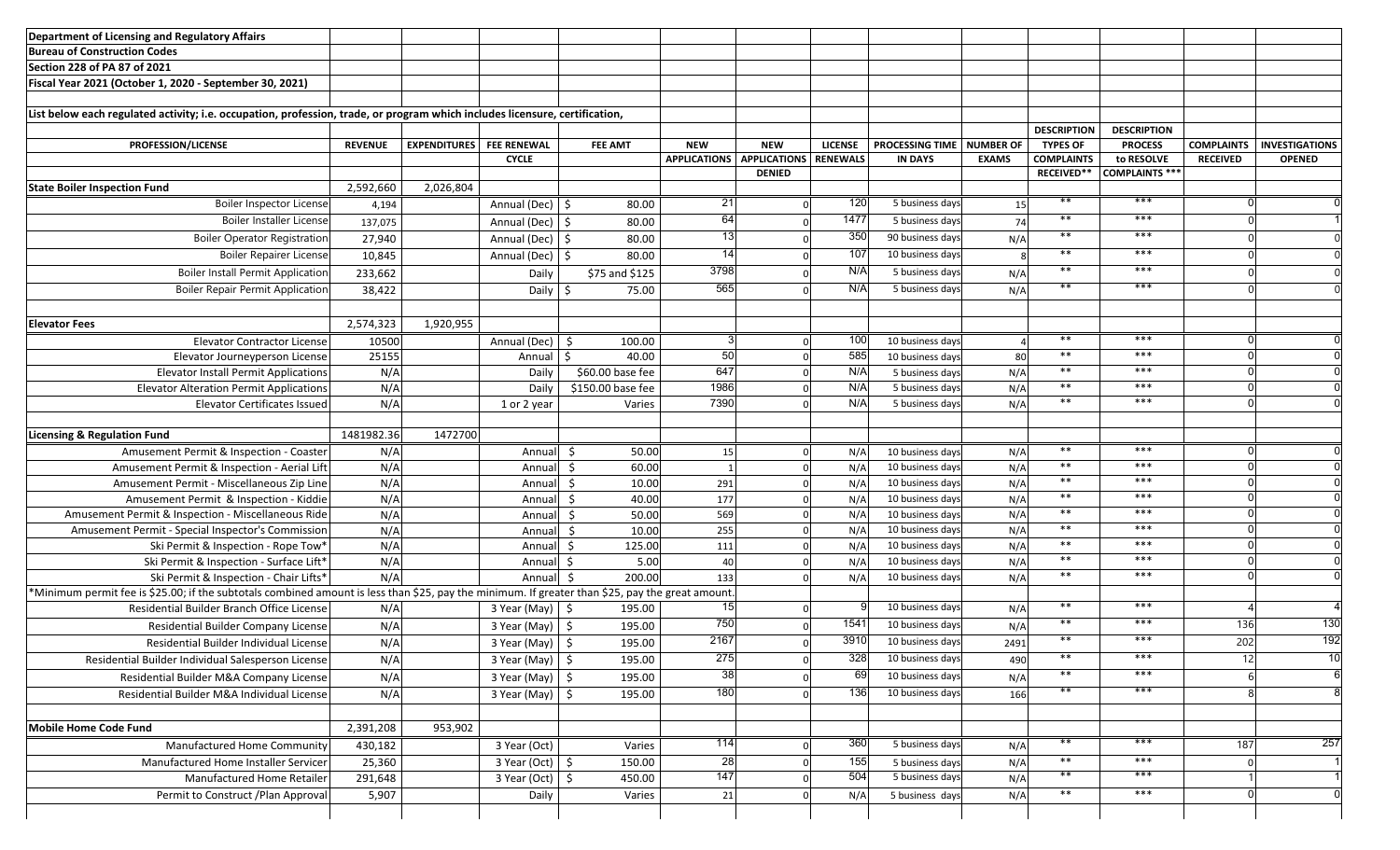| Department of Licensing and Regulatory Affairs                                                                                                                                               |                |                                 |                              |                   |                     |                     |                 |                        |                  |                    |                    |                   |                       |
|----------------------------------------------------------------------------------------------------------------------------------------------------------------------------------------------|----------------|---------------------------------|------------------------------|-------------------|---------------------|---------------------|-----------------|------------------------|------------------|--------------------|--------------------|-------------------|-----------------------|
| Bureau of Construction Codes                                                                                                                                                                 |                |                                 |                              |                   |                     |                     |                 |                        |                  |                    |                    |                   |                       |
| Section 228 of PA 87 of 2021                                                                                                                                                                 |                |                                 |                              |                   |                     |                     |                 |                        |                  |                    |                    |                   |                       |
| Fiscal Year 2021 (October 1, 2020 - September 30, 2021)                                                                                                                                      |                |                                 |                              |                   |                     |                     |                 |                        |                  |                    |                    |                   |                       |
|                                                                                                                                                                                              |                |                                 |                              |                   |                     |                     |                 |                        |                  |                    |                    |                   |                       |
| List below each regulated activity; i.e. occupation, profession, trade, or program which includes licensure, certification,                                                                  |                |                                 |                              |                   |                     |                     |                 |                        |                  |                    |                    |                   |                       |
|                                                                                                                                                                                              |                |                                 |                              |                   |                     |                     |                 |                        |                  | <b>DESCRIPTION</b> | <b>DESCRIPTION</b> |                   |                       |
| PROFESSION/LICENSE                                                                                                                                                                           | <b>REVENUE</b> | <b>EXPENDITURES</b> FEE RENEWAL |                              | <b>FEE AMT</b>    | <b>NEW</b>          | <b>NEW</b>          | <b>LICENSE</b>  | <b>PROCESSING TIME</b> | <b>NUMBER OF</b> | <b>TYPES OF</b>    | <b>PROCESS</b>     | <b>COMPLAINTS</b> | <b>INVESTIGATIONS</b> |
|                                                                                                                                                                                              |                |                                 | <b>CYCLE</b>                 |                   | <b>APPLICATIONS</b> | <b>APPLICATIONS</b> | <b>RENEWALS</b> | <b>IN DAYS</b>         | <b>EXAMS</b>     | <b>COMPLAINTS</b>  | to RESOLVE         | <b>RECEIVED</b>   | <b>OPENED</b>         |
|                                                                                                                                                                                              |                |                                 |                              |                   |                     | <b>DENIED</b>       |                 |                        |                  | <b>RECEIVED**</b>  | COMPLAINTS ***     |                   |                       |
| <b>State Boiler Inspection Fund</b>                                                                                                                                                          | 2,592,660      | 2,026,804                       |                              |                   |                     |                     |                 |                        |                  |                    |                    |                   |                       |
| <b>Boiler Inspector License</b>                                                                                                                                                              | 4,194          |                                 | Annual (Dec)                 | -\$<br>80.00      | 21                  | $\Omega$            | 120             | 5 business days        | 15               | $***$              | ***                |                   |                       |
| <b>Boiler Installer License</b>                                                                                                                                                              | 137,075        |                                 | Annual (Dec)                 | 80.00<br>-\$      | 64                  | $\Omega$            | 1477            | 5 business days        | 74               | $***$              | ***                |                   |                       |
| <b>Boiler Operator Registration</b>                                                                                                                                                          | 27,940         |                                 | Annual (Dec)                 | - Ś<br>80.00      | 13                  |                     | 350             | 90 business days       | N/A              | $***$              | ***                |                   |                       |
| <b>Boiler Repairer License</b>                                                                                                                                                               | 10,845         |                                 | Annual (Dec)                 | 80.00<br>- Ś      | -14                 |                     | 107             | 10 business days       |                  | $***$              | ***                |                   |                       |
| <b>Boiler Install Permit Application</b>                                                                                                                                                     | 233,662        |                                 | Daily                        | \$75 and \$125    | 3798                |                     | N/A             | 5 business days        | N/A              | $***$              | ***                |                   |                       |
| <b>Boiler Repair Permit Application</b>                                                                                                                                                      | 38,422         |                                 | Daily                        | 75.00<br>-S       | 565                 |                     | N/A             | 5 business days        | N/A              | $***$              | ***                |                   |                       |
|                                                                                                                                                                                              |                |                                 |                              |                   |                     |                     |                 |                        |                  |                    |                    |                   |                       |
| <b>Elevator Fees</b>                                                                                                                                                                         | 2,574,323      | 1,920,955                       |                              |                   |                     |                     |                 |                        |                  |                    |                    |                   |                       |
| <b>Elevator Contractor License</b>                                                                                                                                                           | 10500          |                                 | Annual (Dec)                 | 100.00<br>S       |                     | $\Omega$            | 100             | 10 business days       |                  | $***$              | ***                |                   |                       |
| Elevator Journeyperson License                                                                                                                                                               | 25155          |                                 | Annual                       | 40.00             | 50                  | $\Omega$            | 585             | 10 business days       | 80               | $***$              | $***$              |                   |                       |
| <b>Elevator Install Permit Applications</b>                                                                                                                                                  | N/A            |                                 | Daily                        | \$60.00 base fee  | 647                 | $\Omega$            | N/A             | 5 business days        | N/A              | $***$              | ***                |                   |                       |
| <b>Elevator Alteration Permit Applications</b>                                                                                                                                               | N/A            |                                 | Daily                        | \$150.00 base fee | 1986                | $\Omega$            | N/A             | 5 business days        | N/A              | $***$              | ***                |                   |                       |
| <b>Elevator Certificates Issued</b>                                                                                                                                                          | N/A            |                                 | 1 or 2 year                  | Varies            | 7390                | $\Omega$            | N/A             | 5 business days        | N/A              | $***$              | ***                |                   |                       |
|                                                                                                                                                                                              |                |                                 |                              |                   |                     |                     |                 |                        |                  |                    |                    |                   |                       |
| <b>Licensing &amp; Regulation Fund</b>                                                                                                                                                       | 1481982.36     | 1472700                         |                              |                   |                     |                     |                 |                        |                  |                    |                    |                   |                       |
| Amusement Permit & Inspection - Coaster                                                                                                                                                      | N/A            |                                 | Annual \$                    | 50.00             | 15                  | $\mathbf 0$         | N/A             | 10 business days       | N/A              | $***$              | ***                |                   |                       |
| Amusement Permit & Inspection - Aerial Lift                                                                                                                                                  | N/A            |                                 | Annual                       | 60.00<br>\$       |                     | $\Omega$            | N/A             | 10 business days       | N/A              | $***$              | ***                |                   |                       |
| Amusement Permit - Miscellaneous Zip Line                                                                                                                                                    | N/A            |                                 | Annua                        | 10.00<br>\$       | 291                 | $\Omega$            | N/A             | 10 business days       | N/A              | $***$              | ***                |                   |                       |
| Amusement Permit & Inspection - Kiddie                                                                                                                                                       | N/A            |                                 | Annua                        | 40.00<br>Ŝ.       | 177                 |                     | N/A             | 10 business days       | N/A              | $***$              | $***$              |                   |                       |
| Amusement Permit & Inspection - Miscellaneous Ride                                                                                                                                           | N/A            |                                 | Annua                        | Ŝ.<br>50.00       | 569                 | $\Omega$            | N/A             | 10 business days       | N/A              | $***$              | $***$              |                   |                       |
| Amusement Permit - Special Inspector's Commission                                                                                                                                            | N/A            |                                 | Annua                        | Ŝ.<br>10.00       | 255                 | $\Omega$            | N/A             | 10 business days       | N/A              | $***$              | ***                |                   |                       |
| Ski Permit & Inspection - Rope Tow*                                                                                                                                                          | N/A            |                                 | Annua                        | 125.00<br>Ŝ.      | 111                 | $\Omega$            | N/A             | 10 business days       | N/A              | $***$              | ***                |                   |                       |
| Ski Permit & Inspection - Surface Lift*                                                                                                                                                      | N/A            |                                 | Annua                        | 5.00<br>-Ś        | 40                  | $\Omega$            | N/A             | 10 business days       | N/A              | $***$              | ***                |                   |                       |
| Ski Permit & Inspection - Chair Lifts*                                                                                                                                                       | N/A            |                                 | Annual                       | 200.00<br>- \$    | 133                 |                     | N/A             | 10 business days       | N/A              | $***$              | ***                |                   |                       |
|                                                                                                                                                                                              |                |                                 |                              |                   |                     |                     |                 |                        |                  |                    |                    |                   |                       |
|                                                                                                                                                                                              |                |                                 |                              |                   |                     |                     |                 |                        |                  |                    |                    |                   |                       |
| *Minimum permit fee is \$25.00; if the subtotals combined amount is less than \$25, pay the minimum. If greater than \$25, pay the great amount<br>Residential Builder Branch Office License |                |                                 |                              |                   |                     |                     |                 | 10 business days       |                  | $***$              | ***                |                   |                       |
|                                                                                                                                                                                              | N/A            |                                 | 3 Year (May) \$              | 195.00            | 75C                 |                     | 1541            | 10 business days       | N/A              | $***$              | ***                | 136               | 130                   |
| Residential Builder Company License                                                                                                                                                          | N/A            |                                 | 3 Year (May)                 | 195.00<br>-\$     |                     |                     |                 |                        | N/A              | $***$              | ***                |                   |                       |
| Residential Builder Individual License                                                                                                                                                       | N/A            |                                 | $3$ Year (May) $\frac{1}{5}$ | 195.00            | 2167                |                     | 3910            | 10 business days       | 2491             | $***$              | ***                | 202               | 192                   |
| Residential Builder Individual Salesperson License                                                                                                                                           | N/A            |                                 | $3$ Year (May) $\frac{1}{5}$ | 195.00            | 275                 | $\Omega$            | 328             | 10 business days       | 490              |                    |                    | 12                | 10                    |
| Residential Builder M&A Company License                                                                                                                                                      | N/A            |                                 | 3 Year (May)                 | 195.00<br>\$      | 38                  |                     | 69              | 10 business days       | N/A              | $***$              | ***                |                   |                       |
| Residential Builder M&A Individual License                                                                                                                                                   | N/A            |                                 | 3 Year (May)                 | 195.00<br>\$      | 180                 |                     | 136             | 10 business days       | 166              | $***$              | ***                |                   |                       |
|                                                                                                                                                                                              |                |                                 |                              |                   |                     |                     |                 |                        |                  |                    |                    |                   |                       |
| <b>Mobile Home Code Fund</b>                                                                                                                                                                 | 2,391,208      | 953,902                         |                              |                   |                     |                     |                 |                        |                  |                    |                    |                   |                       |
| Manufactured Home Community                                                                                                                                                                  | 430,182        |                                 | 3 Year (Oct)                 | Varies            | 114                 | $\Omega$            | 360             | 5 business days        | N/A              | $***$              | ***                | 187               | 257                   |
| Manufactured Home Installer Servicer                                                                                                                                                         | 25,360         |                                 | $3$ Year (Oct) $\frac{1}{5}$ | 150.00            | 28                  | $\Omega$            | 155             | 5 business days        | N/A              | $***$              | ***                |                   |                       |
| Manufactured Home Retailer                                                                                                                                                                   | 291,648        |                                 | 3 Year (Oct)                 | -\$<br>450.00     | 147                 | $\Omega$            | 504             | 5 business days        | N/A              | $**$               | ***                |                   |                       |
| Permit to Construct / Plan Approval                                                                                                                                                          | 5,907          |                                 | Daily                        | Varies            | 21                  | $\Omega$            | N/A             | 5 business days        | N/A              | $***$              | ***                |                   | $\Omega$              |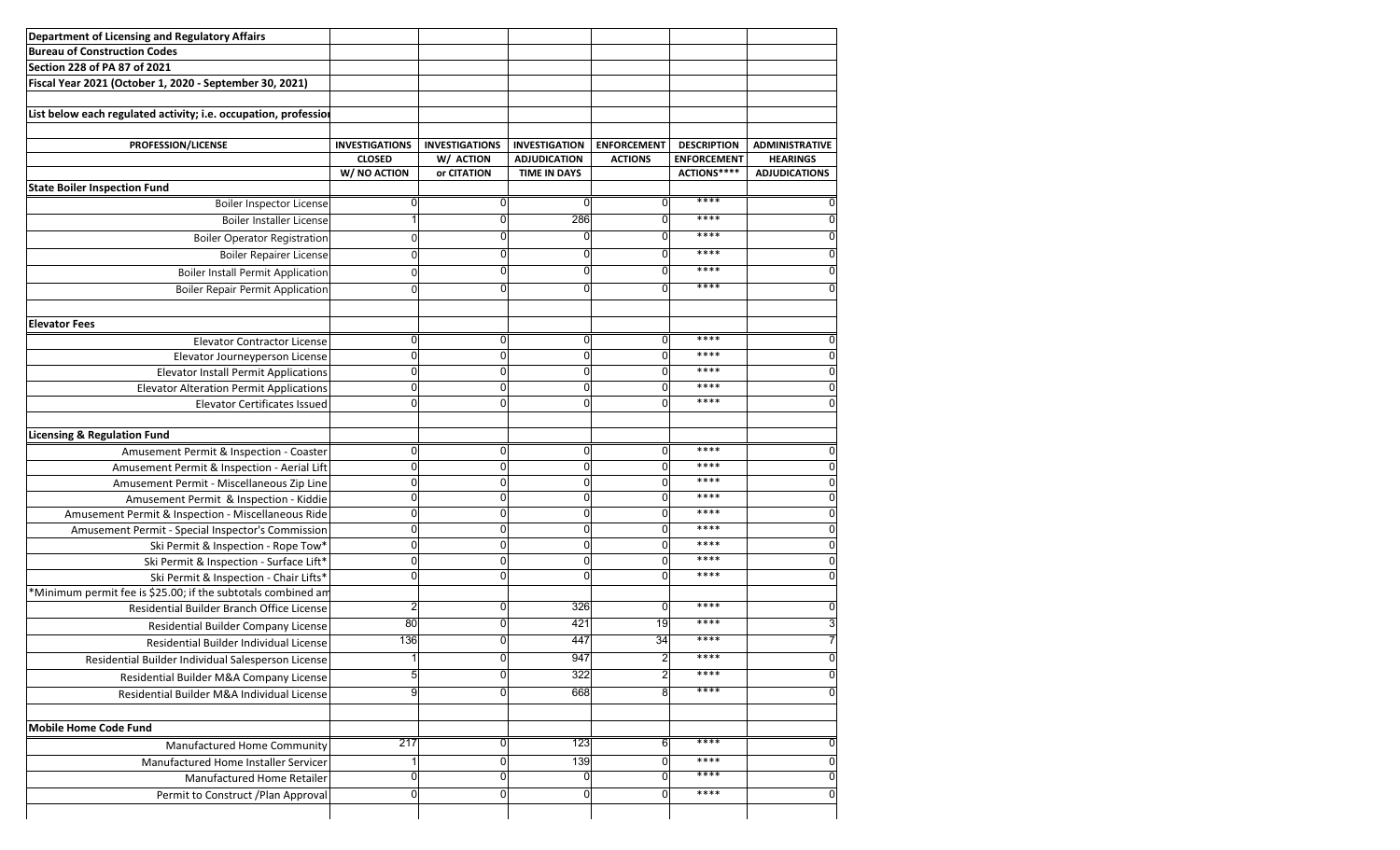| Department of Licensing and Regulatory Affairs                  |                       |                       |                      |                    |                    |                       |
|-----------------------------------------------------------------|-----------------------|-----------------------|----------------------|--------------------|--------------------|-----------------------|
| <b>Bureau of Construction Codes</b>                             |                       |                       |                      |                    |                    |                       |
| Section 228 of PA 87 of 2021                                    |                       |                       |                      |                    |                    |                       |
| Fiscal Year 2021 (October 1, 2020 - September 30, 2021)         |                       |                       |                      |                    |                    |                       |
|                                                                 |                       |                       |                      |                    |                    |                       |
| List below each regulated activity; i.e. occupation, professior |                       |                       |                      |                    |                    |                       |
|                                                                 |                       |                       |                      |                    |                    |                       |
| PROFESSION/LICENSE                                              | <b>INVESTIGATIONS</b> | <b>INVESTIGATIONS</b> | <b>INVESTIGATION</b> | <b>ENFORCEMENT</b> | <b>DESCRIPTION</b> | <b>ADMINISTRATIVE</b> |
|                                                                 | <b>CLOSED</b>         | W/ ACTION             | <b>ADJUDICATION</b>  | <b>ACTIONS</b>     | <b>ENFORCEMENT</b> | <b>HEARINGS</b>       |
|                                                                 | W/ NO ACTION          | or CITATION           | <b>TIME IN DAYS</b>  |                    | ACTIONS****        | <b>ADJUDICATIONS</b>  |
| <b>State Boiler Inspection Fund</b>                             | O                     | 0                     | $\Omega$             | $\Omega$           | ****               |                       |
| <b>Boiler Inspector License</b>                                 |                       |                       |                      |                    | ****               |                       |
| <b>Boiler Installer License</b>                                 |                       | 0                     | 286                  | $\Omega$           |                    | O                     |
| <b>Boiler Operator Registration</b>                             | $\Omega$              | 0                     | 0                    | ŋ                  | ****               |                       |
| Boiler Repairer License                                         | $\Omega$              | 0                     | 0                    | $\Omega$           | ****               | n                     |
| <b>Boiler Install Permit Application</b>                        | U                     | 0                     | 0                    | n                  | ****               |                       |
| <b>Boiler Repair Permit Application</b>                         | ∩                     | 0                     | O                    |                    | ****               |                       |
|                                                                 |                       |                       |                      |                    |                    |                       |
| <b>Elevator Fees</b>                                            |                       |                       |                      |                    |                    |                       |
| <b>Elevator Contractor License</b>                              | U                     | 0                     | $\Omega$             | $\Omega$           | ****               | O                     |
| Elevator Journeyperson License                                  | O                     | 0                     | 0                    | $\Omega$           | ****               | U                     |
| <b>Elevator Install Permit Applications</b>                     | O                     | 0                     | $\mathbf 0$          | $\Omega$           | ****               | U                     |
| <b>Elevator Alteration Permit Applications</b>                  | O                     | 0                     | O                    | U                  | ****               |                       |
| <b>Elevator Certificates Issued</b>                             | ŋ                     | $\Omega$              | $\Omega$             | $\Omega$           | ****               | U                     |
|                                                                 |                       |                       |                      |                    |                    |                       |
| <b>Licensing &amp; Regulation Fund</b>                          |                       |                       |                      |                    |                    |                       |
| Amusement Permit & Inspection - Coaster                         | $\Omega$              | $\overline{0}$        | 0                    | $\Omega$           | ****               | C                     |
| Amusement Permit & Inspection - Aerial Lift                     |                       | 0                     | 0                    | U                  | ****               | U                     |
| Amusement Permit - Miscellaneous Zip Line                       | n                     | 0                     | $\Omega$             | U                  | ****               |                       |
| Amusement Permit & Inspection - Kiddie                          | n                     | 0                     | 0                    | U                  | ****               |                       |
| Amusement Permit & Inspection - Miscellaneous Ride              |                       | 0                     | $\Omega$             | U                  | ****               |                       |
| Amusement Permit - Special Inspector's Commission               |                       | 0                     | 0                    |                    | ****               |                       |
| Ski Permit & Inspection - Rope Tow*                             |                       |                       | 0                    |                    | ****               |                       |
| Ski Permit & Inspection - Surface Lift*                         |                       | 0                     | $\mathbf 0$          |                    | ****               |                       |
| Ski Permit & Inspection - Chair Lifts*                          |                       | 0                     | $\Omega$             |                    | ****               |                       |
| *Minimum permit fee is \$25.00; if the subtotals combined am    |                       |                       |                      |                    |                    |                       |
| Residential Builder Branch Office License                       |                       | 0                     | 326                  | 0                  | ****               |                       |
| Residential Builder Company License                             | 80                    | 0                     | 421                  | 19                 | ****               |                       |
| Residential Builder Individual License                          | 136                   | 0                     | 447                  | 34                 | ****               |                       |
| Residential Builder Individual Salesperson License              |                       | 0                     | 947                  | 21                 | ****               | 0                     |
|                                                                 |                       | 0                     | 322                  | 2                  | ****               |                       |
| Residential Builder M&A Company License                         | g                     | 0                     |                      | 8                  | ****               |                       |
| Residential Builder M&A Individual License                      |                       |                       | 668                  |                    |                    |                       |
|                                                                 |                       |                       |                      |                    |                    |                       |
| Mobile Home Code Fund                                           |                       |                       |                      |                    |                    |                       |
| Manufactured Home Community                                     | 217                   | 0                     | 123                  | 6                  | ****               | O                     |
| Manufactured Home Installer Servicer                            |                       | 0                     | 139                  |                    | ****               |                       |
|                                                                 |                       | 0                     | 0                    |                    | ****               |                       |
| Manufactured Home Retailer                                      |                       |                       |                      |                    |                    |                       |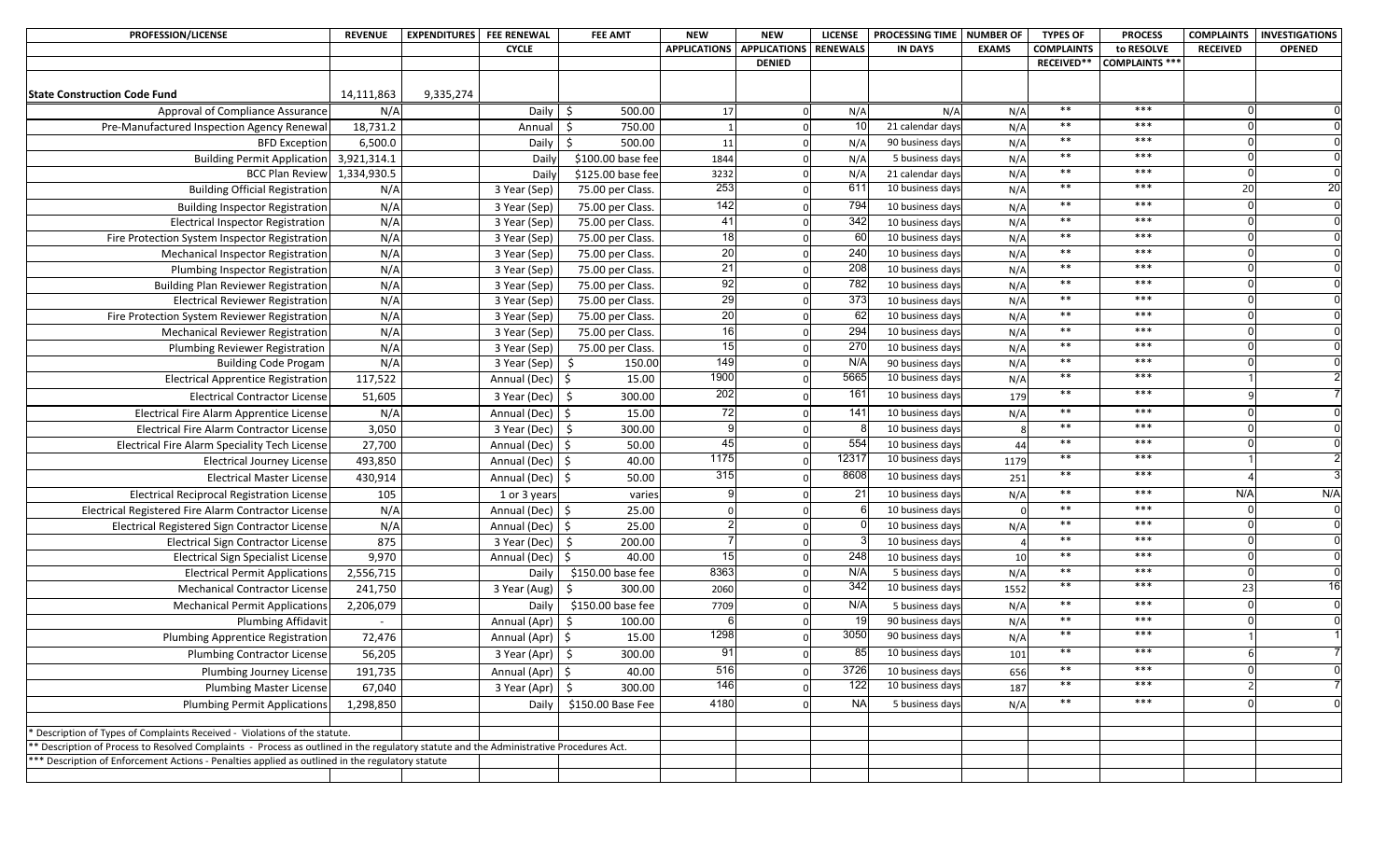| PROFESSION/LICENSE                                                                                                                      | <b>REVENUE</b> | <b>EXPENDITURES</b> FEE RENEWAL |                              | <b>FEE AMT</b>                       | <b>NEW</b>          | <b>NEW</b>          | <b>LICENSE</b> | <b>PROCESSING TIME</b>               | <b>NUMBER OF</b> | <b>TYPES OF</b>   | <b>PROCESS</b>        | <b>COMPLAINTS</b> | <b>INVESTIGATIONS</b> |
|-----------------------------------------------------------------------------------------------------------------------------------------|----------------|---------------------------------|------------------------------|--------------------------------------|---------------------|---------------------|----------------|--------------------------------------|------------------|-------------------|-----------------------|-------------------|-----------------------|
|                                                                                                                                         |                |                                 | <b>CYCLE</b>                 |                                      | <b>APPLICATIONS</b> | <b>APPLICATIONS</b> | RENEWALS       | <b>IN DAYS</b>                       | <b>EXAMS</b>     | <b>COMPLAINTS</b> | to RESOLVE            | <b>RECEIVED</b>   | <b>OPENED</b>         |
|                                                                                                                                         |                |                                 |                              |                                      |                     | <b>DENIED</b>       |                |                                      |                  | RECEIVED**        | <b>COMPLAINTS ***</b> |                   |                       |
| <b>State Construction Code Fund</b>                                                                                                     | 14,111,863     | 9,335,274                       |                              |                                      |                     |                     |                |                                      |                  |                   |                       |                   |                       |
| Approval of Compliance Assurance                                                                                                        | N/A            |                                 | Daily $\frac{1}{2}$          | 500.00                               | 17                  | $\Omega$            | N/A            | N/A                                  | N/A              | $***$             | $***$                 |                   |                       |
| Pre-Manufactured Inspection Agency Renewal                                                                                              | 18,731.2       |                                 | Annual                       | 750.00<br>-Ś                         |                     |                     | 10             | 21 calendar days                     | N/A              | $***$             | $***$                 |                   |                       |
| <b>BFD Exception</b>                                                                                                                    | 6,500.0        |                                 | Daily                        | 500.00<br>\$                         | 11                  |                     | N/A            | 90 business days                     | N/A              | $**$              | $***$                 |                   |                       |
| Building Permit Application 3,921,314.1                                                                                                 |                |                                 | Daily                        | \$100.00 base fee                    | 1844                |                     | N/A            | 5 business days                      | N/A              | $***$             | $***$                 |                   |                       |
| BCC Plan Review 1,334,930.5                                                                                                             |                |                                 | Daily                        | \$125.00 base fee                    | 3232                |                     | N/A            | 21 calendar days                     | N/A              | $***$             | $***$                 |                   |                       |
| <b>Building Official Registration</b>                                                                                                   | N/A            |                                 | 3 Year (Sep)                 | 75.00 per Class.                     | 253                 |                     | 611            | 10 business days                     | N/A              | $***$             | $***$                 | 20                | 20                    |
|                                                                                                                                         | N/A            |                                 |                              |                                      | 142                 | $\Omega$            | 794            | 10 business days                     |                  | $***$             | $***$                 |                   |                       |
| <b>Building Inspector Registration</b><br>Electrical Inspector Registration                                                             | N/A            |                                 | 3 Year (Sep)                 | 75.00 per Class.                     | 41                  | $\Omega$            | 342            |                                      | N/A              | $***$             | $***$                 |                   |                       |
|                                                                                                                                         | N/A            |                                 | 3 Year (Sep)                 | 75.00 per Class.                     | 18                  |                     | 60             | 10 business days                     | N/A<br>N/A       | $***$             | $***$                 |                   |                       |
| Fire Protection System Inspector Registration                                                                                           | N/A            |                                 | 3 Year (Sep)                 | 75.00 per Class.<br>75.00 per Class. | 20                  |                     | 240            | 10 business days<br>10 business days | N/A              | $***$             | $***$                 |                   |                       |
| Mechanical Inspector Registration<br>Plumbing Inspector Registration                                                                    | N/A            |                                 | 3 Year (Sep)                 | 75.00 per Class.                     | 21                  |                     | 208            | 10 business days                     | N/A              | $***$             | $***$                 |                   |                       |
|                                                                                                                                         | N/A            |                                 | 3 Year (Sep)                 |                                      | 92                  |                     | 782            | 10 business days                     |                  | $***$             | $***$                 |                   |                       |
| <b>Building Plan Reviewer Registration</b>                                                                                              | N/A            |                                 | 3 Year (Sep)<br>3 Year (Sep) | 75.00 per Class.                     | 29                  |                     | 373            | 10 business days                     | N/A              | $***$             | $***$                 |                   |                       |
| <b>Electrical Reviewer Registration</b>                                                                                                 | N/A            |                                 |                              | 75.00 per Class.                     | 20                  |                     | 62             | 10 business days                     | N/A              | $***$             | $***$                 |                   |                       |
| Fire Protection System Reviewer Registration                                                                                            | N/A            |                                 | 3 Year (Sep)<br>3 Year (Sep) | 75.00 per Class.                     | 16                  |                     | 294            | 10 business days                     | N/A              | $***$             | $***$                 |                   |                       |
| <b>Mechanical Reviewer Registration</b>                                                                                                 | N/A            |                                 | 3 Year (Sep)                 | 75.00 per Class.<br>75.00 per Class. | 15                  |                     | 270            | 10 business days                     | N/A<br>N/A       | $***$             | $***$                 |                   |                       |
| Plumbing Reviewer Registration                                                                                                          | N/A            |                                 | 3 Year (Sep)                 | 150.00<br>\$                         | 149                 | $\Omega$            | N/A            | 90 business days                     | N/A              | $***$             | $***$                 |                   |                       |
| <b>Building Code Progam</b><br><b>Electrical Apprentice Registration</b>                                                                | 117,522        |                                 |                              | 15.00                                | 1900                |                     | 5665           | 10 business days                     |                  | $**$              | $***$                 |                   |                       |
|                                                                                                                                         |                |                                 | Annual (Dec)                 | l \$                                 | 202                 |                     | 161            |                                      | N/A              | $**$              | $***$                 |                   |                       |
| <b>Electrical Contractor License</b>                                                                                                    | 51,605         |                                 | 3 Year (Dec)                 | \$<br>300.00                         |                     |                     |                | 10 business days                     | 179              | $**$              | $***$                 |                   |                       |
| Electrical Fire Alarm Apprentice License                                                                                                | N/A            |                                 | Annual (Dec)                 | 15.00<br>l \$                        | 72                  |                     | 141            | 10 business days                     | N/A              |                   |                       |                   |                       |
| Electrical Fire Alarm Contractor License                                                                                                | 3,050          |                                 | $3$ Year (Dec) $\frac{1}{2}$ | 300.00                               |                     |                     |                | 10 business days                     |                  | $***$             | $***$                 |                   |                       |
| Electrical Fire Alarm Speciality Tech License                                                                                           | 27,700         |                                 | Annual (Dec) $\frac{1}{5}$   | 50.00                                | 45                  |                     | 554            | 10 business days                     | 44               | $*$<br>$***$      | $***$<br>$***$        |                   |                       |
| <b>Electrical Journey License</b>                                                                                                       | 493,850        |                                 | Annual (Dec)                 | 40.00<br>۱\$                         | 1175                | $\Omega$            | 12317          | 10 business days                     | 1179             |                   |                       |                   |                       |
| <b>Electrical Master License</b>                                                                                                        | 430,914        |                                 | Annual (Dec) \$              | 50.00                                | 315                 |                     | 8608           | 10 business days                     | 251              | $**$              | $***$                 |                   |                       |
| <b>Electrical Reciprocal Registration License</b>                                                                                       | 105            |                                 | 1 or 3 years                 | varies                               |                     |                     | 21             | 10 business days                     | N/A              | $*$               | $***$                 | N/A               | N/A                   |
| Electrical Registered Fire Alarm Contractor License                                                                                     | N/A            |                                 | Annual (Dec) \$              | 25.00                                |                     |                     |                | 10 business days                     |                  | $***$             | $***$                 |                   |                       |
| Electrical Registered Sign Contractor License                                                                                           | N/A            |                                 | Annual (Dec) \$              | 25.00                                |                     |                     |                | 10 business days                     | N/A              | $***$             | $***$                 |                   |                       |
| <b>Electrical Sign Contractor License</b>                                                                                               | 875            |                                 | 3 Year (Dec)                 | 200.00<br>- \$                       |                     |                     |                | 10 business days                     |                  | $***$             | $***$                 |                   |                       |
| <b>Electrical Sign Specialist License</b>                                                                                               | 9,970          |                                 | Annual (Dec)                 | 40.00<br>-Ś                          | 15                  |                     | 248            | 10 business days                     | 10               | $***$             | $***$                 |                   |                       |
| <b>Electrical Permit Applications</b>                                                                                                   | 2,556,715      |                                 | Daily                        | \$150.00 base fee                    | 8363                | $\Omega$            | N/A            | 5 business days                      | N/A              | $***$             | $***$                 |                   |                       |
| <b>Mechanical Contractor License</b>                                                                                                    | 241,750        |                                 | 3 Year (Aug)                 | 300.00                               | 2060                |                     | 342            | 10 business days                     | 1552             | $**$              | $***$                 | 23                |                       |
| <b>Mechanical Permit Applications</b>                                                                                                   | 2,206,079      |                                 | Daily                        | \$150.00 base fee                    | 7709                |                     | N/A            | 5 business days                      | N/A              | $***$             | $***$                 |                   |                       |
| <b>Plumbing Affidavit</b>                                                                                                               |                |                                 | Annual (Apr)                 | 100.00<br>-Ś                         |                     |                     | 19             | 90 business days                     | N/A              | $***$             | $***$                 |                   |                       |
| <b>Plumbing Apprentice Registration</b>                                                                                                 | 72,476         |                                 | Annual (Apr) \$              | 15.00                                | 1298                |                     | 3050           | 90 business days                     | N/A              | $**$              | $***$                 |                   |                       |
| Plumbing Contractor License                                                                                                             | 56,205         |                                 | 3 Year (Apr)   \$            | 300.00                               | ັບ≀                 | 0                   | 85             | 10 business days                     | 101              | $***$             | $***$                 |                   |                       |
| Plumbing Journey License                                                                                                                | 191,735        |                                 | Annual (Apr)   \$            | 40.00                                | 516                 | $\Omega$            | 3726           | 10 business days                     | 656              | $***$             | $***$                 |                   |                       |
| <b>Plumbing Master License</b>                                                                                                          | 67,040         |                                 | $3$ Year (Apr) $\frac{1}{5}$ | 300.00                               | 146                 |                     | 122            | 10 business days                     | 187              | $***$             | $***$                 |                   |                       |
| <b>Plumbing Permit Applications</b>                                                                                                     | 1,298,850      |                                 | Daily                        | \$150.00 Base Fee                    | 4180                |                     | <b>NA</b>      | 5 business days                      | N/A              | $***$             | ***                   |                   |                       |
|                                                                                                                                         |                |                                 |                              |                                      |                     |                     |                |                                      |                  |                   |                       |                   |                       |
| * Description of Types of Complaints Received - Violations of the statute.                                                              |                |                                 |                              |                                      |                     |                     |                |                                      |                  |                   |                       |                   |                       |
| ** Description of Process to Resolved Complaints - Process as outlined in the regulatory statute and the Administrative Procedures Act. |                |                                 |                              |                                      |                     |                     |                |                                      |                  |                   |                       |                   |                       |
| *** Description of Enforcement Actions - Penalties applied as outlined in the regulatory statute                                        |                |                                 |                              |                                      |                     |                     |                |                                      |                  |                   |                       |                   |                       |
|                                                                                                                                         |                |                                 |                              |                                      |                     |                     |                |                                      |                  |                   |                       |                   |                       |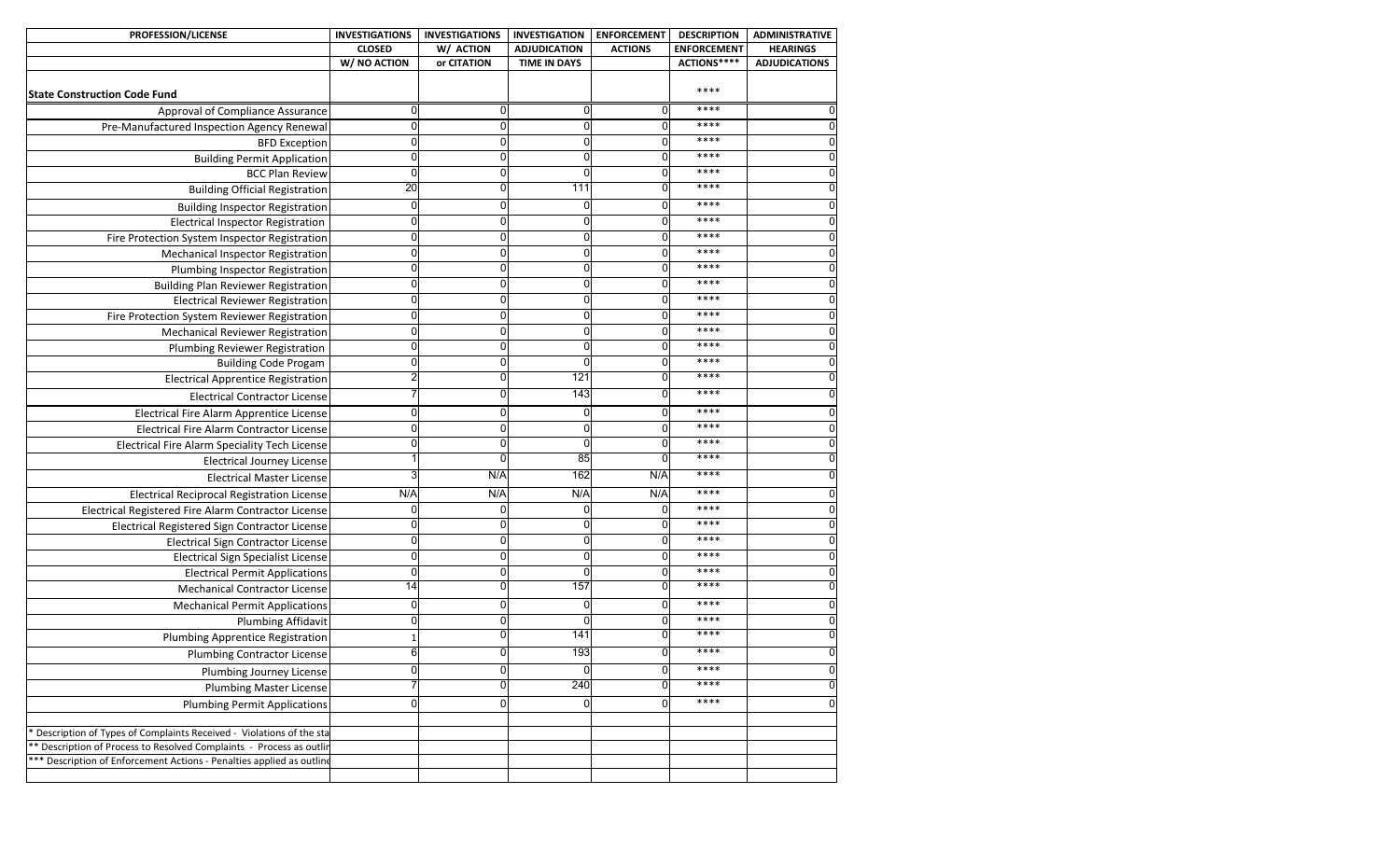| <b>PROFESSION/LICENSE</b>                                             | <b>INVESTIGATIONS</b> | <b>INVESTIGATIONS</b> | <b>INVESTIGATION</b> | <b>ENFORCEMENT</b> | <b>DESCRIPTION</b> | <b>ADMINISTRATIVE</b> |
|-----------------------------------------------------------------------|-----------------------|-----------------------|----------------------|--------------------|--------------------|-----------------------|
|                                                                       | <b>CLOSED</b>         | W/ ACTION             | <b>ADJUDICATION</b>  | <b>ACTIONS</b>     | <b>ENFORCEMENT</b> | <b>HEARINGS</b>       |
|                                                                       | W/ NO ACTION          | or CITATION           | <b>TIME IN DAYS</b>  |                    | ACTIONS****        | <b>ADJUDICATIONS</b>  |
| <b>State Construction Code Fund</b>                                   |                       |                       |                      |                    | ****               |                       |
| Approval of Compliance Assurance                                      | $\Omega$              | 0                     | 0                    | 0                  | ****               |                       |
| Pre-Manufactured Inspection Agency Renewal                            | $\Omega$              | 0                     | $\Omega$             | $\Omega$           | ****               | $\Omega$              |
| <b>BFD Exception</b>                                                  | $\mathbf 0$           | 0                     | 0                    | $\Omega$           | ****               | $\Omega$              |
| <b>Building Permit Application</b>                                    | $\mathbf 0$           | 0                     | 0                    | 0                  | ****               | $\Omega$              |
| <b>BCC Plan Review</b>                                                | $\mathbf 0$           | 0                     | $\Omega$             | 0                  | ****               | 0                     |
| <b>Building Official Registration</b>                                 | 20                    | 0                     | 111                  | 0                  | ****               | 0                     |
| <b>Building Inspector Registration</b>                                | $\mathbf 0$           | 0                     | 0                    | 0                  | ****               |                       |
| Electrical Inspector Registration                                     | $\mathbf 0$           | 0                     | $\Omega$             | 0                  | ****               |                       |
| Fire Protection System Inspector Registration                         | 0                     | 0                     | 0                    | 0                  | ****               |                       |
| Mechanical Inspector Registration                                     | 0                     | 0                     | 0                    |                    | ****               |                       |
| Plumbing Inspector Registration                                       | $\mathbf 0$           | 0                     | $\Omega$             | 0                  | ****               |                       |
| <b>Building Plan Reviewer Registration</b>                            | $\Omega$              | 0                     | $\Omega$             | 0                  | ****               |                       |
| <b>Electrical Reviewer Registration</b>                               | 0                     | 0                     | 0                    |                    | ****               |                       |
| Fire Protection System Reviewer Registration                          | 0                     | 0                     | 0                    |                    | ****               |                       |
| <b>Mechanical Reviewer Registration</b>                               | 0                     | ი                     | 0                    |                    | ****               |                       |
| <b>Plumbing Reviewer Registration</b>                                 | $\Omega$              | 0                     | $\Omega$             | O                  | ****               |                       |
| <b>Building Code Progam</b>                                           | $\Omega$              | 0                     | $\Omega$             | 0                  | ****               |                       |
| <b>Electrical Apprentice Registration</b>                             | 2                     | 0                     | 121                  | 0                  | ****               |                       |
| <b>Electrical Contractor License</b>                                  |                       |                       | 143                  |                    | ****               |                       |
| Electrical Fire Alarm Apprentice License                              | $\Omega$              | 0                     | 0                    | 0                  | ****               |                       |
| Electrical Fire Alarm Contractor License                              | $\mathbf 0$           | 0                     | $\Omega$             | $\Omega$           | $****$             |                       |
| Electrical Fire Alarm Speciality Tech License                         | $\Omega$              | 0                     | $\Omega$             | $\Omega$           | ****               | $\Omega$              |
| <b>Electrical Journey License</b>                                     |                       | 0                     | 85                   | $\mathbf{0}$       | ****               | 0                     |
| <b>Electrical Master License</b>                                      |                       | N/A                   | 162                  | N/A                | ****               | 0                     |
| <b>Electrical Reciprocal Registration License</b>                     | N/A                   | N/A                   | N/A                  | N/A                | $****$             | 0                     |
| Electrical Registered Fire Alarm Contractor License                   | $\Omega$              | 0                     | $\Omega$             | $\Omega$           | ****               | 0                     |
| Electrical Registered Sign Contractor License                         | $\Omega$              | 0                     | $\Omega$             | $\Omega$           | ****               | 0                     |
| <b>Electrical Sign Contractor License</b>                             | $\mathbf 0$           | 0                     | 0                    | 0                  | ****               | $\Omega$              |
| <b>Electrical Sign Specialist License</b>                             | $\mathbf 0$           | 0                     | 0                    | 0                  | ****               | O                     |
| <b>Electrical Permit Applications</b>                                 | $\overline{0}$        | $\mathbf 0$           | $\Omega$             | $\Omega$           | ****               | 0                     |
| <b>Mechanical Contractor License</b>                                  | 14                    | 0                     | 157                  |                    | ****               |                       |
| <b>Mechanical Permit Applications</b>                                 | $\mathbf 0$           | 0                     | 0                    | 0                  | ****               |                       |
| <b>Plumbing Affidavit</b>                                             | $\mathbf 0$           | 0                     | 0                    | 0                  | ****               |                       |
| <b>Plumbing Apprentice Registration</b>                               |                       | $\overline{0}$        | 141                  |                    | ****               |                       |
| <b>Plumbing Contractor License</b>                                    |                       | ΩI                    | 193                  |                    | ****               |                       |
| Plumbing Journey License                                              | $\mathbf 0$           | 0                     | 0                    | 0                  | ****               | $\mathbf 0$           |
| <b>Plumbing Master License</b>                                        |                       | $\overline{0}$        | 240                  | $\Omega$           | ****               | $\overline{0}$        |
| <b>Plumbing Permit Applications</b>                                   | $\mathbf 0$           | 0                     | $\overline{0}$       | $\Omega$           | ****               | $\mathbf{0}$          |
|                                                                       |                       |                       |                      |                    |                    |                       |
| Description of Types of Complaints Received - Violations of the sta   |                       |                       |                      |                    |                    |                       |
| * Description of Process to Resolved Complaints - Process as outlin   |                       |                       |                      |                    |                    |                       |
| *** Description of Enforcement Actions - Penalties applied as outline |                       |                       |                      |                    |                    |                       |
|                                                                       |                       |                       |                      |                    |                    |                       |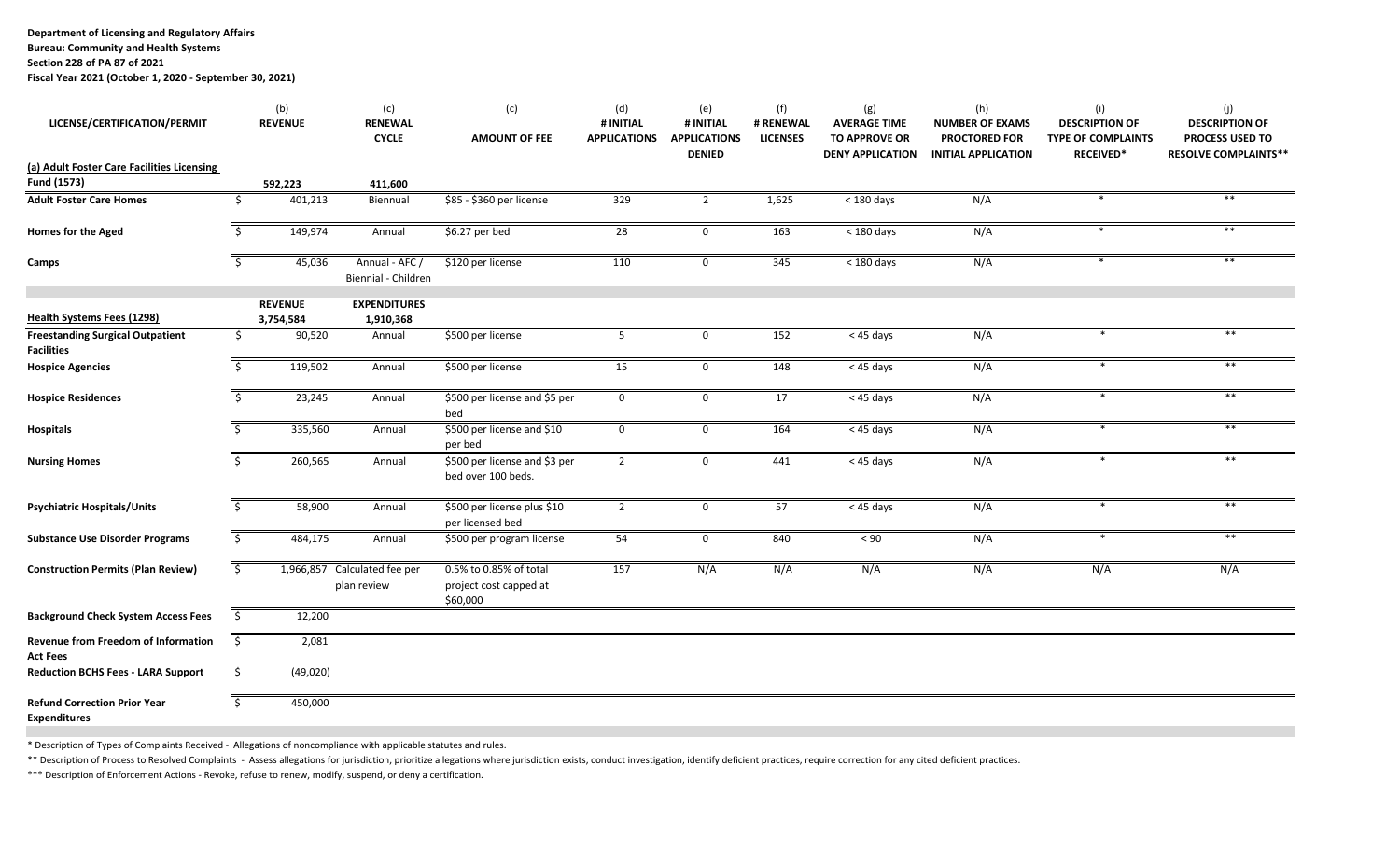**Department of Licensing and Regulatory Affairs**

**Bureau: Community and Health Systems**

**Section 228 of PA 87 of 2021**

**Fiscal Year 2021 (October 1, 2020 ‐ September 30, 2021)**

| LICENSE/CERTIFICATION/PERMIT                                  |      | (b)<br><b>REVENUE</b> | (c)<br><b>RENEWAL</b><br><b>CYCLE</b>       | (c)<br><b>AMOUNT OF FEE</b>                                  | (d)<br># INITIAL<br><b>APPLICATIONS</b> | (e)<br># INITIAL<br><b>APPLICATIONS</b><br><b>DENIED</b> | (f)<br># RENEWAL<br><b>LICENSES</b> | (g)<br><b>AVERAGE TIME</b><br><b>TO APPROVE OR</b><br><b>DENY APPLICATION</b> | (h)<br><b>NUMBER OF EXAMS</b><br><b>PROCTORED FOR</b><br><b>INITIAL APPLICATION</b> | (i)<br><b>DESCRIPTION OF</b><br><b>TYPE OF COMPLAINTS</b><br><b>RECEIVED*</b> | (j)<br><b>DESCRIPTION OF</b><br><b>PROCESS USED TO</b><br><b>RESOLVE COMPLAINTS**</b> |
|---------------------------------------------------------------|------|-----------------------|---------------------------------------------|--------------------------------------------------------------|-----------------------------------------|----------------------------------------------------------|-------------------------------------|-------------------------------------------------------------------------------|-------------------------------------------------------------------------------------|-------------------------------------------------------------------------------|---------------------------------------------------------------------------------------|
| (a) Adult Foster Care Facilities Licensing                    |      |                       |                                             |                                                              |                                         |                                                          |                                     |                                                                               |                                                                                     |                                                                               |                                                                                       |
| Fund (1573)                                                   |      | 592,223               | 411,600                                     |                                                              |                                         |                                                          |                                     |                                                                               |                                                                                     |                                                                               |                                                                                       |
| <b>Adult Foster Care Homes</b>                                | Ś    | 401,213               | Biennual                                    | \$85 - \$360 per license                                     | 329                                     | $\overline{2}$                                           | 1,625                               | $<$ 180 days                                                                  | N/A                                                                                 |                                                                               |                                                                                       |
| <b>Homes for the Aged</b>                                     | -S   | 149,974               | Annual                                      | \$6.27 per bed                                               | 28                                      | $\mathbf 0$                                              | 163                                 | $<$ 180 days                                                                  | N/A                                                                                 |                                                                               | $***$                                                                                 |
| Camps                                                         | \$   | 45,036                | Annual - AFC /<br>Biennial - Children       | \$120 per license                                            | 110                                     | $\mathbf 0$                                              | 345                                 | $<$ 180 days                                                                  | N/A                                                                                 | $\ast$                                                                        | $***$                                                                                 |
| <b>Health Systems Fees (1298)</b>                             |      | <b>REVENUE</b>        | <b>EXPENDITURES</b><br>1,910,368            |                                                              |                                         |                                                          |                                     |                                                                               |                                                                                     |                                                                               |                                                                                       |
| <b>Freestanding Surgical Outpatient</b><br><b>Facilities</b>  | \$   | 3,754,584<br>90,520   | Annual                                      | \$500 per license                                            | - 5                                     | 0                                                        | 152                                 | < 45 days                                                                     | N/A                                                                                 |                                                                               | **                                                                                    |
| <b>Hospice Agencies</b>                                       | -S   | 119,502               | Annual                                      | \$500 per license                                            | 15                                      | 0                                                        | 148                                 | < 45 days                                                                     | N/A                                                                                 |                                                                               |                                                                                       |
| <b>Hospice Residences</b>                                     | - S  | 23,245                | Annual                                      | \$500 per license and \$5 per<br>bed                         | $\mathbf 0$                             | $\mathbf 0$                                              | 17                                  | < 45 days                                                                     | N/A                                                                                 | $\ast$                                                                        | $***$                                                                                 |
| <b>Hospitals</b>                                              | -Ś   | 335,560               | Annual                                      | \$500 per license and \$10<br>per bed                        | $\mathbf{0}$                            | $\mathsf{O}$                                             | 164                                 | < 45 days                                                                     | N/A                                                                                 |                                                                               | $***$                                                                                 |
| <b>Nursing Homes</b>                                          | S.   | 260,565               | Annual                                      | \$500 per license and \$3 per<br>bed over 100 beds.          | $\overline{2}$                          | 0                                                        | 441                                 | < 45 days                                                                     | N/A                                                                                 |                                                                               | $***$                                                                                 |
| <b>Psychiatric Hospitals/Units</b>                            | \$   | 58,900                | Annual                                      | \$500 per license plus \$10<br>per licensed bed              | $\overline{2}$                          | 0                                                        | 57                                  | < 45 days                                                                     | N/A                                                                                 |                                                                               | $**$                                                                                  |
| <b>Substance Use Disorder Programs</b>                        | \$   | 484,175               | Annual                                      | \$500 per program license                                    | 54                                      | $\mathbf 0$                                              | 840                                 | < 90                                                                          | N/A                                                                                 | $\ast$                                                                        | $***$                                                                                 |
| <b>Construction Permits (Plan Review)</b>                     | \$   |                       | 1,966,857 Calculated fee per<br>plan review | 0.5% to 0.85% of total<br>project cost capped at<br>\$60,000 | 157                                     | N/A                                                      | N/A                                 | N/A                                                                           | N/A                                                                                 | N/A                                                                           | N/A                                                                                   |
| <b>Background Check System Access Fees</b>                    | -\$  | 12,200                |                                             |                                                              |                                         |                                                          |                                     |                                                                               |                                                                                     |                                                                               |                                                                                       |
| <b>Revenue from Freedom of Information</b><br><b>Act Fees</b> | - \$ | 2,081                 |                                             |                                                              |                                         |                                                          |                                     |                                                                               |                                                                                     |                                                                               |                                                                                       |
| <b>Reduction BCHS Fees - LARA Support</b>                     | -\$  | (49, 020)             |                                             |                                                              |                                         |                                                          |                                     |                                                                               |                                                                                     |                                                                               |                                                                                       |
| <b>Refund Correction Prior Year</b><br><b>Expenditures</b>    | \$   | 450,000               |                                             |                                                              |                                         |                                                          |                                     |                                                                               |                                                                                     |                                                                               |                                                                                       |

\* Description of Types of Complaints Received ‐ Allegations of noncompliance with applicable statutes and rules.

\*\* Description of Process to Resolved Complaints - Assess allegations for jurisdiction, prioritize allegations where jurisdiction exists, conduct investigation, identify deficient practices, require correction for any cite

\*\*\* Description of Enforcement Actions ‐ Revoke, refuse to renew, modify, suspend, or deny <sup>a</sup> certification.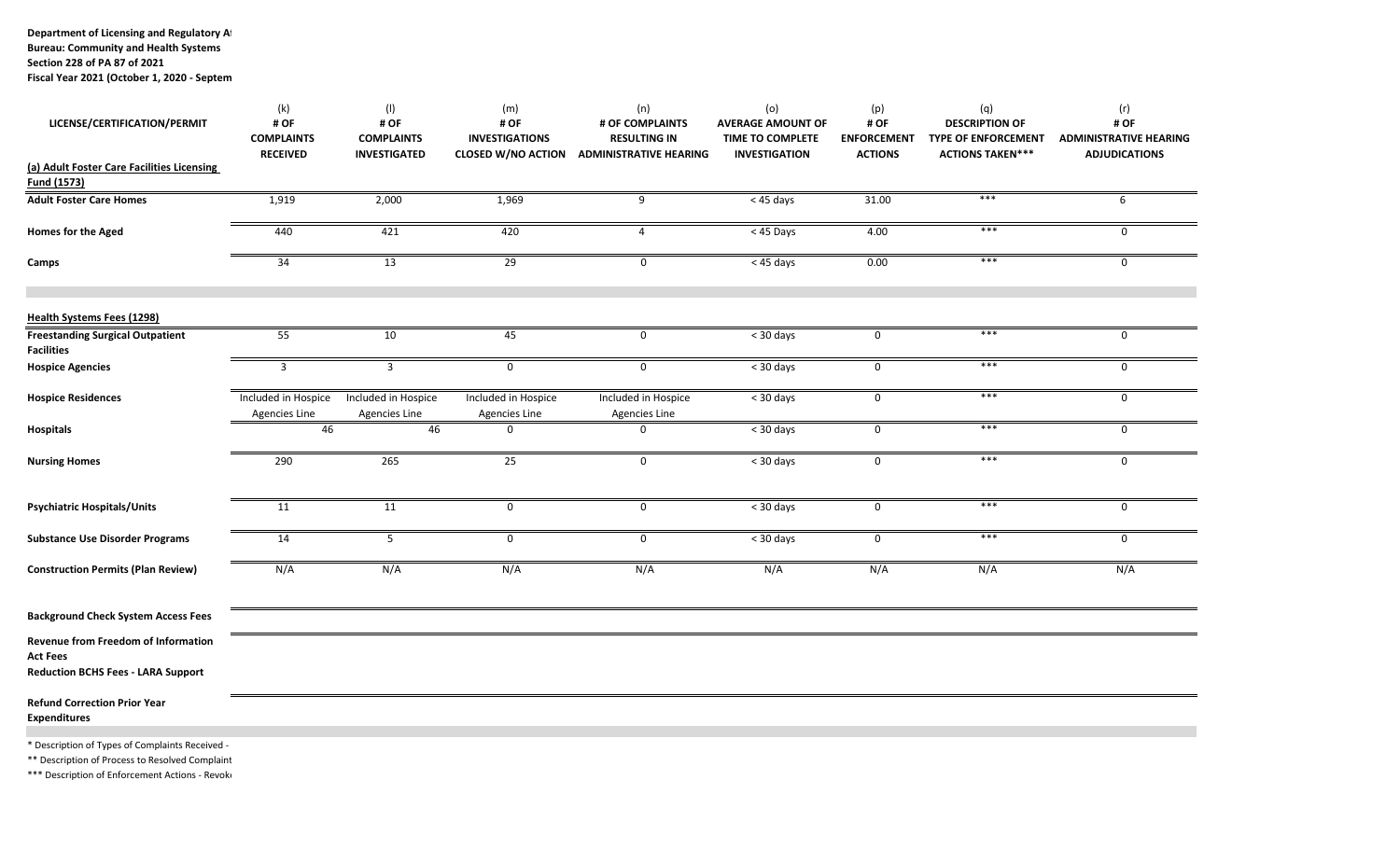**Department of Licensing and Regulatory Af**

**Section 228 of PA 87 of 2021**

**Fiscal Year 2021 (October 1, 2020 ‐ Septem**

| LICENSE/CERTIFICATION/PERMIT                                                                        | (k)<br># OF<br><b>COMPLAINTS</b><br><b>RECEIVED</b> | (1)<br># OF<br><b>COMPLAINTS</b><br><b>INVESTIGATED</b> | (m)<br># OF<br><b>INVESTIGATIONS</b><br><b>CLOSED W/NO ACTION</b> | (n)<br># OF COMPLAINTS<br><b>RESULTING IN</b><br><b>ADMINISTRATIVE HEARING</b> | (o)<br><b>AVERAGE AMOUNT OF</b><br><b>TIME TO COMPLETE</b><br><b>INVESTIGATION</b> | (p)<br># OF<br><b>ENFORCEMENT</b><br><b>ACTIONS</b> | (q)<br><b>DESCRIPTION OF</b><br><b>TYPE OF ENFORCEMENT</b><br><b>ACTIONS TAKEN***</b> | (r)<br># OF<br><b>ADMINISTRATIVE HEARING</b><br><b>ADJUDICATIONS</b> |
|-----------------------------------------------------------------------------------------------------|-----------------------------------------------------|---------------------------------------------------------|-------------------------------------------------------------------|--------------------------------------------------------------------------------|------------------------------------------------------------------------------------|-----------------------------------------------------|---------------------------------------------------------------------------------------|----------------------------------------------------------------------|
| (a) Adult Foster Care Facilities Licensing<br>Fund (1573)                                           |                                                     |                                                         |                                                                   |                                                                                |                                                                                    |                                                     |                                                                                       |                                                                      |
| <b>Adult Foster Care Homes</b>                                                                      | 1,919                                               | 2,000                                                   | 1,969                                                             | 9                                                                              | $< 45 \text{ days}$                                                                | 31.00                                               | $***$                                                                                 | 6                                                                    |
| Homes for the Aged                                                                                  | 440                                                 | 421                                                     | 420                                                               | $\overline{4}$                                                                 | $< 45$ Days                                                                        | 4.00                                                | ***                                                                                   | 0                                                                    |
| Camps                                                                                               | 34                                                  | 13                                                      | 29                                                                | 0                                                                              | $< 45 \text{ days}$                                                                | 0.00                                                | $***$                                                                                 | 0                                                                    |
| <b>Health Systems Fees (1298)</b>                                                                   |                                                     |                                                         |                                                                   |                                                                                |                                                                                    |                                                     |                                                                                       |                                                                      |
| <b>Freestanding Surgical Outpatient</b><br><b>Facilities</b>                                        | 55                                                  | 10                                                      | 45                                                                | 0                                                                              | $<$ 30 days                                                                        | 0                                                   | ***                                                                                   | $\mathbf 0$                                                          |
| <b>Hospice Agencies</b>                                                                             | 3                                                   | 3                                                       | $\mathbf 0$                                                       | $\mathsf{O}$                                                                   | $<$ 30 days                                                                        | 0                                                   | $***$                                                                                 | 0                                                                    |
| <b>Hospice Residences</b>                                                                           | Included in Hospice<br><b>Agencies Line</b>         | Included in Hospice<br><b>Agencies Line</b>             | Included in Hospice<br>Agencies Line                              | Included in Hospice<br><b>Agencies Line</b>                                    | < 30 days                                                                          | 0                                                   | $***$                                                                                 | 0                                                                    |
| <b>Hospitals</b>                                                                                    | 46                                                  | 46                                                      | 0                                                                 | 0                                                                              | < 30 days                                                                          | 0                                                   | ***                                                                                   | 0                                                                    |
| <b>Nursing Homes</b>                                                                                | 290                                                 | 265                                                     | 25                                                                | $\mathbf 0$                                                                    | < 30 days                                                                          | $\mathsf{O}$                                        | $***$                                                                                 | 0                                                                    |
| <b>Psychiatric Hospitals/Units</b>                                                                  | 11                                                  | 11                                                      | $\mathsf{O}$                                                      | 0                                                                              | $<$ 30 days                                                                        | 0                                                   | $***$                                                                                 | 0                                                                    |
| <b>Substance Use Disorder Programs</b>                                                              | 14                                                  | 5                                                       | $\mathsf{O}$                                                      | 0                                                                              | < 30 days                                                                          | $\mathbf 0$                                         | $***$                                                                                 | 0                                                                    |
| <b>Construction Permits (Plan Review)</b>                                                           | N/A                                                 | N/A                                                     | N/A                                                               | N/A                                                                            | N/A                                                                                | N/A                                                 | N/A                                                                                   | N/A                                                                  |
| <b>Background Check System Access Fees</b>                                                          |                                                     |                                                         |                                                                   |                                                                                |                                                                                    |                                                     |                                                                                       |                                                                      |
| Revenue from Freedom of Information<br><b>Act Fees</b><br><b>Reduction BCHS Fees - LARA Support</b> |                                                     |                                                         |                                                                   |                                                                                |                                                                                    |                                                     |                                                                                       |                                                                      |
| <b>Refund Correction Prior Year</b><br><b>Expenditures</b>                                          |                                                     |                                                         |                                                                   |                                                                                |                                                                                    |                                                     |                                                                                       |                                                                      |
| * Description of Types of Complaints Received -<br>** Description of Process to Resolved Complaint  |                                                     |                                                         |                                                                   |                                                                                |                                                                                    |                                                     |                                                                                       |                                                                      |

\*\*\* Description of Enforcement Actions - Revoke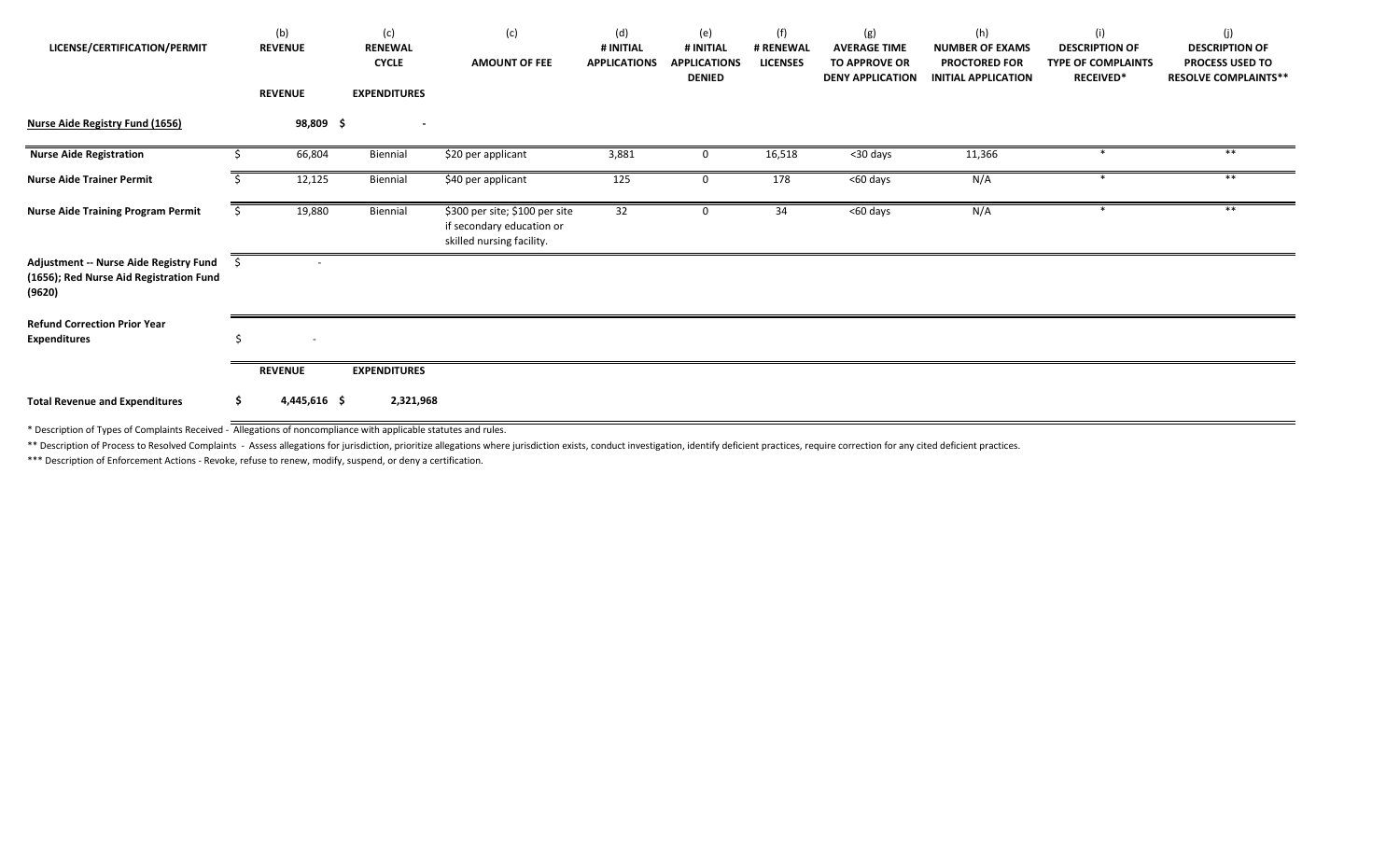| LICENSE/CERTIFICATION/PERMIT                                                                |     | (b)<br><b>REVENUE</b><br><b>REVENUE</b> | (c)<br><b>RENEWAL</b><br><b>CYCLE</b><br><b>EXPENDITURES</b> | (c)<br><b>AMOUNT OF FEE</b>                                                              | (d)<br># INITIAL<br><b>APPLICATIONS</b> | (e)<br># INITIAL<br><b>APPLICATIONS</b><br><b>DENIED</b> | (f)<br># RENEWAL<br><b>LICENSES</b> | (g)<br><b>AVERAGE TIME</b><br><b>TO APPROVE OR</b><br><b>DENY APPLICATION</b> | (h)<br><b>NUMBER OF EXAMS</b><br><b>PROCTORED FOR</b><br><b>INITIAL APPLICATION</b> | (i)<br><b>DESCRIPTION OF</b><br><b>TYPE OF COMPLAINTS</b><br><b>RECEIVED*</b> | (j)<br><b>DESCRIPTION OF</b><br><b>PROCESS USED TO</b><br><b>RESOLVE COMPLAINTS**</b> |
|---------------------------------------------------------------------------------------------|-----|-----------------------------------------|--------------------------------------------------------------|------------------------------------------------------------------------------------------|-----------------------------------------|----------------------------------------------------------|-------------------------------------|-------------------------------------------------------------------------------|-------------------------------------------------------------------------------------|-------------------------------------------------------------------------------|---------------------------------------------------------------------------------------|
| <b>Nurse Aide Registry Fund (1656)</b>                                                      |     | 98,809\$                                | $\overline{\phantom{a}}$                                     |                                                                                          |                                         |                                                          |                                     |                                                                               |                                                                                     |                                                                               |                                                                                       |
| <b>Nurse Aide Registration</b>                                                              | Ś   | 66,804                                  | Biennial                                                     | \$20 per applicant                                                                       | 3,881                                   | $\mathbf 0$                                              | 16,518                              | <30 days                                                                      | 11,366                                                                              |                                                                               | $***$                                                                                 |
| <b>Nurse Aide Trainer Permit</b>                                                            |     | 12,125                                  | Biennial                                                     | \$40 per applicant                                                                       | 125                                     | $\mathbf 0$                                              | 178                                 | <60 days                                                                      | N/A                                                                                 | $\ast$                                                                        | $***$                                                                                 |
| <b>Nurse Aide Training Program Permit</b>                                                   |     | 19,880                                  | Biennial                                                     | \$300 per site; \$100 per site<br>if secondary education or<br>skilled nursing facility. | 32                                      |                                                          | 34                                  | <60 days                                                                      | N/A                                                                                 |                                                                               | $***$                                                                                 |
| Adjustment -- Nurse Aide Registry Fund<br>(1656); Red Nurse Aid Registration Fund<br>(9620) |     |                                         |                                                              |                                                                                          |                                         |                                                          |                                     |                                                                               |                                                                                     |                                                                               |                                                                                       |
| <b>Refund Correction Prior Year</b><br><b>Expenditures</b>                                  | \$  | $\overline{\phantom{a}}$                |                                                              |                                                                                          |                                         |                                                          |                                     |                                                                               |                                                                                     |                                                                               |                                                                                       |
|                                                                                             |     | <b>REVENUE</b>                          | <b>EXPENDITURES</b>                                          |                                                                                          |                                         |                                                          |                                     |                                                                               |                                                                                     |                                                                               |                                                                                       |
| <b>Total Revenue and Expenditures</b>                                                       | \$. | $4,445,616$ \$                          | 2,321,968                                                    |                                                                                          |                                         |                                                          |                                     |                                                                               |                                                                                     |                                                                               |                                                                                       |

\* Description of Types of Complaints Received ‐ Allegations of noncompliance with applicable statutes and rules.

\*\* Description of Process to Resolved Complaints - Assess allegations for jurisdiction, prioritize allegations where jurisdiction exists, conduct investigation, identify deficient practices, require correction for any cite

\*\*\* Description of Enforcement Actions ‐ Revoke, refuse to renew, modify, suspend, or deny <sup>a</sup> certification.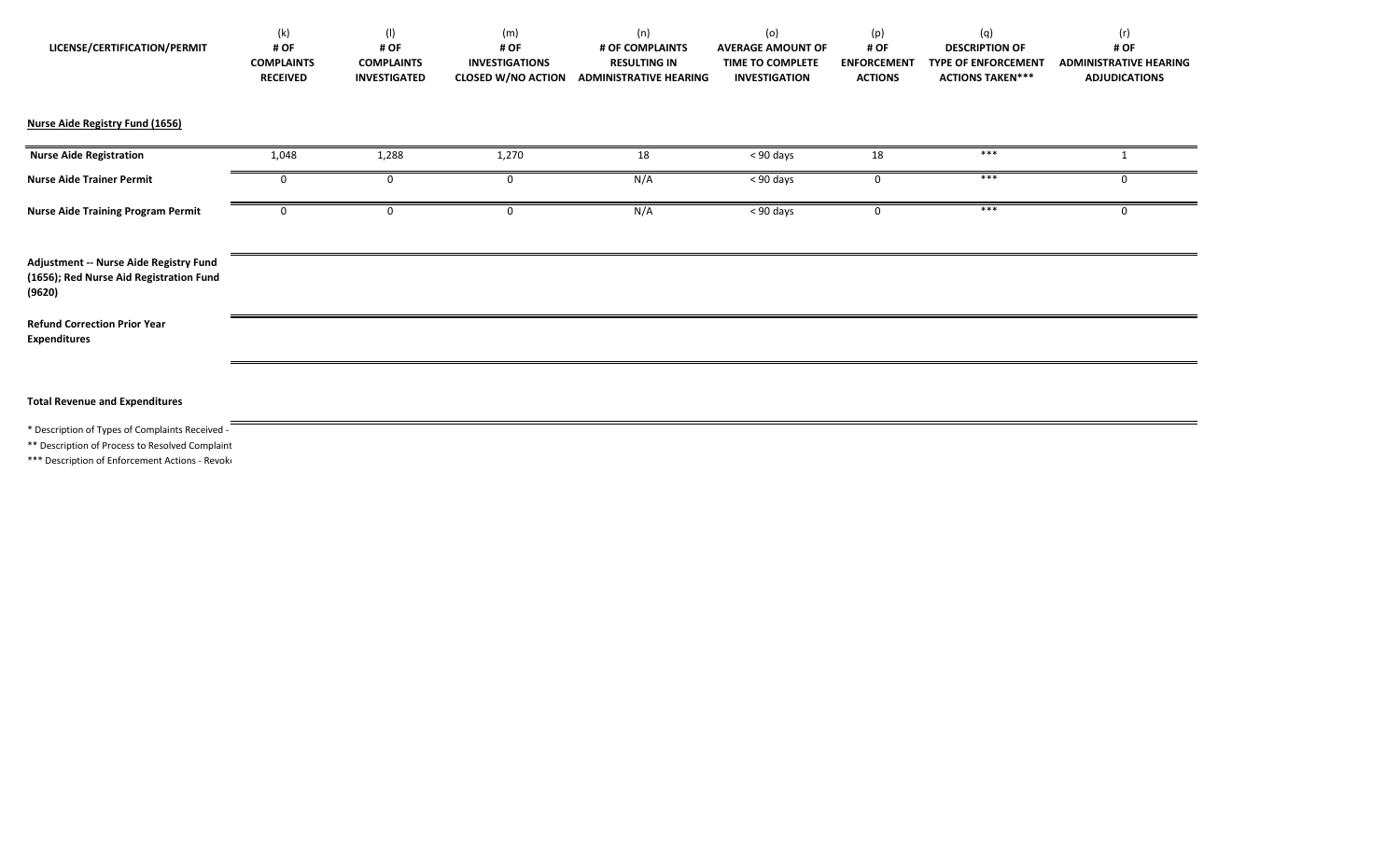| LICENSE/CERTIFICATION/PERMIT                                                                                                                         | (k)<br># OF<br><b>COMPLAINTS</b><br><b>RECEIVED</b> | (1)<br># OF<br><b>COMPLAINTS</b><br><b>INVESTIGATED</b> | (m)<br># OF<br><b>INVESTIGATIONS</b><br><b>CLOSED W/NO ACTION</b> | (n)<br># OF COMPLAINTS<br><b>RESULTING IN</b><br><b>ADMINISTRATIVE HEARING</b> | (o)<br><b>AVERAGE AMOUNT OF</b><br>TIME TO COMPLETE<br><b>INVESTIGATION</b> | (p)<br># OF<br><b>ENFORCEMENT</b><br><b>ACTIONS</b> | (q)<br><b>DESCRIPTION OF</b><br><b>TYPE OF ENFORCEMENT</b><br><b>ACTIONS TAKEN***</b> | (r)<br># OF<br><b>ADMINISTRATIVE HEARING</b><br><b>ADJUDICATIONS</b> |
|------------------------------------------------------------------------------------------------------------------------------------------------------|-----------------------------------------------------|---------------------------------------------------------|-------------------------------------------------------------------|--------------------------------------------------------------------------------|-----------------------------------------------------------------------------|-----------------------------------------------------|---------------------------------------------------------------------------------------|----------------------------------------------------------------------|
| Nurse Aide Registry Fund (1656)                                                                                                                      |                                                     |                                                         |                                                                   |                                                                                |                                                                             |                                                     |                                                                                       |                                                                      |
| <b>Nurse Aide Registration</b>                                                                                                                       | 1,048                                               | 1,288                                                   | 1,270                                                             | 18                                                                             | < 90 days                                                                   | 18                                                  | $***$                                                                                 |                                                                      |
| <b>Nurse Aide Trainer Permit</b>                                                                                                                     | 0                                                   | 0                                                       | 0                                                                 | N/A                                                                            | < 90 days                                                                   | 0                                                   | ***                                                                                   |                                                                      |
| <b>Nurse Aide Training Program Permit</b>                                                                                                            | 0                                                   | 0                                                       | 0                                                                 | N/A                                                                            | $< 90$ days                                                                 | 0                                                   | ***                                                                                   |                                                                      |
| Adjustment -- Nurse Aide Registry Fund<br>(1656); Red Nurse Aid Registration Fund<br>(9620)                                                          |                                                     |                                                         |                                                                   |                                                                                |                                                                             |                                                     |                                                                                       |                                                                      |
| <b>Refund Correction Prior Year</b><br><b>Expenditures</b>                                                                                           |                                                     |                                                         |                                                                   |                                                                                |                                                                             |                                                     |                                                                                       |                                                                      |
|                                                                                                                                                      |                                                     |                                                         |                                                                   |                                                                                |                                                                             |                                                     |                                                                                       |                                                                      |
| <b>Total Revenue and Expenditures</b>                                                                                                                |                                                     |                                                         |                                                                   |                                                                                |                                                                             |                                                     |                                                                                       |                                                                      |
| * Description of Types of Complaints Received -<br>** Description of Process to Resolved Complaint<br>*** Description of Enforcement Actions - Revok |                                                     |                                                         |                                                                   |                                                                                |                                                                             |                                                     |                                                                                       |                                                                      |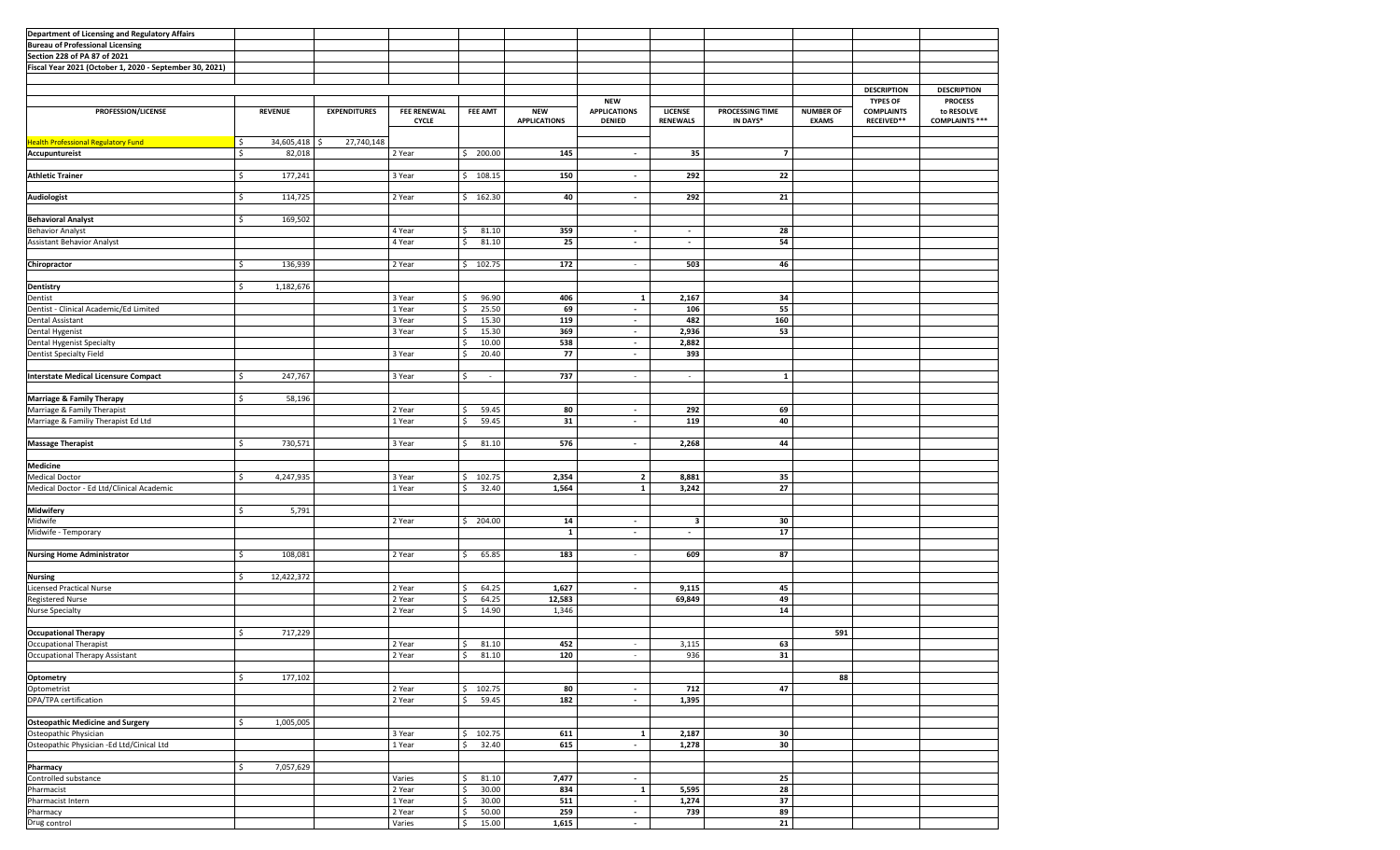| Department of Licensing and Regulatory Affairs          |                  |                     |                                    |                                |                                   |                                                    |                            |                             |                                  |                                                    |                                                       |
|---------------------------------------------------------|------------------|---------------------|------------------------------------|--------------------------------|-----------------------------------|----------------------------------------------------|----------------------------|-----------------------------|----------------------------------|----------------------------------------------------|-------------------------------------------------------|
| <b>Bureau of Professional Licensing</b>                 |                  |                     |                                    |                                |                                   |                                                    |                            |                             |                                  |                                                    |                                                       |
| Section 228 of PA 87 of 2021                            |                  |                     |                                    |                                |                                   |                                                    |                            |                             |                                  |                                                    |                                                       |
| Fiscal Year 2021 (October 1, 2020 - September 30, 2021) |                  |                     |                                    |                                |                                   |                                                    |                            |                             |                                  |                                                    |                                                       |
|                                                         |                  |                     |                                    |                                |                                   |                                                    |                            |                             |                                  |                                                    |                                                       |
|                                                         |                  |                     |                                    |                                |                                   |                                                    |                            |                             |                                  |                                                    |                                                       |
|                                                         |                  |                     |                                    |                                |                                   |                                                    |                            |                             |                                  | <b>DESCRIPTION</b>                                 | <b>DESCRIPTION</b>                                    |
| PROFESSION/LICENSE                                      | <b>REVENUE</b>   | <b>EXPENDITURES</b> | <b>FEE RENEWAL</b><br><b>CYCLE</b> | <b>FEE AMT</b>                 | <b>NEW</b><br><b>APPLICATIONS</b> | <b>NEW</b><br><b>APPLICATIONS</b><br><b>DENIED</b> | LICENSE<br><b>RENEWALS</b> | PROCESSING TIME<br>IN DAYS* | <b>NUMBER OF</b><br><b>EXAMS</b> | <b>TYPES OF</b><br><b>COMPLAINTS</b><br>RECEIVED** | <b>PROCESS</b><br>to RESOLVE<br><b>COMPLAINTS ***</b> |
|                                                         |                  |                     |                                    |                                |                                   |                                                    |                            |                             |                                  |                                                    |                                                       |
| <b>Health Professional Regulatory Fund</b>              | \$<br>34,605,418 | 27,740,148          |                                    |                                |                                   |                                                    |                            |                             |                                  |                                                    |                                                       |
|                                                         |                  |                     |                                    |                                |                                   |                                                    |                            |                             |                                  |                                                    |                                                       |
| Accupuntureist                                          | \$<br>82,018     |                     | 2 Year                             | \$ 200.00                      | 145                               | $\sim$                                             | 35                         | $\overline{7}$              |                                  |                                                    |                                                       |
|                                                         |                  |                     |                                    |                                |                                   |                                                    |                            |                             |                                  |                                                    |                                                       |
| <b>Athletic Trainer</b>                                 | \$<br>177,241    |                     | 3 Year                             | 108.15<br>Ś                    | 150                               | $\overline{\phantom{a}}$                           | 292                        | 22                          |                                  |                                                    |                                                       |
|                                                         |                  |                     |                                    |                                |                                   |                                                    |                            |                             |                                  |                                                    |                                                       |
| Audiologist                                             | 114,725<br>\$    |                     | 2 Year                             | 162.30<br>\$                   | 40                                | $\blacksquare$                                     | 292                        | 21                          |                                  |                                                    |                                                       |
|                                                         |                  |                     |                                    |                                |                                   |                                                    |                            |                             |                                  |                                                    |                                                       |
|                                                         |                  |                     |                                    |                                |                                   |                                                    |                            |                             |                                  |                                                    |                                                       |
| <b>Behavioral Analyst</b>                               | \$<br>169,502    |                     |                                    |                                |                                   |                                                    |                            |                             |                                  |                                                    |                                                       |
| <b>Behavior Analyst</b>                                 |                  |                     | 4 Year                             | 81.10                          | 359                               | $\overline{\phantom{a}}$                           | $\blacksquare$             | 28                          |                                  |                                                    |                                                       |
| <b>Assistant Behavior Analyst</b>                       |                  |                     | 4 Year                             | 81.10<br>Ŝ.                    | 25                                | $\sim$                                             | $\sim$                     | 54                          |                                  |                                                    |                                                       |
|                                                         |                  |                     |                                    |                                |                                   |                                                    |                            |                             |                                  |                                                    |                                                       |
|                                                         |                  |                     |                                    |                                |                                   |                                                    |                            |                             |                                  |                                                    |                                                       |
| Chiropractor                                            | \$<br>136,939    |                     | 2 Year                             | 102.75<br>Ś                    | 172                               |                                                    | 503                        | 46                          |                                  |                                                    |                                                       |
|                                                         |                  |                     |                                    |                                |                                   |                                                    |                            |                             |                                  |                                                    |                                                       |
| Dentistry                                               | 1,182,676<br>\$  |                     |                                    |                                |                                   |                                                    |                            |                             |                                  |                                                    |                                                       |
| Dentist                                                 |                  |                     | 3 Year                             | 96.90<br>Ś                     | 406                               | 1                                                  | 2,167                      | 34                          |                                  |                                                    |                                                       |
|                                                         |                  |                     |                                    |                                |                                   |                                                    |                            |                             |                                  |                                                    |                                                       |
| Dentist - Clinical Academic/Ed Limited                  |                  |                     | 1 Year                             | 25.50<br>l \$                  | 69                                | $\sim$                                             | 106                        | 55                          |                                  |                                                    |                                                       |
| Dental Assistant                                        |                  |                     | 3 Year                             | 15.30<br>.\$                   | 119                               | $\sim$                                             | 482                        | 160                         |                                  |                                                    |                                                       |
| Dental Hygenist                                         |                  |                     | 3 Year                             | 15.30<br>Ŝ                     | 369                               | $\sim$                                             | 2,936                      | 53                          |                                  |                                                    |                                                       |
| Dental Hygenist Specialty                               |                  |                     |                                    | 10.00<br>l \$                  | 538                               | $\sim$                                             | 2,882                      |                             |                                  |                                                    |                                                       |
| Dentist Specialty Field                                 |                  |                     | 3 Year                             | 20.40<br>Ś                     | 77                                | $\sim$                                             | 393                        |                             |                                  |                                                    |                                                       |
|                                                         |                  |                     |                                    |                                |                                   |                                                    |                            |                             |                                  |                                                    |                                                       |
|                                                         |                  |                     |                                    |                                |                                   |                                                    |                            |                             |                                  |                                                    |                                                       |
| <b>Interstate Medical Licensure Compact</b>             | 247,767<br>\$    |                     | 3 Year                             | -Ś<br>$\overline{\phantom{a}}$ | 737                               | $\sim$                                             | $\sim$                     | 1                           |                                  |                                                    |                                                       |
|                                                         |                  |                     |                                    |                                |                                   |                                                    |                            |                             |                                  |                                                    |                                                       |
| <b>Marriage &amp; Family Therapy</b>                    | \$<br>58,196     |                     |                                    |                                |                                   |                                                    |                            |                             |                                  |                                                    |                                                       |
|                                                         |                  |                     |                                    |                                |                                   | $\sim$                                             |                            |                             |                                  |                                                    |                                                       |
| Marriage & Family Therapist                             |                  |                     | 2 Year                             | 59.45<br>Ś                     | 80                                |                                                    | 292                        | 69                          |                                  |                                                    |                                                       |
| Marriage & Familiy Therapist Ed Ltd                     |                  |                     | 1 Year                             | Ŝ.<br>59.45                    | 31                                | $\sim$                                             | 119                        | 40                          |                                  |                                                    |                                                       |
|                                                         |                  |                     |                                    |                                |                                   |                                                    |                            |                             |                                  |                                                    |                                                       |
| <b>Massage Therapist</b>                                | 730,571<br>\$    |                     | 3 Year                             | 81.10<br>-Ś                    | 576                               | $\sim$                                             | 2,268                      | 44                          |                                  |                                                    |                                                       |
|                                                         |                  |                     |                                    |                                |                                   |                                                    |                            |                             |                                  |                                                    |                                                       |
|                                                         |                  |                     |                                    |                                |                                   |                                                    |                            |                             |                                  |                                                    |                                                       |
| <b>Medicine</b>                                         |                  |                     |                                    |                                |                                   |                                                    |                            |                             |                                  |                                                    |                                                       |
| <b>Medical Doctor</b>                                   | \$<br>4,247,935  |                     | 3 Year                             | 102.75<br>-Ś                   | 2,354                             | $\overline{2}$                                     | 8,881                      | 35                          |                                  |                                                    |                                                       |
| Medical Doctor - Ed Ltd/Clinical Academic               |                  |                     | 1 Year                             | 32.40<br>\$                    | 1,564                             | $\mathbf{1}$                                       | 3,242                      | 27                          |                                  |                                                    |                                                       |
|                                                         |                  |                     |                                    |                                |                                   |                                                    |                            |                             |                                  |                                                    |                                                       |
| Midwifery                                               | Ś<br>5,791       |                     |                                    |                                |                                   |                                                    |                            |                             |                                  |                                                    |                                                       |
|                                                         |                  |                     |                                    |                                |                                   |                                                    |                            |                             |                                  |                                                    |                                                       |
| Midwife                                                 |                  |                     | 2 Year                             | 204.00<br>S.                   | 14                                | $\sim$                                             | 3                          | 30                          |                                  |                                                    |                                                       |
| Midwife - Temporary                                     |                  |                     |                                    |                                | $\mathbf{1}$                      | $\sim$                                             | $\sim$                     | 17                          |                                  |                                                    |                                                       |
|                                                         |                  |                     |                                    |                                |                                   |                                                    |                            |                             |                                  |                                                    |                                                       |
| <b>Nursing Home Administrator</b>                       | \$<br>108,081    |                     | 2 Year                             | l\$<br>65.85                   | 183                               | $\sim$                                             | 609                        | 87                          |                                  |                                                    |                                                       |
|                                                         |                  |                     |                                    |                                |                                   |                                                    |                            |                             |                                  |                                                    |                                                       |
|                                                         | \$               |                     |                                    |                                |                                   |                                                    |                            |                             |                                  |                                                    |                                                       |
| <b>Nursing</b>                                          | 12,422,372       |                     |                                    |                                |                                   |                                                    |                            |                             |                                  |                                                    |                                                       |
| <b>Licensed Practical Nurse</b>                         |                  |                     | 2 Year                             | 64.25<br>l \$                  | 1,627                             | $\sim$                                             | 9,115                      | 45                          |                                  |                                                    |                                                       |
| Registered Nurse                                        |                  |                     | 2 Year                             | 64.25<br>Ś                     | 12,583                            |                                                    | 69,849                     | 49                          |                                  |                                                    |                                                       |
| <b>Nurse Specialty</b>                                  |                  |                     | 2 Year                             | 14.90<br>Ŝ                     | 1,346                             |                                                    |                            | 14                          |                                  |                                                    |                                                       |
|                                                         |                  |                     |                                    |                                |                                   |                                                    |                            |                             |                                  |                                                    |                                                       |
| <b>Occupational Therapy</b>                             | Ś<br>717,229     |                     |                                    |                                |                                   |                                                    |                            |                             | 591                              |                                                    |                                                       |
|                                                         |                  |                     |                                    |                                |                                   |                                                    |                            |                             |                                  |                                                    |                                                       |
| Occupational Therapist                                  |                  |                     | 2 Year                             | $\frac{1}{2}$<br>81.10         | 452                               |                                                    | 3,115                      | 63                          |                                  |                                                    |                                                       |
| Occupational Therapy Assistant                          |                  |                     | 2 Year                             | 81.10<br>l \$                  | 120                               | $\sim$                                             | 936                        | 31                          |                                  |                                                    |                                                       |
|                                                         |                  |                     |                                    |                                |                                   |                                                    |                            |                             |                                  |                                                    |                                                       |
| Optometry                                               | 177,102<br>\$    |                     |                                    |                                |                                   |                                                    |                            |                             | 88                               |                                                    |                                                       |
| Optometrist                                             |                  |                     | 2 Year                             | 102.75<br>Ŝ                    | 80                                | $\sim$                                             | 712                        | 47                          |                                  |                                                    |                                                       |
|                                                         |                  |                     |                                    |                                |                                   |                                                    |                            |                             |                                  |                                                    |                                                       |
| DPA/TPA certification                                   |                  |                     | 2 Year                             | 59.45<br>Ŝ                     | 182                               | $\blacksquare$                                     | 1,395                      |                             |                                  |                                                    |                                                       |
|                                                         |                  |                     |                                    |                                |                                   |                                                    |                            |                             |                                  |                                                    |                                                       |
| <b>Osteopathic Medicine and Surgery</b>                 | \$<br>1,005,005  |                     |                                    |                                |                                   |                                                    |                            |                             |                                  |                                                    |                                                       |
| Osteopathic Physician                                   |                  |                     | 3 Year                             | 102.75<br>-Ś                   | 611                               | 1                                                  | 2,187                      | 30                          |                                  |                                                    |                                                       |
| Osteopathic Physician -Ed Ltd/Cinical Ltd               |                  |                     | 1 Year                             | 32.40<br>-Ś                    | 615                               | $\sim$                                             | 1,278                      | 30                          |                                  |                                                    |                                                       |
|                                                         |                  |                     |                                    |                                |                                   |                                                    |                            |                             |                                  |                                                    |                                                       |
|                                                         |                  |                     |                                    |                                |                                   |                                                    |                            |                             |                                  |                                                    |                                                       |
| Pharmacy                                                | 7,057,629<br>\$  |                     |                                    |                                |                                   |                                                    |                            |                             |                                  |                                                    |                                                       |
| Controlled substance                                    |                  |                     | Varies                             | 81.10<br>Ś                     | 7,477                             | $\sim$                                             |                            | 25                          |                                  |                                                    |                                                       |
| Pharmacist                                              |                  |                     | 2 Year                             | 30.00                          | 834                               | $\mathbf{1}$                                       | 5,595                      | 28                          |                                  |                                                    |                                                       |
| Pharmacist Intern                                       |                  |                     | 1 Year                             | 30.00<br>-Ś                    | 511                               | $\sim$                                             | 1,274                      | 37                          |                                  |                                                    |                                                       |
|                                                         |                  |                     |                                    |                                |                                   |                                                    |                            |                             |                                  |                                                    |                                                       |
| Pharmacy                                                |                  |                     | 2 Year                             | 50.00<br>Ŝ                     | 259                               | $\sim$                                             | 739                        | 89                          |                                  |                                                    |                                                       |
| Drug control                                            |                  |                     | Varies                             | Ś<br>15.00                     | 1,615                             |                                                    |                            | 21                          |                                  |                                                    |                                                       |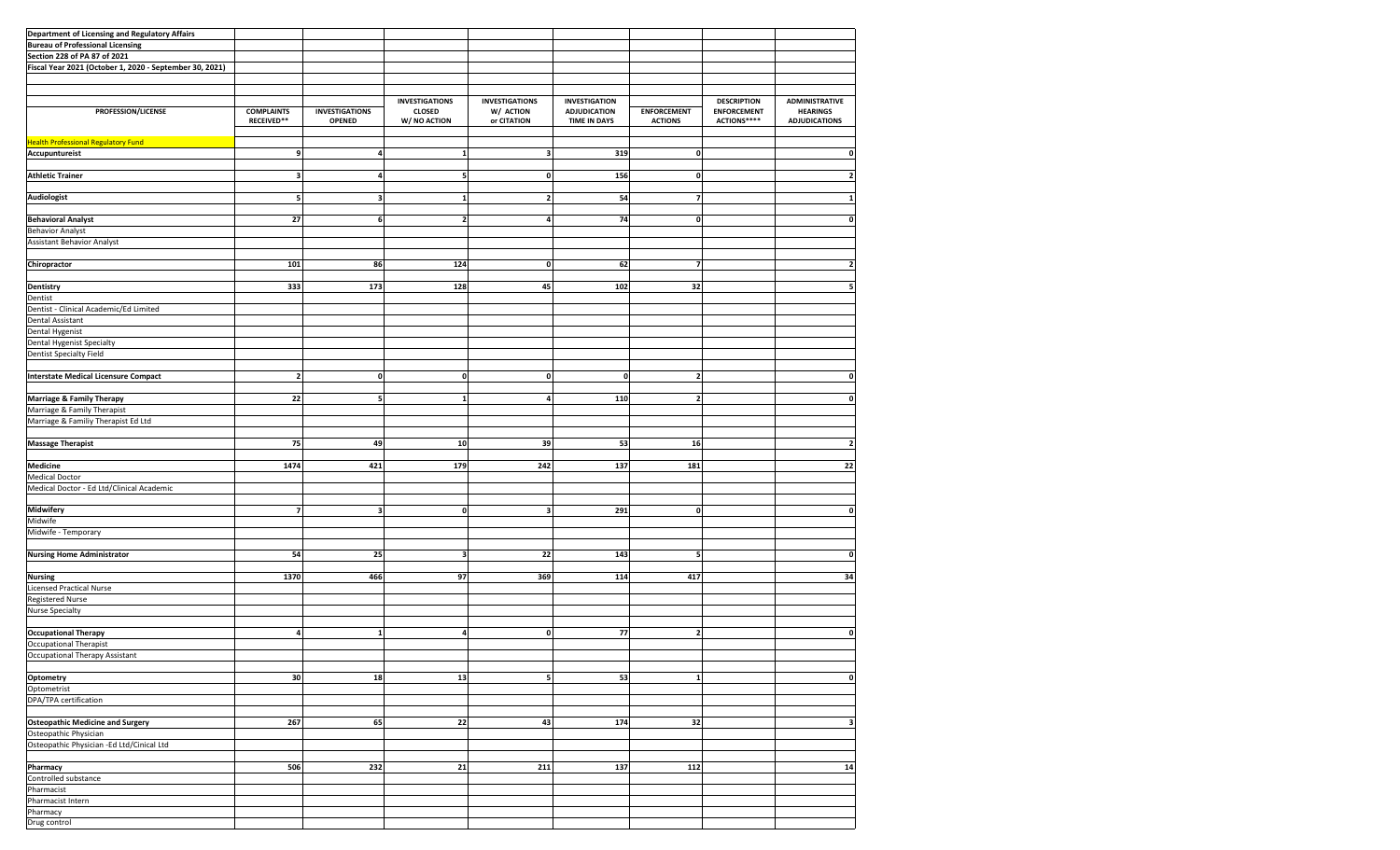| Department of Licensing and Regulatory Affairs          |                   |                         |                       |                         |                      |                    |                    |                         |
|---------------------------------------------------------|-------------------|-------------------------|-----------------------|-------------------------|----------------------|--------------------|--------------------|-------------------------|
| <b>Bureau of Professional Licensing</b>                 |                   |                         |                       |                         |                      |                    |                    |                         |
| Section 228 of PA 87 of 2021                            |                   |                         |                       |                         |                      |                    |                    |                         |
|                                                         |                   |                         |                       |                         |                      |                    |                    |                         |
| Fiscal Year 2021 (October 1, 2020 - September 30, 2021) |                   |                         |                       |                         |                      |                    |                    |                         |
|                                                         |                   |                         |                       |                         |                      |                    |                    |                         |
|                                                         |                   |                         |                       |                         |                      |                    |                    |                         |
|                                                         |                   |                         | <b>INVESTIGATIONS</b> | <b>INVESTIGATIONS</b>   | <b>INVESTIGATION</b> |                    | <b>DESCRIPTION</b> | <b>ADMINISTRATIVE</b>   |
| PROFESSION/LICENSE                                      | <b>COMPLAINTS</b> | <b>INVESTIGATIONS</b>   | <b>CLOSED</b>         | W/ ACTION               | <b>ADJUDICATION</b>  | <b>ENFORCEMENT</b> | <b>ENFORCEMENT</b> | <b>HEARINGS</b>         |
|                                                         | RECEIVED**        | OPENED                  | W/ NO ACTION          | or CITATION             | <b>TIME IN DAYS</b>  | <b>ACTIONS</b>     | ACTIONS****        | <b>ADJUDICATIONS</b>    |
|                                                         |                   |                         |                       |                         |                      |                    |                    |                         |
| <b>Health Professional Regulatory Fund</b>              |                   |                         |                       |                         |                      |                    |                    |                         |
| Accupuntureist                                          | 9                 | 4                       | 1                     | 3                       | 319                  | 0                  |                    | 0                       |
|                                                         |                   |                         |                       |                         |                      |                    |                    |                         |
| <b>Athletic Trainer</b>                                 | 3                 | 4                       | 5                     | 0                       | 156                  | $\mathbf 0$        |                    | $\overline{\mathbf{2}}$ |
|                                                         |                   |                         |                       |                         |                      |                    |                    |                         |
|                                                         |                   |                         |                       |                         |                      |                    |                    |                         |
| <b>Audiologist</b>                                      | 5                 | $\overline{\mathbf{3}}$ | $\mathbf{1}$          | $\overline{\mathbf{2}}$ | 54                   | 7                  |                    |                         |
|                                                         |                   |                         |                       |                         |                      |                    |                    |                         |
| <b>Behavioral Analyst</b>                               | 27                | 6                       | $\overline{2}$        | 4                       | 74                   | $\pmb{\mathsf{o}}$ |                    | $\mathbf 0$             |
| <b>Behavior Analyst</b>                                 |                   |                         |                       |                         |                      |                    |                    |                         |
| <b>Assistant Behavior Analyst</b>                       |                   |                         |                       |                         |                      |                    |                    |                         |
|                                                         |                   |                         |                       |                         |                      |                    |                    |                         |
| Chiropractor                                            | 101               | 86                      | 124                   | 0                       | 62                   | $\overline{7}$     |                    | $\overline{\mathbf{2}}$ |
|                                                         |                   |                         |                       |                         |                      |                    |                    |                         |
|                                                         |                   |                         |                       |                         |                      |                    |                    |                         |
| Dentistry                                               | 333               | 173                     | 128                   | 45                      | 102                  | 32                 |                    |                         |
| Dentist                                                 |                   |                         |                       |                         |                      |                    |                    |                         |
| Dentist - Clinical Academic/Ed Limited                  |                   |                         |                       |                         |                      |                    |                    |                         |
| Dental Assistant                                        |                   |                         |                       |                         |                      |                    |                    |                         |
| Dental Hygenist                                         |                   |                         |                       |                         |                      |                    |                    |                         |
| Dental Hygenist Specialty                               |                   |                         |                       |                         |                      |                    |                    |                         |
| <b>Dentist Specialty Field</b>                          |                   |                         |                       |                         |                      |                    |                    |                         |
|                                                         |                   |                         |                       |                         |                      |                    |                    |                         |
|                                                         |                   |                         |                       |                         |                      |                    |                    |                         |
| <b>Interstate Medical Licensure Compact</b>             | $\overline{2}$    | $\mathbf{0}$            | $\mathbf{0}$          | 0                       | $\mathbf{0}$         | $\mathbf{2}$       |                    | 0                       |
|                                                         |                   |                         |                       |                         |                      |                    |                    |                         |
| <b>Marriage &amp; Family Therapy</b>                    | 22                | 5                       | $\mathbf{1}$          | 4                       | 110                  | $\mathbf{2}$       |                    | $\mathbf{0}$            |
| Marriage & Family Therapist                             |                   |                         |                       |                         |                      |                    |                    |                         |
| Marriage & Familiy Therapist Ed Ltd                     |                   |                         |                       |                         |                      |                    |                    |                         |
|                                                         |                   |                         |                       |                         |                      |                    |                    |                         |
|                                                         |                   |                         |                       |                         |                      |                    |                    |                         |
| <b>Massage Therapist</b>                                | 75                | 49                      | 10                    | 39                      | 53                   | 16                 |                    | $\overline{\mathbf{c}}$ |
|                                                         |                   |                         |                       |                         |                      |                    |                    |                         |
| <b>Medicine</b>                                         | 1474              | 421                     | 179                   | 242                     | 137                  | 181                |                    | 22                      |
| <b>Medical Doctor</b>                                   |                   |                         |                       |                         |                      |                    |                    |                         |
| Medical Doctor - Ed Ltd/Clinical Academic               |                   |                         |                       |                         |                      |                    |                    |                         |
|                                                         |                   |                         |                       |                         |                      |                    |                    |                         |
| Midwifery                                               | $\overline{7}$    | 3                       | $\mathbf{0}$          | 3                       | 291                  | $\mathbf 0$        |                    | $\mathbf 0$             |
|                                                         |                   |                         |                       |                         |                      |                    |                    |                         |
| Midwife                                                 |                   |                         |                       |                         |                      |                    |                    |                         |
| Midwife - Temporary                                     |                   |                         |                       |                         |                      |                    |                    |                         |
|                                                         |                   |                         |                       |                         |                      |                    |                    |                         |
| <b>Nursing Home Administrator</b>                       | 54                | 25                      | 3                     | 22                      | 143                  | 5                  |                    | $\mathbf 0$             |
|                                                         |                   |                         |                       |                         |                      |                    |                    |                         |
| <b>Nursing</b>                                          | 1370              | 466                     | 97                    | 369                     | 114                  | 417                |                    | 34                      |
| <b>Licensed Practical Nurse</b>                         |                   |                         |                       |                         |                      |                    |                    |                         |
|                                                         |                   |                         |                       |                         |                      |                    |                    |                         |
| Registered Nurse                                        |                   |                         |                       |                         |                      |                    |                    |                         |
| <b>Nurse Specialty</b>                                  |                   |                         |                       |                         |                      |                    |                    |                         |
|                                                         |                   |                         |                       |                         |                      |                    |                    |                         |
| <b>Occupational Therapy</b>                             | 4                 | 1                       | 4                     | 0                       | 77                   | $\mathbf{2}$       |                    | $\mathbf 0$             |
| <b>Occupational Therapist</b>                           |                   |                         |                       |                         |                      |                    |                    |                         |
| Occupational Therapy Assistant                          |                   |                         |                       |                         |                      |                    |                    |                         |
|                                                         |                   |                         |                       |                         |                      |                    |                    |                         |
| Optometry                                               | 30                | 18                      | 13                    | 5                       | 53                   | $1\vert$           |                    | $\mathbf 0$             |
|                                                         |                   |                         |                       |                         |                      |                    |                    |                         |
| Optometrist                                             |                   |                         |                       |                         |                      |                    |                    |                         |
| DPA/TPA certification                                   |                   |                         |                       |                         |                      |                    |                    |                         |
|                                                         |                   |                         |                       |                         |                      |                    |                    |                         |
| <b>Osteopathic Medicine and Surgery</b>                 | 267               | 65                      | 22                    | 43                      | 174                  | 32                 |                    | 3                       |
| Osteopathic Physician                                   |                   |                         |                       |                         |                      |                    |                    |                         |
| Osteopathic Physician -Ed Ltd/Cinical Ltd               |                   |                         |                       |                         |                      |                    |                    |                         |
|                                                         |                   |                         |                       |                         |                      |                    |                    |                         |
|                                                         |                   |                         |                       |                         |                      |                    |                    |                         |
|                                                         |                   |                         |                       |                         |                      |                    |                    |                         |
| Pharmacy                                                | 506               | 232                     | 21                    | 211                     | 137                  | 112                |                    | 14                      |
| Controlled substance                                    |                   |                         |                       |                         |                      |                    |                    |                         |
| Pharmacist                                              |                   |                         |                       |                         |                      |                    |                    |                         |
| Pharmacist Intern                                       |                   |                         |                       |                         |                      |                    |                    |                         |
| Pharmacy                                                |                   |                         |                       |                         |                      |                    |                    |                         |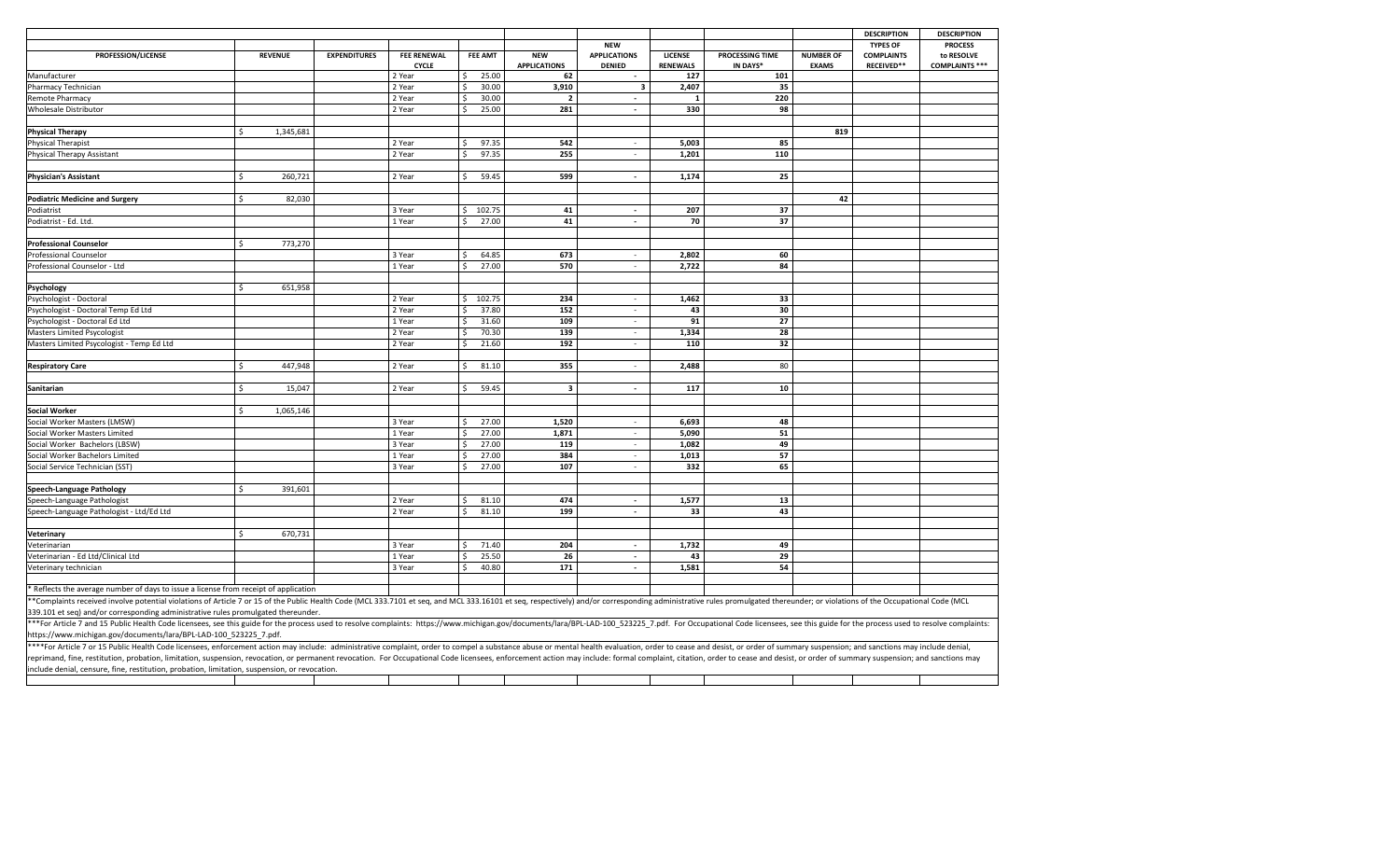|                                                                                                                                                                                                                                |                 |                     |                                    |    |                |                                   |                                      |                                   |                             |                                  | <b>DESCRIPTION</b>                     | <b>DESCRIPTION</b>                  |
|--------------------------------------------------------------------------------------------------------------------------------------------------------------------------------------------------------------------------------|-----------------|---------------------|------------------------------------|----|----------------|-----------------------------------|--------------------------------------|-----------------------------------|-----------------------------|----------------------------------|----------------------------------------|-------------------------------------|
|                                                                                                                                                                                                                                |                 |                     |                                    |    |                |                                   | <b>NEW</b>                           |                                   |                             |                                  | <b>TYPES OF</b>                        | <b>PROCESS</b>                      |
| PROFESSION/LICENSE                                                                                                                                                                                                             | <b>REVENUE</b>  | <b>EXPENDITURES</b> | <b>FEE RENEWAL</b><br><b>CYCLE</b> |    | <b>FEE AMT</b> | <b>NEW</b><br><b>APPLICATIONS</b> | <b>APPLICATIONS</b><br><b>DENIED</b> | <b>LICENSE</b><br><b>RENEWALS</b> | PROCESSING TIME<br>IN DAYS* | <b>NUMBER OF</b><br><b>EXAMS</b> | <b>COMPLAINTS</b><br><b>RECEIVED**</b> | to RESOLVE<br><b>COMPLAINTS ***</b> |
| Manufacturer                                                                                                                                                                                                                   |                 |                     | 2 Year                             | ς. | 25.00          | 62                                | $\sim$                               | 127                               | 101                         |                                  |                                        |                                     |
| Pharmacy Technician                                                                                                                                                                                                            |                 |                     | 2 Year                             |    | 30.00          | 3,910                             | $\overline{\mathbf{3}}$              | 2,407                             | 35                          |                                  |                                        |                                     |
| Remote Pharmacy                                                                                                                                                                                                                |                 |                     | 2 Year                             |    | 30.00          | $\overline{2}$                    | $\mathbf{r}$                         | $\overline{1}$                    | 220                         |                                  |                                        |                                     |
| Wholesale Distributor                                                                                                                                                                                                          |                 |                     | 2 Year                             |    | 25.00          | 281                               | $\blacksquare$                       | 330                               | 98                          |                                  |                                        |                                     |
|                                                                                                                                                                                                                                |                 |                     |                                    |    |                |                                   |                                      |                                   |                             |                                  |                                        |                                     |
| <b>Physical Therapy</b>                                                                                                                                                                                                        | 1,345,681<br>\$ |                     |                                    |    |                |                                   |                                      |                                   |                             | 819                              |                                        |                                     |
| Physical Therapist                                                                                                                                                                                                             |                 |                     | 2 Year                             |    | 97.35          | 542                               | $\bar{\phantom{a}}$                  | 5,003                             | 85                          |                                  |                                        |                                     |
| Physical Therapy Assistant                                                                                                                                                                                                     |                 |                     | 2 Year                             |    | 97.35          | 255                               | $\sim$                               | 1.201                             | 110                         |                                  |                                        |                                     |
|                                                                                                                                                                                                                                |                 |                     |                                    |    |                |                                   |                                      |                                   |                             |                                  |                                        |                                     |
| <b>Physician's Assistant</b>                                                                                                                                                                                                   | Ś<br>260,721    |                     | 2 Year                             |    | 59.45          | 599                               | $\mathcal{L}_{\mathcal{A}}$          | 1,174                             | 25                          |                                  |                                        |                                     |
|                                                                                                                                                                                                                                | 82,030<br>Ś     |                     |                                    |    |                |                                   |                                      |                                   |                             | 42                               |                                        |                                     |
| <b>Podiatric Medicine and Surgery</b>                                                                                                                                                                                          |                 |                     | 3 Year                             | Ś. | 102.75         | 41                                | $\sim$                               | 207                               | 37                          |                                  |                                        |                                     |
| Podiatrist<br>Podiatrist - Ed. Ltd.                                                                                                                                                                                            |                 |                     | 1 Year                             | Ś  | 27.00          | 41                                | $\blacksquare$                       | 70                                | 37                          |                                  |                                        |                                     |
|                                                                                                                                                                                                                                |                 |                     |                                    |    |                |                                   |                                      |                                   |                             |                                  |                                        |                                     |
| <b>Professional Counselor</b>                                                                                                                                                                                                  | 773,270<br>Ś    |                     |                                    |    |                |                                   |                                      |                                   |                             |                                  |                                        |                                     |
| <b>Professional Counselor</b>                                                                                                                                                                                                  |                 |                     | 3 Year                             |    | 64.85          | 673                               | $\overline{\phantom{a}}$             | 2,802                             | 60                          |                                  |                                        |                                     |
| Professional Counselor - Ltd                                                                                                                                                                                                   |                 |                     | 1 Year                             | Ś  | 27.00          | 570                               | $\sim$                               | 2,722                             | 84                          |                                  |                                        |                                     |
|                                                                                                                                                                                                                                |                 |                     |                                    |    |                |                                   |                                      |                                   |                             |                                  |                                        |                                     |
| Psychology                                                                                                                                                                                                                     | 651,958<br>Ŝ.   |                     |                                    |    |                |                                   |                                      |                                   |                             |                                  |                                        |                                     |
| Psychologist - Doctoral                                                                                                                                                                                                        |                 |                     | 2 Year                             | Ś. | 102.75         | 234                               | $\sim$                               | 1,462                             | 33                          |                                  |                                        |                                     |
| Psychologist - Doctoral Temp Ed Ltd                                                                                                                                                                                            |                 |                     | 2 Year                             |    | 37.80          | 152                               | $\overline{\phantom{a}}$             | 43                                | 30                          |                                  |                                        |                                     |
| Psychologist - Doctoral Ed Ltd                                                                                                                                                                                                 |                 |                     | 1 Year                             |    | 31.60          | 109                               | $\sim$                               | 91                                | 27                          |                                  |                                        |                                     |
| <b>Masters Limited Psycologist</b>                                                                                                                                                                                             |                 |                     | 2 Year                             |    | 70.30          | 139                               | $\sim$                               | 1,334                             | 28                          |                                  |                                        |                                     |
| Masters Limited Psycologist - Temp Ed Ltd                                                                                                                                                                                      |                 |                     | 2 Year                             | ς  | 21.60          | 192                               | $\sim$                               | 110                               | 32                          |                                  |                                        |                                     |
|                                                                                                                                                                                                                                |                 |                     |                                    |    |                |                                   |                                      |                                   |                             |                                  |                                        |                                     |
| <b>Respiratory Care</b>                                                                                                                                                                                                        | Ś<br>447,948    |                     | 2 Year                             |    | 81.10          | 355                               | ×.                                   | 2,488                             | 80                          |                                  |                                        |                                     |
|                                                                                                                                                                                                                                |                 |                     |                                    |    |                |                                   |                                      |                                   |                             |                                  |                                        |                                     |
| Sanitarian                                                                                                                                                                                                                     | Ś<br>15,047     |                     | 2 Year                             | ς  | 59.45          | 3                                 | $\blacksquare$                       | 117                               | 10                          |                                  |                                        |                                     |
|                                                                                                                                                                                                                                |                 |                     |                                    |    |                |                                   |                                      |                                   |                             |                                  |                                        |                                     |
| <b>Social Worker</b>                                                                                                                                                                                                           | 1,065,146<br>Ŝ. |                     |                                    |    |                |                                   |                                      |                                   |                             |                                  |                                        |                                     |
| Social Worker Masters (LMSW)                                                                                                                                                                                                   |                 |                     | 3 Year                             |    | 27.00          | 1,520                             | $\sim$                               | 6,693                             | 48                          |                                  |                                        |                                     |
| Social Worker Masters Limited                                                                                                                                                                                                  |                 |                     | 1 Year                             |    | 27.00          | 1,871                             | $\overline{\phantom{a}}$             | 5,090                             | 51                          |                                  |                                        |                                     |
| Social Worker Bachelors (LBSW)                                                                                                                                                                                                 |                 |                     | 3 Year                             |    | 27.00          | 119                               | $\bar{\phantom{a}}$                  | 1.082                             | 49                          |                                  |                                        |                                     |
| Social Worker Bachelors Limited                                                                                                                                                                                                |                 |                     | 1 Year                             |    | 27.00          | 384                               | $\sim$                               | 1,013                             | 57                          |                                  |                                        |                                     |
| Social Service Technician (SST)                                                                                                                                                                                                |                 |                     | 3 Year                             |    | 27.00          | 107                               | $\sim$                               | 332                               | 65                          |                                  |                                        |                                     |
|                                                                                                                                                                                                                                |                 |                     |                                    |    |                |                                   |                                      |                                   |                             |                                  |                                        |                                     |
| Speech-Language Pathology                                                                                                                                                                                                      | Ś<br>391,601    |                     |                                    |    |                |                                   |                                      |                                   |                             |                                  |                                        |                                     |
| Speech-Language Pathologist                                                                                                                                                                                                    |                 |                     | 2 Year                             |    | 81.10          | 474                               | $\mathbf{r}$                         | 1,577                             | 13                          |                                  |                                        |                                     |
| Speech-Language Pathologist - Ltd/Ed Ltd                                                                                                                                                                                       |                 |                     | 2 Year                             |    | 81.10          | 199                               | $\sim$                               | 33                                | 43                          |                                  |                                        |                                     |
|                                                                                                                                                                                                                                |                 |                     |                                    |    |                |                                   |                                      |                                   |                             |                                  |                                        |                                     |
| Veterinary                                                                                                                                                                                                                     | 670,731<br>Ŝ.   |                     |                                    |    |                |                                   |                                      |                                   |                             |                                  |                                        |                                     |
| Veterinarian                                                                                                                                                                                                                   |                 |                     | 3 Year                             |    | 71.40          | 204                               | $\sim$                               | 1,732                             | 49                          |                                  |                                        |                                     |
| Veterinarian - Ed Ltd/Clinical Ltd                                                                                                                                                                                             |                 |                     | 1 Year                             |    | 25.50          | 26                                | $\blacksquare$                       | 43                                | 29                          |                                  |                                        |                                     |
| Veterinary technician                                                                                                                                                                                                          |                 |                     | 3 Year                             |    | 40.80          | 171                               | $\blacksquare$                       | 1,581                             | 54                          |                                  |                                        |                                     |
|                                                                                                                                                                                                                                |                 |                     |                                    |    |                |                                   |                                      |                                   |                             |                                  |                                        |                                     |
| * Reflects the average number of days to issue a license from receipt of application                                                                                                                                           |                 |                     |                                    |    |                |                                   |                                      |                                   |                             |                                  |                                        |                                     |
| *Complaints received involve potential violations of Article 7 or 15 of the Public Health Code (MCL 333.7101 et seq, and MCL 333.16101 et seq, respectively) and/or corresponding administrative rules promulgated thereunder; |                 |                     |                                    |    |                |                                   |                                      |                                   |                             |                                  |                                        |                                     |
| 339.101 et seq) and/or corresponding administrative rules promulgated thereunder.                                                                                                                                              |                 |                     |                                    |    |                |                                   |                                      |                                   |                             |                                  |                                        |                                     |
| ***For Article 7 and 15 Public Health Code licensees, see this guide for the process used to resolve complaints: https://www.michigan.gov/documents/lara/BPL-LAD-100 523225 7.pdf. For Occupational Code licensees, see this g |                 |                     |                                    |    |                |                                   |                                      |                                   |                             |                                  |                                        |                                     |
| https://www.michigan.gov/documents/lara/BPL-LAD-100 523225 7.pdf.                                                                                                                                                              |                 |                     |                                    |    |                |                                   |                                      |                                   |                             |                                  |                                        |                                     |
| ****For Article 7 or 15 Public Health Code licensees, enforcement action may include: administrative complaint, order to compel a substance abuse or mental health evaluation, order to cease and desist, or order of summary  |                 |                     |                                    |    |                |                                   |                                      |                                   |                             |                                  |                                        |                                     |
| reprimand, fine, restitution, probation, limitation, suspension, revocation, or permanent revocation. For Occupational Code licensees, enforcement action may include: formal complaint, citation, order to cease and desist,  |                 |                     |                                    |    |                |                                   |                                      |                                   |                             |                                  |                                        |                                     |
| include denial, censure, fine, restitution, probation, limitation, suspension, or revocation.                                                                                                                                  |                 |                     |                                    |    |                |                                   |                                      |                                   |                             |                                  |                                        |                                     |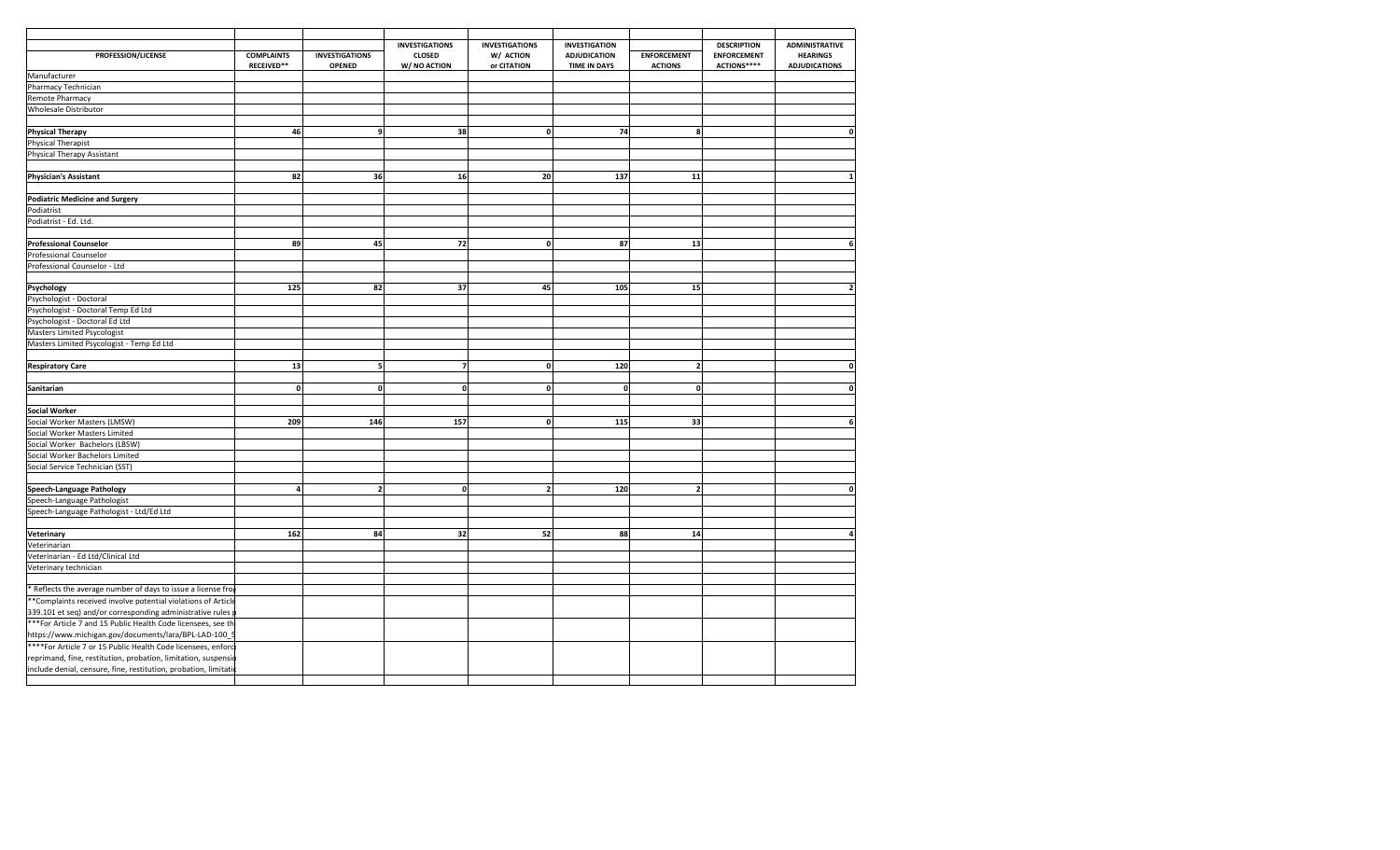|                                                                 |                                 |                                        | <b>INVESTIGATIONS</b>         | <b>INVESTIGATIONS</b>    | <b>INVESTIGATION</b>                       |                                      | <b>DESCRIPTION</b>                | <b>ADMINISTRATIVE</b>                   |
|-----------------------------------------------------------------|---------------------------------|----------------------------------------|-------------------------------|--------------------------|--------------------------------------------|--------------------------------------|-----------------------------------|-----------------------------------------|
| PROFESSION/LICENSE                                              | <b>COMPLAINTS</b><br>RECEIVED** | <b>INVESTIGATIONS</b><br><b>OPENED</b> | <b>CLOSED</b><br>W/ NO ACTION | W/ ACTION<br>or CITATION | <b>ADJUDICATION</b><br><b>TIME IN DAYS</b> | <b>ENFORCEMENT</b><br><b>ACTIONS</b> | <b>ENFORCEMENT</b><br>ACTIONS**** | <b>HEARINGS</b><br><b>ADJUDICATIONS</b> |
| Manufacturer                                                    |                                 |                                        |                               |                          |                                            |                                      |                                   |                                         |
| Pharmacy Technician                                             |                                 |                                        |                               |                          |                                            |                                      |                                   |                                         |
| Remote Pharmacy                                                 |                                 |                                        |                               |                          |                                            |                                      |                                   |                                         |
| Wholesale Distributor                                           |                                 |                                        |                               |                          |                                            |                                      |                                   |                                         |
|                                                                 |                                 |                                        |                               |                          |                                            |                                      |                                   |                                         |
|                                                                 | 46                              |                                        | 38                            | $\mathbf 0$              | 74                                         | 8                                    |                                   |                                         |
| <b>Physical Therapy</b>                                         |                                 | 9                                      |                               |                          |                                            |                                      |                                   |                                         |
| Physical Therapist                                              |                                 |                                        |                               |                          |                                            |                                      |                                   |                                         |
| Physical Therapy Assistant                                      |                                 |                                        |                               |                          |                                            |                                      |                                   |                                         |
|                                                                 |                                 |                                        |                               |                          |                                            |                                      |                                   |                                         |
| <b>Physician's Assistant</b>                                    | 82                              | 36                                     | 16                            | 20                       | 137                                        | 11                                   |                                   |                                         |
|                                                                 |                                 |                                        |                               |                          |                                            |                                      |                                   |                                         |
| <b>Podiatric Medicine and Surgery</b>                           |                                 |                                        |                               |                          |                                            |                                      |                                   |                                         |
| Podiatrist                                                      |                                 |                                        |                               |                          |                                            |                                      |                                   |                                         |
| Podiatrist - Ed. Ltd.                                           |                                 |                                        |                               |                          |                                            |                                      |                                   |                                         |
|                                                                 |                                 |                                        |                               |                          |                                            |                                      |                                   |                                         |
| <b>Professional Counselor</b>                                   | 89                              | 45                                     | 72                            | $\mathbf 0$              | 87                                         | 13                                   |                                   | 6                                       |
| Professional Counselor                                          |                                 |                                        |                               |                          |                                            |                                      |                                   |                                         |
| Professional Counselor - Ltd                                    |                                 |                                        |                               |                          |                                            |                                      |                                   |                                         |
|                                                                 |                                 |                                        |                               |                          |                                            |                                      |                                   |                                         |
| Psychology                                                      | 125                             | 82                                     | 37                            | 45                       | 105                                        | 15                                   |                                   |                                         |
| Psychologist - Doctoral                                         |                                 |                                        |                               |                          |                                            |                                      |                                   |                                         |
| Psychologist - Doctoral Temp Ed Ltd                             |                                 |                                        |                               |                          |                                            |                                      |                                   |                                         |
|                                                                 |                                 |                                        |                               |                          |                                            |                                      |                                   |                                         |
| Psychologist - Doctoral Ed Ltd                                  |                                 |                                        |                               |                          |                                            |                                      |                                   |                                         |
| Masters Limited Psycologist                                     |                                 |                                        |                               |                          |                                            |                                      |                                   |                                         |
| Masters Limited Psycologist - Temp Ed Ltd                       |                                 |                                        |                               |                          |                                            |                                      |                                   |                                         |
|                                                                 |                                 |                                        |                               |                          |                                            |                                      |                                   |                                         |
| <b>Respiratory Care</b>                                         | 13                              | 5                                      | $\overline{\mathbf{z}}$       | $\mathbf{0}$             | 120                                        | $\overline{2}$                       |                                   | 0                                       |
|                                                                 |                                 |                                        |                               |                          |                                            |                                      |                                   |                                         |
| Sanitarian                                                      | $\mathbf{0}$                    | $\mathbf{0}$                           | $\mathbf{0}$                  | $\mathbf{0}$             | $\Omega$                                   | $\mathbf{0}$                         |                                   | O                                       |
|                                                                 |                                 |                                        |                               |                          |                                            |                                      |                                   |                                         |
| Social Worker                                                   |                                 |                                        |                               |                          |                                            |                                      |                                   |                                         |
| Social Worker Masters (LMSW)                                    | 209                             | 146                                    | 157                           | $\mathbf{0}$             | 115                                        | 33                                   |                                   | 6                                       |
| Social Worker Masters Limited                                   |                                 |                                        |                               |                          |                                            |                                      |                                   |                                         |
| Social Worker Bachelors (LBSW)                                  |                                 |                                        |                               |                          |                                            |                                      |                                   |                                         |
| Social Worker Bachelors Limited                                 |                                 |                                        |                               |                          |                                            |                                      |                                   |                                         |
| Social Service Technician (SST)                                 |                                 |                                        |                               |                          |                                            |                                      |                                   |                                         |
|                                                                 |                                 |                                        |                               |                          |                                            |                                      |                                   |                                         |
| <b>Speech-Language Pathology</b>                                | $\overline{a}$                  | $\overline{2}$                         | $\mathbf{0}$                  | $\overline{2}$           | 120                                        | $\overline{2}$                       |                                   | O                                       |
| Speech-Language Pathologist                                     |                                 |                                        |                               |                          |                                            |                                      |                                   |                                         |
| Speech-Language Pathologist - Ltd/Ed Ltd                        |                                 |                                        |                               |                          |                                            |                                      |                                   |                                         |
|                                                                 |                                 |                                        |                               |                          |                                            |                                      |                                   |                                         |
| Veterinary                                                      | 162                             | 84                                     | 32                            | 52                       | 88                                         | 14                                   |                                   |                                         |
| Veterinarian                                                    |                                 |                                        |                               |                          |                                            |                                      |                                   |                                         |
| Veterinarian - Ed Ltd/Clinical Ltd                              |                                 |                                        |                               |                          |                                            |                                      |                                   |                                         |
|                                                                 |                                 |                                        |                               |                          |                                            |                                      |                                   |                                         |
| Veterinary technician                                           |                                 |                                        |                               |                          |                                            |                                      |                                   |                                         |
|                                                                 |                                 |                                        |                               |                          |                                            |                                      |                                   |                                         |
| * Reflects the average number of days to issue a license fror   |                                 |                                        |                               |                          |                                            |                                      |                                   |                                         |
| **Complaints received involve potential violations of Article   |                                 |                                        |                               |                          |                                            |                                      |                                   |                                         |
| 339.101 et seq) and/or corresponding administrative rules       |                                 |                                        |                               |                          |                                            |                                      |                                   |                                         |
| ***For Article 7 and 15 Public Health Code licensees, see th    |                                 |                                        |                               |                          |                                            |                                      |                                   |                                         |
| https://www.michigan.gov/documents/lara/BPL-LAD-100_            |                                 |                                        |                               |                          |                                            |                                      |                                   |                                         |
| ****For Article 7 or 15 Public Health Code licensees, enforc    |                                 |                                        |                               |                          |                                            |                                      |                                   |                                         |
| reprimand, fine, restitution, probation, limitation, suspensio  |                                 |                                        |                               |                          |                                            |                                      |                                   |                                         |
| include denial, censure, fine, restitution, probation, limitati |                                 |                                        |                               |                          |                                            |                                      |                                   |                                         |
|                                                                 |                                 |                                        |                               |                          |                                            |                                      |                                   |                                         |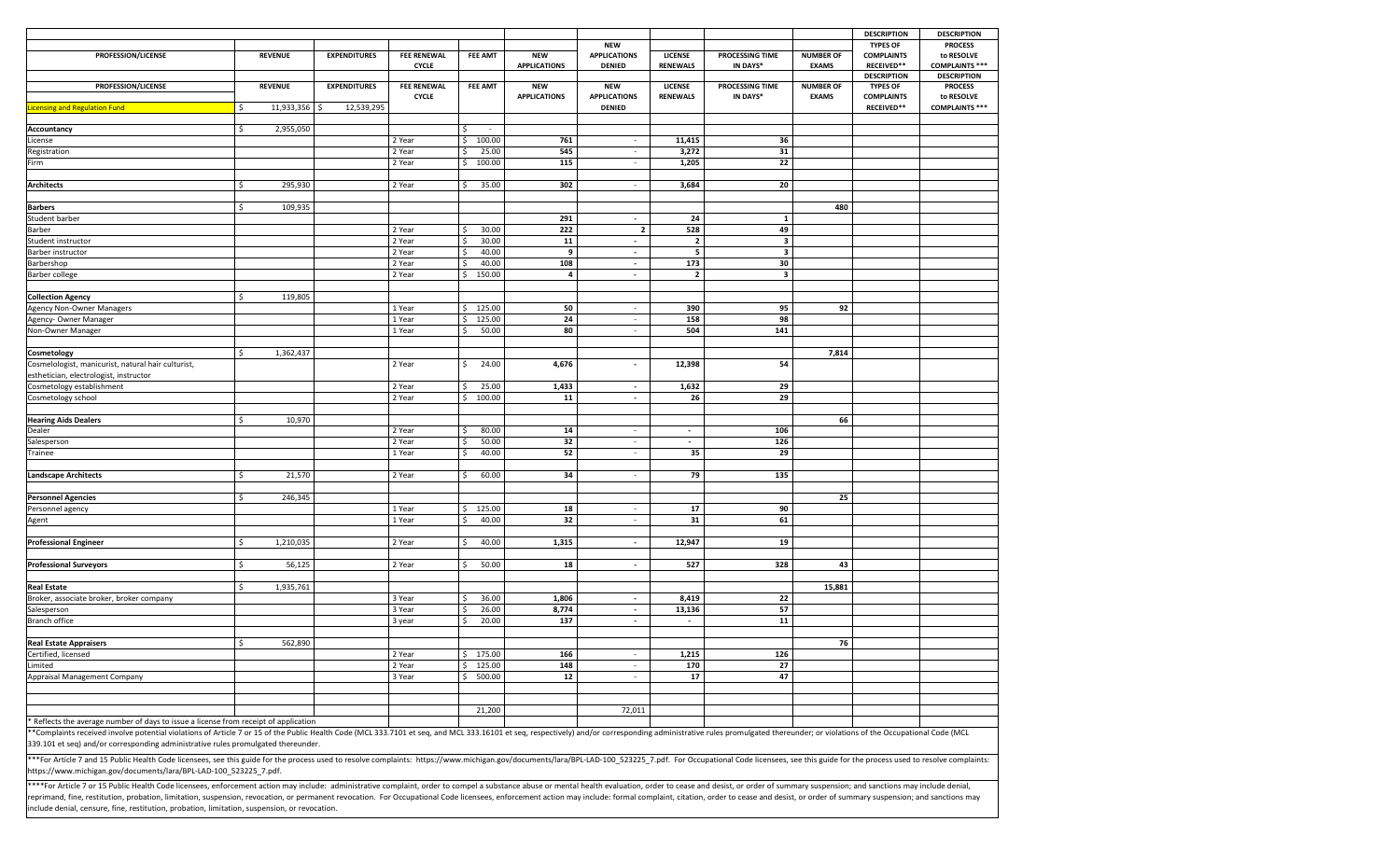|                                                                                                                                                                                                                                |                 |                     |                    |                |                         |                          |                         |                         |                  | <b>DESCRIPTION</b>              | <b>DESCRIPTION</b>    |
|--------------------------------------------------------------------------------------------------------------------------------------------------------------------------------------------------------------------------------|-----------------|---------------------|--------------------|----------------|-------------------------|--------------------------|-------------------------|-------------------------|------------------|---------------------------------|-----------------------|
|                                                                                                                                                                                                                                |                 |                     |                    |                |                         | <b>NEW</b>               |                         |                         |                  | <b>TYPES OF</b>                 | <b>PROCESS</b>        |
| PROFESSION/LICENSE                                                                                                                                                                                                             | <b>REVENUE</b>  | <b>EXPENDITURES</b> | <b>FEE RENEWAL</b> | <b>FEE AMT</b> | <b>NEW</b>              | <b>APPLICATIONS</b>      | LICENSE                 | PROCESSING TIME         | <b>NUMBER OF</b> | <b>COMPLAINTS</b>               | to RESOLVE            |
|                                                                                                                                                                                                                                |                 |                     | <b>CYCLE</b>       |                | <b>APPLICATIONS</b>     | <b>DENIED</b>            | <b>RENEWALS</b>         | IN DAYS*                | <b>EXAMS</b>     | <b>RECEIVED**</b>               | <b>COMPLAINTS ***</b> |
|                                                                                                                                                                                                                                |                 |                     |                    |                |                         |                          |                         |                         |                  | <b>DESCRIPTION</b>              | <b>DESCRIPTION</b>    |
| PROFESSION/LICENSE                                                                                                                                                                                                             | <b>REVENUE</b>  | <b>EXPENDITURES</b> | <b>FEE RENEWAL</b> | <b>FEE AMT</b> | <b>NEW</b>              | <b>NEW</b>               | <b>LICENSE</b>          | PROCESSING TIME         | <b>NUMBER OF</b> | <b>TYPES OF</b>                 | <b>PROCESS</b>        |
|                                                                                                                                                                                                                                | Š.              |                     | <b>CYCLE</b>       |                | <b>APPLICATIONS</b>     | <b>APPLICATIONS</b>      | <b>RENEWALS</b>         | IN DAYS*                | <b>EXAMS</b>     | <b>COMPLAINTS</b><br>RECEIVED** | to RESOLVE            |
| <b>Icensing and Regulation Fund</b>                                                                                                                                                                                            | 11,933,356      | 12,539,295<br>.s    |                    |                |                         | <b>DENIED</b>            |                         |                         |                  |                                 | <b>COMPLAINTS ***</b> |
| Accountancy                                                                                                                                                                                                                    | Ś<br>2,955,050  |                     |                    | $\sim$         |                         |                          |                         |                         |                  |                                 |                       |
| License                                                                                                                                                                                                                        |                 |                     | 2 Year             | 100.00<br>Ś.   | 761                     | $\sim$                   | 11,415                  | 36                      |                  |                                 |                       |
| Registration                                                                                                                                                                                                                   |                 |                     | 2 Year             | 25.00          | 545                     | $\overline{\phantom{a}}$ | 3,272                   | 31                      |                  |                                 |                       |
| Firm                                                                                                                                                                                                                           |                 |                     | 2 Year             | Ś.<br>100.00   | 115                     | $\overline{\phantom{a}}$ | 1,205                   | 22                      |                  |                                 |                       |
|                                                                                                                                                                                                                                |                 |                     |                    |                |                         |                          |                         |                         |                  |                                 |                       |
| <b>Architects</b>                                                                                                                                                                                                              | 295,930<br>Ŝ.   |                     | 2 Year             | 35.00          | 302                     | $\overline{\phantom{a}}$ | 3,684                   | 20                      |                  |                                 |                       |
|                                                                                                                                                                                                                                |                 |                     |                    |                |                         |                          |                         |                         |                  |                                 |                       |
| <b>Barbers</b>                                                                                                                                                                                                                 | 109,935<br>Ś.   |                     |                    |                |                         |                          |                         |                         | 480              |                                 |                       |
| Student barber                                                                                                                                                                                                                 |                 |                     |                    |                | 291                     | $\overline{\phantom{a}}$ | 24                      | 1                       |                  |                                 |                       |
| Barber                                                                                                                                                                                                                         |                 |                     | 2 Year             | 30.00<br>Š.    | 222                     | $\overline{\mathbf{2}}$  | 528                     | 49                      |                  |                                 |                       |
| Student instructor                                                                                                                                                                                                             |                 |                     | 2 Year             | 30.00<br>Š.    | 11                      | $\sim$                   | $\overline{\mathbf{2}}$ | $\overline{\mathbf{3}}$ |                  |                                 |                       |
| Barber instructor                                                                                                                                                                                                              |                 |                     | 2 Year             | 40.00          | 9                       | $\blacksquare$           | 5                       | 3                       |                  |                                 |                       |
| Barbershop                                                                                                                                                                                                                     |                 |                     | 2 Year             | 40.00          | 108                     | $\sim$                   | 173                     | 30                      |                  |                                 |                       |
| Barber college                                                                                                                                                                                                                 |                 |                     | 2 Year             | 150.00<br>Ś.   | $\overline{\mathbf{a}}$ | $\mathbf{r}$             | $\overline{2}$          | 3                       |                  |                                 |                       |
|                                                                                                                                                                                                                                |                 |                     |                    |                |                         |                          |                         |                         |                  |                                 |                       |
| <b>Collection Agency</b>                                                                                                                                                                                                       | 119,805<br>\$   |                     |                    |                |                         |                          |                         |                         |                  |                                 |                       |
| <b>Agency Non-Owner Managers</b>                                                                                                                                                                                               |                 |                     | 1 Year             | 125.00<br>Ś.   | 50                      | ×.                       | 390                     | 95                      | 92               |                                 |                       |
| Agency- Owner Manager                                                                                                                                                                                                          |                 |                     | 1 Year             | 125.00         | 24                      | $\sim$                   | 158                     | 98                      |                  |                                 |                       |
| Non-Owner Manager                                                                                                                                                                                                              |                 |                     | 1 Year             | 50.00          | 80                      | $\sim$                   | 504                     | 141                     |                  |                                 |                       |
|                                                                                                                                                                                                                                |                 |                     |                    |                |                         |                          |                         |                         |                  |                                 |                       |
| Cosmetology                                                                                                                                                                                                                    | 1,362,437<br>Ŝ. |                     |                    |                |                         |                          |                         |                         | 7,814            |                                 |                       |
| Cosmelologist, manicurist, natural hair culturist,                                                                                                                                                                             |                 |                     | 2 Year             | \$<br>24.00    | 4,676                   | $\blacksquare$           | 12,398                  | 54                      |                  |                                 |                       |
| esthetician, electrologist, instructor                                                                                                                                                                                         |                 |                     |                    |                |                         |                          |                         |                         |                  |                                 |                       |
| Cosmetology establishment                                                                                                                                                                                                      |                 |                     | 2 Year             | 25.00<br>Ŝ.    | 1,433                   | $\sim$                   | 1,632                   | 29                      |                  |                                 |                       |
| Cosmetology school                                                                                                                                                                                                             |                 |                     | 2 Year             | 100.00<br>\$   | 11                      | $\sim$                   | 26                      | 29                      |                  |                                 |                       |
|                                                                                                                                                                                                                                |                 |                     |                    |                |                         |                          |                         |                         |                  |                                 |                       |
| <b>Hearing Aids Dealers</b>                                                                                                                                                                                                    | Š.<br>10,970    |                     |                    |                |                         |                          |                         |                         | 66               |                                 |                       |
| Dealer                                                                                                                                                                                                                         |                 |                     | 2 Year             | 80.00          | 14                      | $\overline{\phantom{a}}$ | $\sim$                  | 106                     |                  |                                 |                       |
| Salesperson                                                                                                                                                                                                                    |                 |                     | 2 Year             | 50.00          | 32                      | $\sim$                   | $\blacksquare$          | 126                     |                  |                                 |                       |
| Trainee                                                                                                                                                                                                                        |                 |                     | 1 Year             | 40.00          | 52                      | $\sim$                   | 35                      | 29                      |                  |                                 |                       |
|                                                                                                                                                                                                                                |                 |                     |                    |                |                         |                          |                         |                         |                  |                                 |                       |
| <b>Landscape Architects</b>                                                                                                                                                                                                    | 21,570<br>Ŝ.    |                     | 2 Year             | 60.00<br>ς.    | 34                      | $\overline{\phantom{a}}$ | 79                      | 135                     |                  |                                 |                       |
|                                                                                                                                                                                                                                |                 |                     |                    |                |                         |                          |                         |                         |                  |                                 |                       |
| <b>Personnel Agencies</b>                                                                                                                                                                                                      | \$<br>246,345   |                     |                    |                |                         |                          |                         |                         | 25               |                                 |                       |
| Personnel agency                                                                                                                                                                                                               |                 |                     | 1 Year             | 125.00<br>Ś.   | 18                      | $\overline{\phantom{a}}$ | 17                      | 90                      |                  |                                 |                       |
| Agent                                                                                                                                                                                                                          |                 |                     | 1 Year             | 40.00          | 32                      | $\sim$                   | 31                      | 61                      |                  |                                 |                       |
|                                                                                                                                                                                                                                |                 |                     |                    |                |                         |                          |                         |                         |                  |                                 |                       |
| <b>Professional Engineer</b>                                                                                                                                                                                                   | 1,210,035<br>Ŝ. |                     | 2 Year             | 40.00<br>ς.    | 1,315                   | $\blacksquare$           | 12,947                  | 19                      |                  |                                 |                       |
|                                                                                                                                                                                                                                |                 |                     |                    |                |                         |                          |                         |                         |                  |                                 |                       |
| <b>Professional Surveyors</b>                                                                                                                                                                                                  | 56,125<br>\$    |                     | 2 Year             | 50.00<br>Ŝ.    | 18                      | $\sim$                   | 527                     | 328                     | 43               |                                 |                       |
|                                                                                                                                                                                                                                |                 |                     |                    |                |                         |                          |                         |                         |                  |                                 |                       |
| <b>Real Estate</b>                                                                                                                                                                                                             | 1,935,761<br>Š. |                     |                    |                |                         |                          |                         |                         | 15,881           |                                 |                       |
| Broker, associate broker, broker company                                                                                                                                                                                       |                 |                     | 3 Year             | 36.00          | 1,806                   | $\sim$                   | 8,419                   | 22                      |                  |                                 |                       |
| Salesperson                                                                                                                                                                                                                    |                 |                     | 3 Year             | 26.00          | 8,774                   | $\blacksquare$           | 13,136                  | 57                      |                  |                                 |                       |
| Branch office                                                                                                                                                                                                                  |                 |                     | 3 year             | 20.00          | 137                     | $\blacksquare$           |                         | 11                      |                  |                                 |                       |
|                                                                                                                                                                                                                                |                 |                     |                    |                |                         |                          |                         |                         |                  |                                 |                       |
| <b>Real Estate Appraisers</b>                                                                                                                                                                                                  | 562,890<br>Ŝ    |                     |                    |                |                         |                          |                         |                         | 76               |                                 |                       |
| Certified, licensed                                                                                                                                                                                                            |                 |                     | 2 Year             | \$175.00       | 166                     | $\overline{\phantom{a}}$ | 1,215                   | 126                     |                  |                                 |                       |
| Limited                                                                                                                                                                                                                        |                 |                     | 2 Year             | \$125.00       | 148                     | $\sim$                   | 170                     | 27                      |                  |                                 |                       |
| Appraisal Management Company                                                                                                                                                                                                   |                 |                     | 3 Year             | 500.00<br>\$   | $12$                    | $\overline{\phantom{a}}$ | 17                      | 47                      |                  |                                 |                       |
|                                                                                                                                                                                                                                |                 |                     |                    |                |                         |                          |                         |                         |                  |                                 |                       |
|                                                                                                                                                                                                                                |                 |                     |                    |                |                         |                          |                         |                         |                  |                                 |                       |
|                                                                                                                                                                                                                                |                 |                     |                    | 21,200         |                         | 72,011                   |                         |                         |                  |                                 |                       |
| Reflects the average number of days to issue a license from receipt of application                                                                                                                                             |                 |                     |                    |                |                         |                          |                         |                         |                  |                                 |                       |
| **Complaints received involve potential violations of Article 7 or 15 of the Public Health Code (MCL 333.7101 et seq, and MCL 333.16101 et seq, respectively) and/or corresponding administrative rules promulgated thereunder |                 |                     |                    |                |                         |                          |                         |                         |                  |                                 |                       |
| 339.101 et seq) and/or corresponding administrative rules promulgated thereunder.                                                                                                                                              |                 |                     |                    |                |                         |                          |                         |                         |                  |                                 |                       |
|                                                                                                                                                                                                                                |                 |                     |                    |                |                         |                          |                         |                         |                  |                                 |                       |
| ***For Article 7 and 15 Public Health Code licensees, see this guide for the process used to resolve complaints: https://www.michigan.gov/documents/lara/BPL-LAD-100_523225_7.pdf. For Occupational Code licensees, see this g |                 |                     |                    |                |                         |                          |                         |                         |                  |                                 |                       |

https://www.michigan.gov/documents/lara/BPL‐LAD‐100\_523225\_7.pdf.

\*\*\*For Article 7 or 15 Public Health Code licensees, enforcement action may include: administrative complaint, order to compel a substance abuse or mental health evaluation, order to cease and desist, or order of summary s reprimand, fine, restitution, probation, limitation, suspension, revocation, or permanent revocation. For Occupational Code licensees, enforcement action may include: formal complaint, citation, order to cease and desist, include denial, censure, fine, restitution, probation, limitation, suspension, or revocation.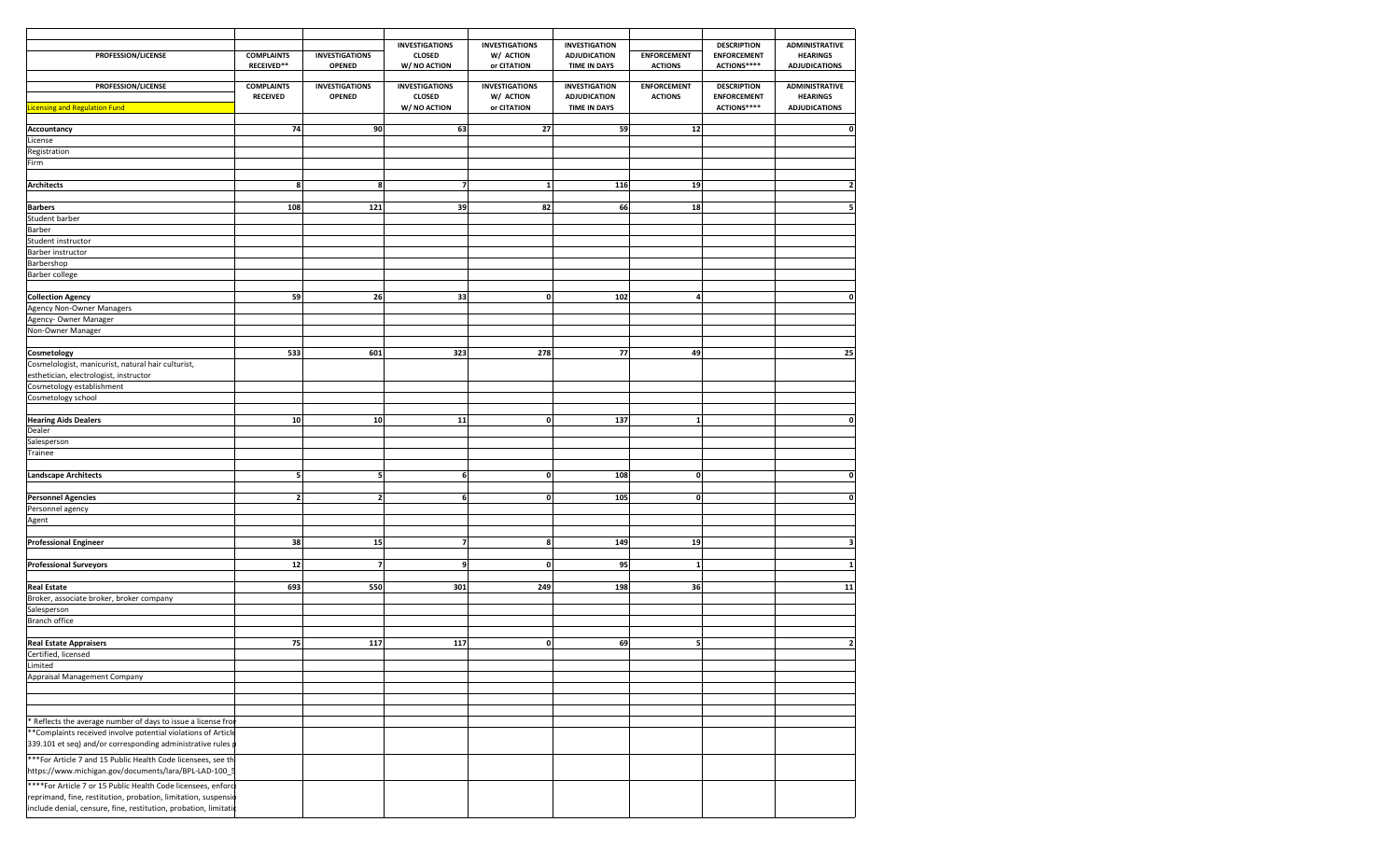|                                                                 |                                      |                                        | <b>INVESTIGATIONS</b>                  | <b>INVESTIGATIONS</b>              | <b>INVESTIGATION</b>                        |                                      | <b>DESCRIPTION</b>                       | <b>ADMINISTRATIVE</b>                    |
|-----------------------------------------------------------------|--------------------------------------|----------------------------------------|----------------------------------------|------------------------------------|---------------------------------------------|--------------------------------------|------------------------------------------|------------------------------------------|
| PROFESSION/LICENSE                                              | <b>COMPLAINTS</b>                    | <b>INVESTIGATIONS</b>                  | <b>CLOSED</b>                          | W/ ACTION                          | <b>ADJUDICATION</b>                         | <b>ENFORCEMENT</b>                   | <b>ENFORCEMENT</b>                       | <b>HEARINGS</b>                          |
|                                                                 | RECEIVED**                           | <b>OPENED</b>                          | W/ NO ACTION                           | or CITATION                        | <b>TIME IN DAYS</b>                         | <b>ACTIONS</b>                       | ACTIONS****                              | <b>ADJUDICATIONS</b>                     |
|                                                                 |                                      |                                        |                                        |                                    |                                             |                                      |                                          |                                          |
| PROFESSION/LICENSE                                              | <b>COMPLAINTS</b><br><b>RECEIVED</b> | <b>INVESTIGATIONS</b><br><b>OPENED</b> | <b>INVESTIGATIONS</b><br><b>CLOSED</b> | <b>INVESTIGATIONS</b><br>W/ ACTION | <b>INVESTIGATION</b><br><b>ADJUDICATION</b> | <b>ENFORCEMENT</b><br><b>ACTIONS</b> | <b>DESCRIPTION</b><br><b>ENFORCEMENT</b> | <b>ADMINISTRATIVE</b><br><b>HEARINGS</b> |
| icensing and Regulation Fund                                    |                                      |                                        | W/ NO ACTION                           | or CITATION                        | <b>TIME IN DAYS</b>                         |                                      | ACTIONS****                              | <b>ADJUDICATIONS</b>                     |
|                                                                 |                                      |                                        |                                        |                                    |                                             |                                      |                                          |                                          |
| Accountancy                                                     | 74                                   | 90                                     | 63                                     | 27                                 | 59                                          | 12                                   |                                          | 0                                        |
| License                                                         |                                      |                                        |                                        |                                    |                                             |                                      |                                          |                                          |
| Registration                                                    |                                      |                                        |                                        |                                    |                                             |                                      |                                          |                                          |
| Firm                                                            |                                      |                                        |                                        |                                    |                                             |                                      |                                          |                                          |
|                                                                 |                                      |                                        |                                        |                                    |                                             |                                      |                                          |                                          |
| Architects                                                      | 8                                    | 8                                      | 7                                      | $\mathbf{1}$                       | 116                                         | 19                                   |                                          |                                          |
|                                                                 |                                      |                                        |                                        |                                    |                                             |                                      |                                          |                                          |
| <b>Barbers</b>                                                  | 108                                  | 121                                    | 39                                     | 82                                 | 66                                          | 18                                   |                                          | 5                                        |
| Student barber                                                  |                                      |                                        |                                        |                                    |                                             |                                      |                                          |                                          |
| Barber                                                          |                                      |                                        |                                        |                                    |                                             |                                      |                                          |                                          |
| Student instructor                                              |                                      |                                        |                                        |                                    |                                             |                                      |                                          |                                          |
| Barber instructor                                               |                                      |                                        |                                        |                                    |                                             |                                      |                                          |                                          |
| Barbershop                                                      |                                      |                                        |                                        |                                    |                                             |                                      |                                          |                                          |
| Barber college                                                  |                                      |                                        |                                        |                                    |                                             |                                      |                                          |                                          |
|                                                                 |                                      |                                        |                                        |                                    |                                             |                                      |                                          |                                          |
| <b>Collection Agency</b>                                        | 59                                   | 26                                     | 33                                     | $\mathbf 0$                        | 102                                         | 4                                    |                                          | 0                                        |
| Agency Non-Owner Managers                                       |                                      |                                        |                                        |                                    |                                             |                                      |                                          |                                          |
| Agency- Owner Manager                                           |                                      |                                        |                                        |                                    |                                             |                                      |                                          |                                          |
| Non-Owner Manager                                               |                                      |                                        |                                        |                                    |                                             |                                      |                                          |                                          |
|                                                                 |                                      |                                        |                                        |                                    |                                             |                                      |                                          |                                          |
| Cosmetology                                                     | 533                                  | 601                                    | 323                                    | 278                                | 77                                          | 49                                   |                                          | 25                                       |
| Cosmelologist, manicurist, natural hair culturist,              |                                      |                                        |                                        |                                    |                                             |                                      |                                          |                                          |
| esthetician, electrologist, instructor                          |                                      |                                        |                                        |                                    |                                             |                                      |                                          |                                          |
| Cosmetology establishment                                       |                                      |                                        |                                        |                                    |                                             |                                      |                                          |                                          |
| Cosmetology school                                              |                                      |                                        |                                        |                                    |                                             |                                      |                                          |                                          |
|                                                                 |                                      |                                        |                                        |                                    |                                             |                                      |                                          |                                          |
| <b>Hearing Aids Dealers</b>                                     | 10                                   | 10                                     | 11                                     | $\mathbf 0$                        | 137                                         | $\mathbf{1}$                         |                                          | 0                                        |
| Dealer                                                          |                                      |                                        |                                        |                                    |                                             |                                      |                                          |                                          |
| Salesperson                                                     |                                      |                                        |                                        |                                    |                                             |                                      |                                          |                                          |
| Trainee                                                         |                                      |                                        |                                        |                                    |                                             |                                      |                                          |                                          |
|                                                                 |                                      |                                        |                                        |                                    |                                             |                                      |                                          |                                          |
| <b>Landscape Architects</b>                                     | 5 <sup>1</sup>                       | 5                                      | 6                                      | $\mathbf 0$                        | 108                                         | $\mathbf 0$                          |                                          | 0                                        |
|                                                                 |                                      |                                        |                                        |                                    |                                             |                                      |                                          |                                          |
| <b>Personnel Agencies</b>                                       | $\mathbf{z}$                         | $\overline{2}$                         | 6                                      | $\mathbf 0$                        | 105                                         | $\mathbf{0}$                         |                                          | O                                        |
| Personnel agency                                                |                                      |                                        |                                        |                                    |                                             |                                      |                                          |                                          |
| Agent                                                           |                                      |                                        |                                        |                                    |                                             |                                      |                                          |                                          |
|                                                                 |                                      |                                        |                                        |                                    |                                             |                                      |                                          |                                          |
| <b>Professional Engineer</b>                                    | 38                                   | 15                                     | $\overline{7}$                         | 8                                  | 149                                         | 19                                   |                                          | 3                                        |
|                                                                 |                                      |                                        |                                        |                                    |                                             |                                      |                                          |                                          |
| <b>Professional Surveyors</b>                                   | 12                                   | $\overline{7}$                         | 9                                      | $\mathbf 0$                        | 95                                          |                                      |                                          |                                          |
|                                                                 |                                      |                                        |                                        |                                    |                                             |                                      |                                          |                                          |
| <b>Real Estate</b>                                              | 693                                  | 550                                    | 301                                    | 249                                | 198                                         | 36                                   |                                          | 11                                       |
| Broker, associate broker, broker company                        |                                      |                                        |                                        |                                    |                                             |                                      |                                          |                                          |
| Salesperson                                                     |                                      |                                        |                                        |                                    |                                             |                                      |                                          |                                          |
| Branch office                                                   |                                      |                                        |                                        |                                    |                                             |                                      |                                          |                                          |
| <b>Real Estate Appraisers</b>                                   | 75                                   | 117                                    | 117                                    | $\mathbf 0$                        | 69                                          | 5                                    |                                          | 2                                        |
| Certified, licensed                                             |                                      |                                        |                                        |                                    |                                             |                                      |                                          |                                          |
| Limited                                                         |                                      |                                        |                                        |                                    |                                             |                                      |                                          |                                          |
| Appraisal Management Company                                    |                                      |                                        |                                        |                                    |                                             |                                      |                                          |                                          |
|                                                                 |                                      |                                        |                                        |                                    |                                             |                                      |                                          |                                          |
|                                                                 |                                      |                                        |                                        |                                    |                                             |                                      |                                          |                                          |
|                                                                 |                                      |                                        |                                        |                                    |                                             |                                      |                                          |                                          |
| * Reflects the average number of days to issue a license from   |                                      |                                        |                                        |                                    |                                             |                                      |                                          |                                          |
| ** Complaints received involve potential violations of Article  |                                      |                                        |                                        |                                    |                                             |                                      |                                          |                                          |
| 339.101 et seq) and/or corresponding administrative rules p     |                                      |                                        |                                        |                                    |                                             |                                      |                                          |                                          |
|                                                                 |                                      |                                        |                                        |                                    |                                             |                                      |                                          |                                          |
| *** For Article 7 and 15 Public Health Code licensees, see th   |                                      |                                        |                                        |                                    |                                             |                                      |                                          |                                          |
| https://www.michigan.gov/documents/lara/BPL-LAD-100_5           |                                      |                                        |                                        |                                    |                                             |                                      |                                          |                                          |
| ****For Article 7 or 15 Public Health Code licensees, enforc    |                                      |                                        |                                        |                                    |                                             |                                      |                                          |                                          |
| reprimand, fine, restitution, probation, limitation, suspensio  |                                      |                                        |                                        |                                    |                                             |                                      |                                          |                                          |
| include denial, censure, fine, restitution, probation, limitati |                                      |                                        |                                        |                                    |                                             |                                      |                                          |                                          |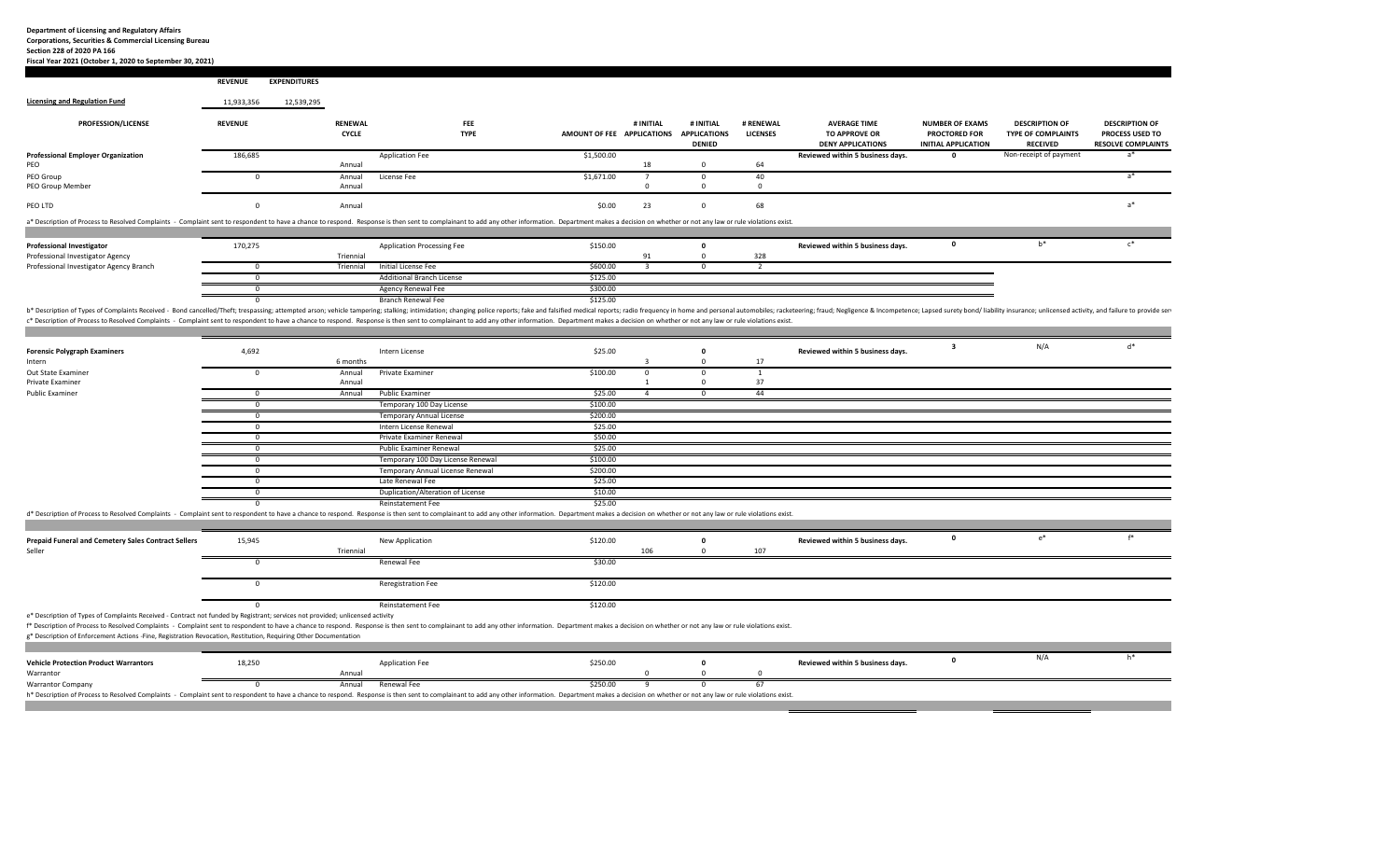**Section 228 of 2020 PA 166**

**Fiscal Year 2021 (October 1, 2020 to September 30, 2021) REVENUE EXPENDITURES Licensing and Regulation Fund** 11,933,356 12,539,295 **PROFESSION/LICENSE REVENUE RENEWAL FEE # INITIAL # INITIAL # RENEWAL AVERAGE TIME NUMBER OF EXAMS DESCRIPTION OF DESCRIPTION OF CYCLE TYPE AMOUNT OF FEE APPLICATIONS APPLICATIONS LICENSES TO APPROVE OR PROCTORED FOR TYPE OF COMPLAINTS PROCESS USED TO DENIED DENY APPLICATIONS APPLICATIONS INITIAL APPLICATION RECEIVED RESOLVE COMPLAINTS ProfessionalExaming 186,685** Application Fee **a Confidence COLO 51,500.00 Reviewed within 5 business days. 0** Non‐receipt of payment a\*<br>Annual Annual PEO0 Annual 18 0 64 PEO Group Group 0 Annual License Fee \$1,671.00 <sup>7</sup> 0 40 <sup>a</sup>\* **PEO Group Member**  Group Member Annual 000 PEO LTD  $\rm O\,17D$  . The contract of the contract of the contract of the contract of the contract of the contract of the contract of the contract of the contract of the contract of the contract of the contract of the contract of a\* Description of Process to Resolved Complaints - Complaint sent to respondent to have a chance to respond. Response is then sent to complainant to add any other information. Department makes a decision on whether or not **Professional Investigator** 170,275 Application Processing Fee \$150.00 **<sup>0</sup> Reviewed within <sup>5</sup> business days. <sup>0</sup>** b\* <sup>c</sup>\* Professional Investigator Agency Investigator Agency Triennial 91 0 328 Professional Investigator Agency Branch 0 Triennial Initial License Fee \$600.00 3 0 <sup>2</sup> 0 **Additional Branch License 125.00 \$125.00** Agency Renewal Fee \$300.00 0 **Branch Renewal Fee \$125.00 S125.00** b\* Description of Types of Complaints Received - Bond cancelled/Theft; trespassing; attempted arson; vehicle tampering; stalking; intimidation; changing police reports; fake and falsified medical reports; radio frequency i c\* Description of Process to Resolved Complaints - Complaint sent to respondent to have a chance to respond. Response is then sent to complainant to add any other information. Department makes a decision on whether or not **Forensic Polygraph Examiners Polygraph Examiners** 4,692 Intern License \$25.00 **<sup>0</sup> Reviewed within <sup>5</sup> business days. <sup>3</sup>** N/A d\* Intern 6 months 3 0 17 Out State Examiner 0 Annual Private Examiner \$100.00 0 0 1 Private Examiner Examiner Annual 1 0 3737 **Public Examiner**  Examiner 0 Annual Public Examiner \$25.00 4 0 44 0 Temporary 100 Day License **\$100.00** 0 **Temporary Annual License 1996 5200.00 \$200.00** 0 Intern License Renewal \$25.00 0 Private Examiner Renewal \$50.00 0 Public Examiner Renewal \$25.00 0 Temporary 100 Day License Renewal \$100.00 0 **Temporary Annual License Renewal \$200.00** 0 **Decision Contract Contract Automobile Contract Contract Contract Contract Contract Contract Contract Contract Contract Contract Contract Contract Contract Contract Contract Contract Contract Contract Contract Contract C** Duplication/Alteration of License \$10.00 Reinstatement Fe \$25.00 d\* Description of Process to Resolved Complaints - Complaint sent to respondent to have a chance to respond. Response is then sent to complainant to add any other information. Department makes a decision on whether or not Prepaid Funeral and Cemetery Sales Contract Sellers and the state of the State of the New Application New Application New Application (1990) and the State of the State of the State of the State of the State of the State of Sellerr 106 0 107 107 108 109 107 108 109 107 108 109 109 109 109 109 109 109 109 109 107 108 109 107 107 107 107 10 0 Renewal Fee \$30.00 Reregistration Fee \$120.00 0 Reinstatement Fee \$120.00 e\* Description of Types of Complaints Received ‐ Contract not funded by Registrant; services not provided; unlicensed activity f\* Description of Process to Resolved Complaints - Complaint sent to respondent to have a chance to respond. Response is then sent to complainant to add any other information. Department makes a decision on whether or not g\* Description of Enforcement Actions ‐Fine, Registration Revocation, Restitution, Requiring Other Documentation **Vehicle Protection Product Warrantors** 18,250 Application Fee \$250.00 **<sup>0</sup> Reviewed within <sup>5</sup> business days. <sup>0</sup>** N/A h\* **Warrantor** r ann an Chrìoganachd ann an Annual ann an Chrìostaig ann an Chrìostaig ann an Chrìostaig ann an Chrìostaig an **Warrantor Company** Company 0 Annual Renewal Fee \$250.00 9 0 67

h\* Description of Process to Resolved Complaints - Complaint sent to respondent to have a chance to respond. Response is then sent to complainant to add any other information. Department makes a decision on whether or not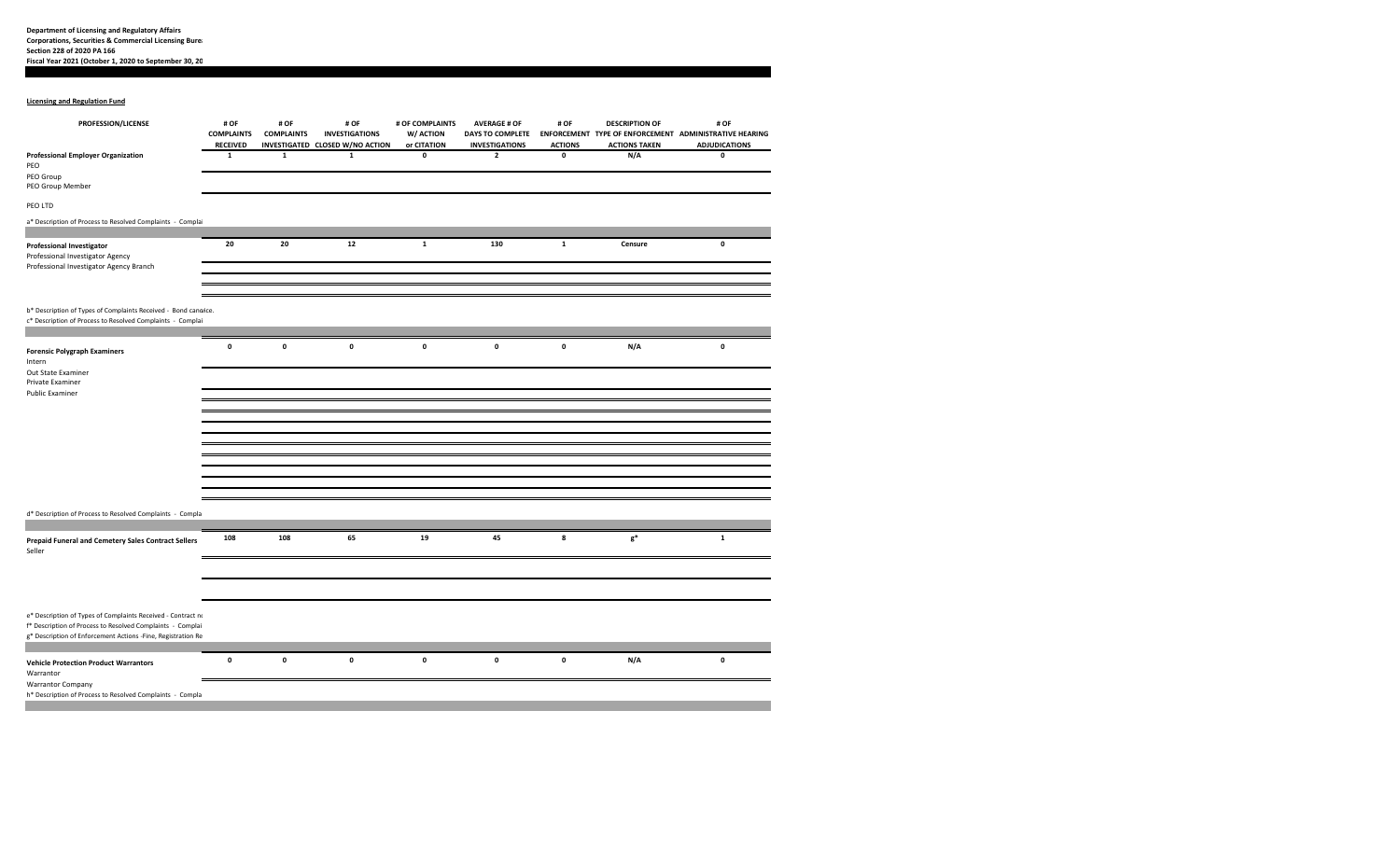## **Licensing and Regulation Fund**

| PROFESSION/LICENSE                                                                                                           | # OF<br><b>COMPLAINTS</b>      | # OF<br><b>COMPLAINTS</b> | # OF<br><b>INVESTIGATIONS</b>                  | # OF COMPLAINTS<br>W/ ACTION | <b>AVERAGE # OF</b><br><b>DAYS TO COMPLETE</b> | # OF                                 | <b>DESCRIPTION OF</b>       | # OF<br>ENFORCEMENT TYPE OF ENFORCEMENT ADMINISTRATIVE HEARING |
|------------------------------------------------------------------------------------------------------------------------------|--------------------------------|---------------------------|------------------------------------------------|------------------------------|------------------------------------------------|--------------------------------------|-----------------------------|----------------------------------------------------------------|
| <b>Professional Employer Organization</b>                                                                                    | <b>RECEIVED</b><br>$\mathbf 1$ | $\mathbf{1}$              | INVESTIGATED CLOSED W/NO ACTION<br>$\mathbf 1$ | or CITATION<br>$\mathbf 0$   | <b>INVESTIGATIONS</b><br>$\mathbf{2}$          | <b>ACTIONS</b><br>$\pmb{\mathsf{o}}$ | <b>ACTIONS TAKEN</b><br>N/A | <b>ADJUDICATIONS</b><br>0                                      |
| PEO<br>PEO Group                                                                                                             |                                |                           |                                                |                              |                                                |                                      |                             |                                                                |
| PEO Group Member                                                                                                             |                                |                           |                                                |                              |                                                |                                      |                             |                                                                |
| PEO LTD                                                                                                                      |                                |                           |                                                |                              |                                                |                                      |                             |                                                                |
| a* Description of Process to Resolved Complaints - Complai                                                                   |                                |                           |                                                |                              |                                                |                                      |                             |                                                                |
| <b>Professional Investigator</b><br>Professional Investigator Agency                                                         | 20                             | 20                        | $12\,$                                         | $\mathbf 1$                  | 130                                            | $\mathbf{1}$                         | Censure                     | 0                                                              |
| Professional Investigator Agency Branch                                                                                      |                                |                           |                                                |                              |                                                |                                      |                             |                                                                |
|                                                                                                                              |                                |                           |                                                |                              |                                                |                                      |                             |                                                                |
| b* Description of Types of Complaints Received - Bond canoice.<br>c* Description of Process to Resolved Complaints - Complai |                                |                           |                                                |                              |                                                |                                      |                             |                                                                |
| <b>Forensic Polygraph Examiners</b>                                                                                          | $\mathbf 0$                    | $\pmb{\mathsf{o}}$        | 0                                              | $\pmb{0}$                    | $\mathbf 0$                                    | $\pmb{\mathsf{o}}$                   | N/A                         | 0                                                              |
| Intern                                                                                                                       |                                |                           |                                                |                              |                                                |                                      |                             |                                                                |
| Out State Examiner<br>Private Examiner                                                                                       |                                |                           |                                                |                              |                                                |                                      |                             |                                                                |
| <b>Public Examiner</b>                                                                                                       |                                |                           |                                                |                              |                                                |                                      |                             |                                                                |
|                                                                                                                              |                                |                           |                                                |                              |                                                |                                      |                             |                                                                |
|                                                                                                                              |                                |                           |                                                |                              |                                                |                                      |                             |                                                                |
|                                                                                                                              |                                |                           |                                                |                              |                                                |                                      |                             |                                                                |
|                                                                                                                              |                                |                           |                                                |                              |                                                |                                      |                             |                                                                |
|                                                                                                                              |                                |                           |                                                |                              |                                                |                                      |                             |                                                                |
|                                                                                                                              |                                |                           |                                                |                              |                                                |                                      |                             |                                                                |
|                                                                                                                              |                                |                           |                                                |                              |                                                |                                      |                             |                                                                |
|                                                                                                                              |                                |                           |                                                |                              |                                                |                                      |                             |                                                                |
| d* Description of Process to Resolved Complaints - Compla                                                                    |                                |                           |                                                |                              |                                                |                                      |                             |                                                                |
|                                                                                                                              |                                |                           |                                                |                              |                                                |                                      |                             |                                                                |
| <b>Prepaid Funeral and Cemetery Sales Contract Sellers</b><br>Seller                                                         | 108                            | 108                       | 65                                             | 19                           | 45                                             | 8                                    | $\mathsf{g}^*$              | $\mathbf 1$                                                    |
|                                                                                                                              |                                |                           |                                                |                              |                                                |                                      |                             |                                                                |
|                                                                                                                              |                                |                           |                                                |                              |                                                |                                      |                             |                                                                |
| e* Description of Types of Complaints Received - Contract no                                                                 |                                |                           |                                                |                              |                                                |                                      |                             |                                                                |
| f* Description of Process to Resolved Complaints - Complai<br>g* Description of Enforcement Actions -Fine, Registration Re   |                                |                           |                                                |                              |                                                |                                      |                             |                                                                |
|                                                                                                                              |                                |                           |                                                |                              |                                                |                                      |                             |                                                                |
| <b>Vehicle Protection Product Warrantors</b><br>Warrantor                                                                    | $\mathbf 0$                    | $\mathbf 0$               | 0                                              | 0                            | $\mathbf 0$                                    | $\pmb{0}$                            | N/A                         | 0                                                              |
| <b>Warrantor Company</b><br>h* Description of Process to Resolved Complaints - Compla                                        |                                |                           |                                                |                              |                                                |                                      |                             |                                                                |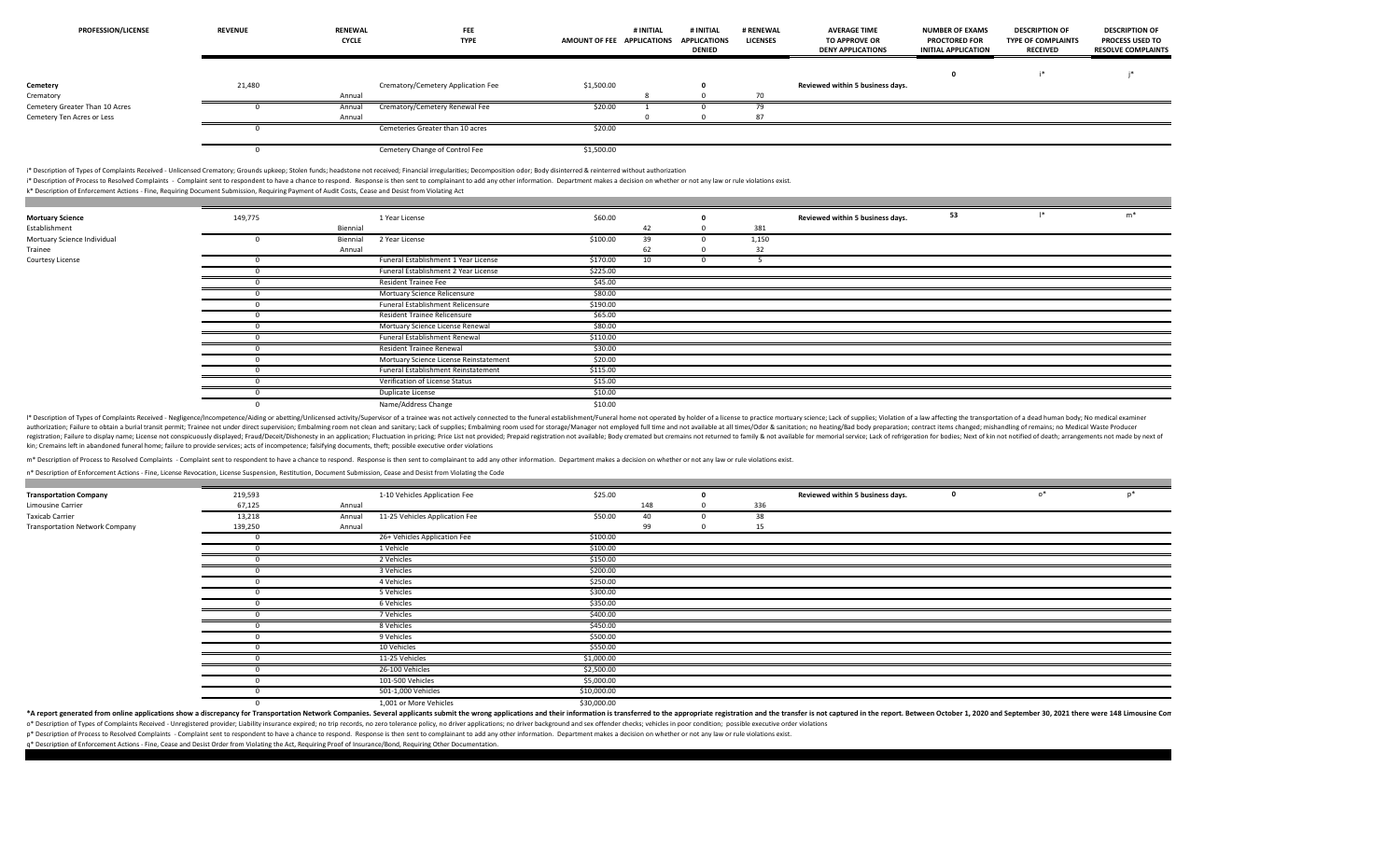| <b>PROFESSION/LICENSE</b>      | <b>REVENUE</b> | <b>RENEWAL</b><br><b>CYCLE</b> | FEE<br><b>TYPE</b>                 | AMOUNT OF FEE APPLICATIONS | # INITIAL | # INITIAL<br><b>APPLICATIONS</b><br><b>DENIED</b> | # RENEWAL<br><b>LICENSES</b> | <b>AVERAGE TIME</b><br><b>TO APPROVE OR</b><br><b>DENY APPLICATIONS</b> | <b>NUMBER OF EXAMS</b><br><b>PROCTORED FOR</b><br><b>INITIAL APPLICATION</b> | <b>DESCRIPTION OF</b><br><b>TYPE OF COMPLAINTS</b><br><b>RECEIVED</b> | <b>DESCRIPTION OF</b><br><b>PROCESS USED TO</b><br><b>RESOLVE COMPLAINTS</b> |
|--------------------------------|----------------|--------------------------------|------------------------------------|----------------------------|-----------|---------------------------------------------------|------------------------------|-------------------------------------------------------------------------|------------------------------------------------------------------------------|-----------------------------------------------------------------------|------------------------------------------------------------------------------|
|                                |                |                                |                                    |                            |           |                                                   |                              |                                                                         |                                                                              |                                                                       |                                                                              |
| Cemetery                       | 21,480         |                                | Crematory/Cemetery Application Fee | \$1,500.00                 |           |                                                   |                              | Reviewed within 5 business days.                                        |                                                                              |                                                                       |                                                                              |
| Crematory                      |                | Annual                         |                                    |                            |           |                                                   |                              |                                                                         |                                                                              |                                                                       |                                                                              |
| Cemetery Greater Than 10 Acres |                | Annual                         | Crematory/Cemetery Renewal Fee     | \$20.00                    |           |                                                   |                              |                                                                         |                                                                              |                                                                       |                                                                              |
| Cemetery Ten Acres or Less     |                | Annual                         |                                    |                            |           |                                                   | 87                           |                                                                         |                                                                              |                                                                       |                                                                              |
|                                |                |                                | Cemeteries Greater than 10 acres   | \$20.00                    |           |                                                   |                              |                                                                         |                                                                              |                                                                       |                                                                              |
|                                |                |                                | Cemetery Change of Control Fee     | \$1,500.00                 |           |                                                   |                              |                                                                         |                                                                              |                                                                       |                                                                              |

i\* Description of Types of Complaints Received ‐ Unlicensed Crematory; Grounds upkeep; Stolen funds; headstone not received; Financial irregularities; Decomposition odor; Body disinterred & reinterred without authorization

\* Description of Process to Resolved Complaints - Complaint sent to respondent to have a chance to respond. Response is then sent to complainant to add any other information. Department makes a decision on whether or not a

k\* Description of Enforcement Actions ‐ Fine, Requiring Document Submission, Requiring Payment of Audit Costs, Cease and Desist from Violating Act

| <b>Mortuary Science</b>     | 149,775 |          | 1 Year License                         | \$60.00  |    |       | Reviewed within 5 business days. | 53 | $m*$ |
|-----------------------------|---------|----------|----------------------------------------|----------|----|-------|----------------------------------|----|------|
| Establishment               |         | Biennial |                                        |          | 42 | 381   |                                  |    |      |
| Mortuary Science Individual |         | Biennial | 2 Year License                         | \$100.00 | 39 | 1,150 |                                  |    |      |
| Trainee                     |         | Annual   |                                        |          | 62 | 22    |                                  |    |      |
| Courtesy License            |         |          | Funeral Establishment 1 Year License   | \$170.00 | 10 |       |                                  |    |      |
|                             |         |          | Funeral Establishment 2 Year License   | \$225.00 |    |       |                                  |    |      |
|                             |         |          | <b>Resident Trainee Fee</b>            | \$45.00  |    |       |                                  |    |      |
|                             |         |          | Mortuary Science Relicensure           | \$80.00  |    |       |                                  |    |      |
|                             |         |          | Funeral Establishment Relicensure      | \$190.00 |    |       |                                  |    |      |
|                             |         |          | Resident Trainee Relicensure           | \$65.00  |    |       |                                  |    |      |
|                             |         |          | Mortuary Science License Renewal       | \$80.00  |    |       |                                  |    |      |
|                             |         |          | Funeral Establishment Renewal          | \$110.00 |    |       |                                  |    |      |
|                             |         |          | Resident Trainee Renewal               | \$30.00  |    |       |                                  |    |      |
|                             |         |          | Mortuary Science License Reinstatement | \$20.00  |    |       |                                  |    |      |
|                             |         |          | Funeral Establishment Reinstatement    | \$115.00 |    |       |                                  |    |      |
|                             |         |          | Verification of License Status         | \$15.00  |    |       |                                  |    |      |
|                             |         |          | Duplicate License                      | \$10.00  |    |       |                                  |    |      |
|                             |         |          | Name/Address Change                    | \$10.00  |    |       |                                  |    |      |

<sup>1</sup> Description of Types of Complaints Received - Negligence/Incompetence/Aiding or abetting/Unlicensed activity/Supervisor of a trainee was not actively connected to the funeral establishment/Funeral home not operated by authorization; Failure to obtain a burial transit permit; Trainee not under direct supervision; Embalming room not clean and sanitary; Lack of supplies; Embalming room used for storage/Manager not employed full time and no registration; Failure to display name; License not conspicuously displayed; Fraud/Deceit/Dishonesty in an application; Fluctuation in pricing; Price List not provided; Prepaid registration not available; Body cremated but kin; Cremains left in abandoned funeral home; failure to provide services; acts of incompetence; falsifying documents, theft; possible executive order violations

m\* Description of Process to Resolved Complaints - Complaint sent to respondent to have a chance to respond. Response is then sent to complainant to add any other information. Department makes a decision on whether or not

n\* Description of Enforcement Actions ‐ Fine, License Revocation, License Suspension, Restitution, Document Submission, Cease and Desist from Violating the Code

**Contract** 

| <b>Transportation Company</b>         | 219,593 |        | 1-10 Vehicles Application Fee  | \$25.00     |     |     | Reviewed within 5 business days. | 0 | $\circ^*$ |  |
|---------------------------------------|---------|--------|--------------------------------|-------------|-----|-----|----------------------------------|---|-----------|--|
| Limousine Carrier                     | 67,125  | Annual |                                |             | 148 | 336 |                                  |   |           |  |
| <b>Taxicab Carrier</b>                | 13,218  | Annual | 11-25 Vehicles Application Fee | \$50.00     | 40  | 38  |                                  |   |           |  |
| <b>Transportation Network Company</b> | 139,250 | Annual |                                |             | 99  | 15  |                                  |   |           |  |
|                                       |         |        | 26+ Vehicles Application Fee   | \$100.00    |     |     |                                  |   |           |  |
|                                       |         |        | 1 Vehicle                      | \$100.00    |     |     |                                  |   |           |  |
|                                       |         |        | 2 Vehicles                     | \$150.00    |     |     |                                  |   |           |  |
|                                       |         |        | 3 Vehicles                     | \$200.00    |     |     |                                  |   |           |  |
|                                       |         |        | 4 Vehicles                     | \$250.00    |     |     |                                  |   |           |  |
|                                       |         |        | 5 Vehicles                     | \$300.00    |     |     |                                  |   |           |  |
|                                       |         |        | 6 Vehicles                     | \$350.00    |     |     |                                  |   |           |  |
|                                       |         |        | 7 Vehicles                     | \$400.00    |     |     |                                  |   |           |  |
|                                       |         |        | 8 Vehicles                     | \$450.00    |     |     |                                  |   |           |  |
|                                       |         |        | 9 Vehicles                     | \$500.00    |     |     |                                  |   |           |  |
|                                       |         |        | 10 Vehicles                    | \$550.00    |     |     |                                  |   |           |  |
|                                       |         |        | 11-25 Vehicles                 | \$1,000.00  |     |     |                                  |   |           |  |
|                                       |         |        | 26-100 Vehicles                | \$2,500.00  |     |     |                                  |   |           |  |
|                                       |         |        | 101-500 Vehicles               | \$5,000.00  |     |     |                                  |   |           |  |
|                                       |         |        | 501-1,000 Vehicles             | \$10,000.00 |     |     |                                  |   |           |  |
|                                       |         |        | 1.001 or More Vehicles         | \$30,000,00 |     |     |                                  |   |           |  |

\*A report generated from online applications show a discrepancy for Transportation Network Companies. Several applicants submit the wrong applications and their information is transferred to the appropriate registration an o\* Description of Types of Complaints Received - Unregistered provider; Liability insurance expired; no trip records, no zero tolerance policy, no driver applications; no driver applications and sex offender checks; vehicl

p\* Description of Process to Resolved Complaints - Complaint sent to respondent to have a chance to respond. Response is then sent to complainant to add any other information. Department makes a decision on whether or not

q\* Description of Enforcement Actions ‐ Fine, Cease and Desist Order from Violating the Act, Requiring Proof of Insurance/Bond, Requiring Other Documentation.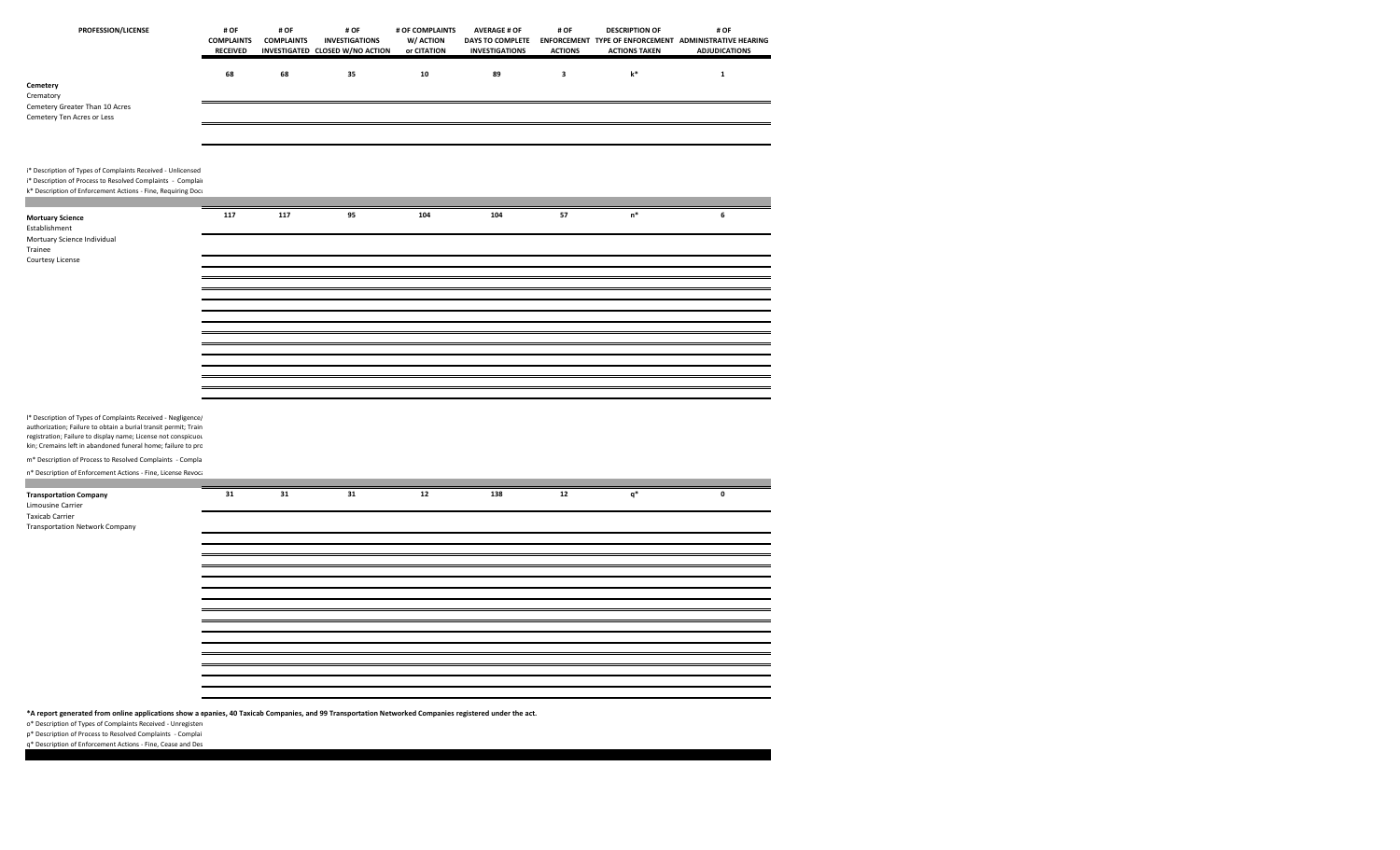| PROFESSION/LICENSE                                                                                                                                                                         | # OF<br><b>COMPLAINTS</b><br>RECEIVED | # OF<br><b>COMPLAINTS</b> | # OF<br><b>INVESTIGATIONS</b><br>INVESTIGATED CLOSED W/NO ACTION | # OF COMPLAINTS<br>W/ ACTION<br>or CITATION | <b>AVERAGE # OF</b><br>DAYS TO COMPLETE<br><b>INVESTIGATIONS</b> | # OF<br><b>ACTIONS</b>  | <b>DESCRIPTION OF</b><br><b>ACTIONS TAKEN</b> | # OF<br>ENFORCEMENT TYPE OF ENFORCEMENT ADMINISTRATIVE HEARING<br><b>ADJUDICATIONS</b> |
|--------------------------------------------------------------------------------------------------------------------------------------------------------------------------------------------|---------------------------------------|---------------------------|------------------------------------------------------------------|---------------------------------------------|------------------------------------------------------------------|-------------------------|-----------------------------------------------|----------------------------------------------------------------------------------------|
| Cemetery                                                                                                                                                                                   | 68                                    | 68                        | 35                                                               | ${\bf 10}$                                  | 89                                                               | $\overline{\mathbf{3}}$ | $\mathbf{k}^*$                                | $\mathbf 1$                                                                            |
| Crematory<br>Cemetery Greater Than 10 Acres<br>Cemetery Ten Acres or Less                                                                                                                  |                                       |                           |                                                                  |                                             |                                                                  |                         |                                               |                                                                                        |
| i* Description of Types of Complaints Received - Unlicensed<br>i* Description of Process to Resolved Complaints - Complair<br>k* Description of Enforcement Actions - Fine, Requiring Docu |                                       |                           |                                                                  |                                             |                                                                  |                         |                                               |                                                                                        |
| <b>Mortuary Science</b><br>Establishment<br>Mortuary Science Individual<br>Trainee<br>Courtesy License                                                                                     | 117                                   | 117                       | 95                                                               | 104                                         | 104                                                              | 57                      | $\mathsf{n}^*$                                | $\boldsymbol{6}$                                                                       |
|                                                                                                                                                                                            |                                       |                           |                                                                  |                                             |                                                                  |                         |                                               |                                                                                        |
|                                                                                                                                                                                            |                                       |                           |                                                                  |                                             |                                                                  |                         |                                               |                                                                                        |
| I* Description of Types of Complaints Received - Negligence/<br>authorization; Failure to obtain a burial transit permit; Train                                                            |                                       |                           |                                                                  |                                             |                                                                  |                         |                                               |                                                                                        |
| registration; Failure to display name; License not conspicuou<br>kin; Cremains left in abandoned funeral home; failure to pro                                                              |                                       |                           |                                                                  |                                             |                                                                  |                         |                                               |                                                                                        |
| m* Description of Process to Resolved Complaints - Compla<br>n* Description of Enforcement Actions - Fine, License Revoca                                                                  |                                       |                           |                                                                  |                                             |                                                                  |                         |                                               |                                                                                        |
| <b>Transportation Company</b><br>Limousine Carrier<br><b>Taxicab Carrier</b><br><b>Transportation Network Company</b>                                                                      | 31                                    | 31                        | 31                                                               | $12\,$                                      | 138                                                              | 12                      | $\mathsf{q}^*$                                | $\pmb{\mathsf{o}}$                                                                     |
|                                                                                                                                                                                            |                                       |                           |                                                                  |                                             |                                                                  |                         |                                               |                                                                                        |
|                                                                                                                                                                                            |                                       |                           |                                                                  |                                             |                                                                  |                         |                                               |                                                                                        |
|                                                                                                                                                                                            |                                       |                           |                                                                  |                                             |                                                                  |                         |                                               |                                                                                        |
| *A report generated from online applications show a apanies, 40 Taxicab Companies, and 99 Transportation Networked Companies registered under the act.                                     |                                       |                           |                                                                  |                                             |                                                                  |                         |                                               |                                                                                        |

p\* Description of Process to Resolved Complaints ‐ Complai

q\* Description of Enforcement Actions ‐ Fine, Cease and Des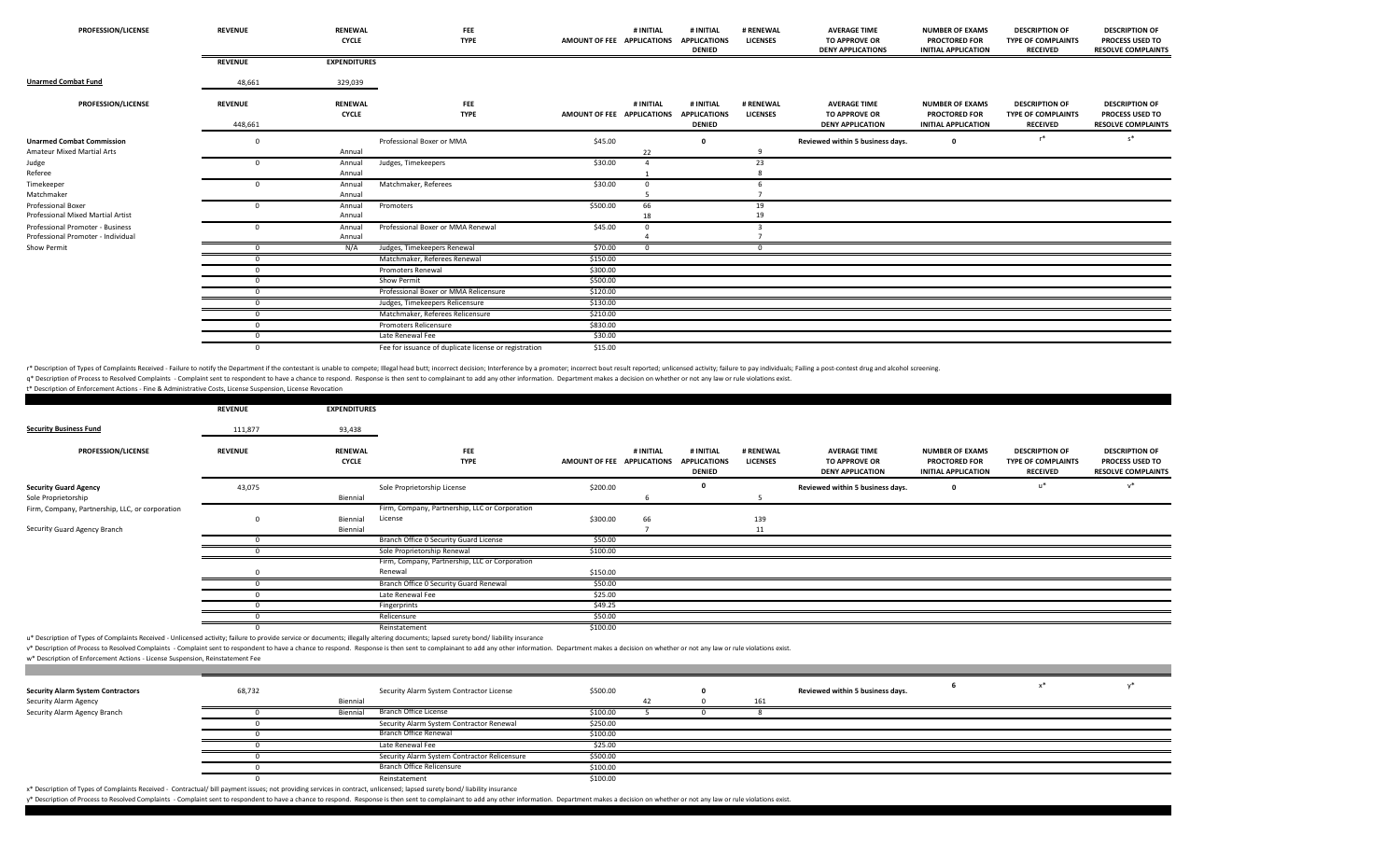| <b>PROFESSION/LICENSE</b>                                              | <b>REVENUE</b>            | <b>RENEWAL</b><br><b>CYCLE</b> | <b>FEE</b><br><b>TYPE</b>                             | AMOUNT OF FEE APPLICATIONS | # INITIAL | # INITIAL<br><b>APPLICATIONS</b><br><b>DENIED</b> | # RENEWAL<br><b>LICENSES</b> | <b>AVERAGE TIME</b><br><b>TO APPROVE OR</b><br><b>DENY APPLICATIONS</b> | <b>NUMBER OF EXAMS</b><br><b>PROCTORED FOR</b><br><b>INITIAL APPLICATION</b> | <b>DESCRIPTION OF</b><br><b>TYPE OF COMPLAINTS</b><br><b>RECEIVED</b> | <b>DESCRIPTION OF</b><br>PROCESS USED TO<br><b>RESOLVE COMPLAINTS</b> |
|------------------------------------------------------------------------|---------------------------|--------------------------------|-------------------------------------------------------|----------------------------|-----------|---------------------------------------------------|------------------------------|-------------------------------------------------------------------------|------------------------------------------------------------------------------|-----------------------------------------------------------------------|-----------------------------------------------------------------------|
|                                                                        | <b>REVENUE</b>            | <b>EXPENDITURES</b>            |                                                       |                            |           |                                                   |                              |                                                                         |                                                                              |                                                                       |                                                                       |
| <b>Unarmed Combat Fund</b>                                             | 48,661                    | 329,039                        |                                                       |                            |           |                                                   |                              |                                                                         |                                                                              |                                                                       |                                                                       |
| <b>PROFESSION/LICENSE</b>                                              | <b>REVENUE</b><br>448,661 | <b>RENEWAL</b><br><b>CYCLE</b> | <b>FEE</b><br><b>TYPE</b>                             | AMOUNT OF FEE APPLICATIONS | # INITIAL | # INITIAL<br><b>APPLICATIONS</b><br><b>DENIED</b> | # RENEWAL<br><b>LICENSES</b> | <b>AVERAGE TIME</b><br><b>TO APPROVE OR</b><br><b>DENY APPLICATION</b>  | <b>NUMBER OF EXAMS</b><br><b>PROCTORED FOR</b><br><b>INITIAL APPLICATION</b> | <b>DESCRIPTION OF</b><br><b>TYPE OF COMPLAINTS</b><br><b>RECEIVED</b> | <b>DESCRIPTION OF</b><br>PROCESS USED TO<br><b>RESOLVE COMPLAINTS</b> |
| <b>Unarmed Combat Commission</b><br>Amateur Mixed Martial Arts         |                           | Annual                         | Professional Boxer or MMA                             | \$45.00                    | 22        | $\Omega$                                          |                              | Reviewed within 5 business days.                                        | $\Omega$                                                                     | $r^*$                                                                 | $s^*$                                                                 |
| Judge<br>Referee                                                       |                           | Annual<br>Annual               | Judges, Timekeepers                                   | \$30.00                    |           |                                                   | 23                           |                                                                         |                                                                              |                                                                       |                                                                       |
| Timekeeper<br>Matchmaker                                               |                           | Annual<br>Annual               | Matchmaker, Referees                                  | \$30.00                    |           |                                                   |                              |                                                                         |                                                                              |                                                                       |                                                                       |
| <b>Professional Boxer</b><br>Professional Mixed Martial Artist         |                           | Annual<br>Annual               | Promoters                                             | \$500.00                   | 66<br>18  |                                                   | 19<br>19                     |                                                                         |                                                                              |                                                                       |                                                                       |
| Professional Promoter - Business<br>Professional Promoter - Individual |                           | Annual<br>Annual               | Professional Boxer or MMA Renewal                     | \$45.00                    |           |                                                   |                              |                                                                         |                                                                              |                                                                       |                                                                       |
| Show Permit                                                            |                           | N/A                            | Judges, Timekeepers Renewal                           | \$70.00                    |           |                                                   |                              |                                                                         |                                                                              |                                                                       |                                                                       |
|                                                                        |                           |                                | Matchmaker, Referees Renewal                          | \$150.00                   |           |                                                   |                              |                                                                         |                                                                              |                                                                       |                                                                       |
|                                                                        |                           |                                | <b>Promoters Renewal</b>                              | \$300.00                   |           |                                                   |                              |                                                                         |                                                                              |                                                                       |                                                                       |
|                                                                        |                           |                                | Show Permit                                           | \$500.00                   |           |                                                   |                              |                                                                         |                                                                              |                                                                       |                                                                       |
|                                                                        |                           |                                | Professional Boxer or MMA Relicensure                 | \$120.00                   |           |                                                   |                              |                                                                         |                                                                              |                                                                       |                                                                       |
|                                                                        |                           |                                | Judges, Timekeepers Relicensure                       | \$130.00                   |           |                                                   |                              |                                                                         |                                                                              |                                                                       |                                                                       |
|                                                                        |                           |                                | Matchmaker, Referees Relicensure                      | \$210.00                   |           |                                                   |                              |                                                                         |                                                                              |                                                                       |                                                                       |
|                                                                        |                           |                                | <b>Promoters Relicensure</b>                          | \$830.00                   |           |                                                   |                              |                                                                         |                                                                              |                                                                       |                                                                       |
|                                                                        |                           |                                | Late Renewal Fee                                      | \$30.00                    |           |                                                   |                              |                                                                         |                                                                              |                                                                       |                                                                       |
|                                                                        | $\Omega$                  |                                | Fee for issuance of duplicate license or registration | \$15.00                    |           |                                                   |                              |                                                                         |                                                                              |                                                                       |                                                                       |

r\* Description of Types of Complaints Received - Failure to notify the Department if the contestant is unable to compete; Illegal head butt; incorrect decision; Interference by a promoter; incorrect desult reported; unlice q\* Description of Process to Resolved Complaints - Complaint sent to respondent to have a chance to respond. Response is then sent to complainant to add any other information. Department makes a decision on whether or not

|                                                 | <b>REVENUE</b> | <b>EXPENDITURES</b>            |                                                |                            |           |                                                   |                              |                                                                        |                                                                              |                                                                       |                                                                              |
|-------------------------------------------------|----------------|--------------------------------|------------------------------------------------|----------------------------|-----------|---------------------------------------------------|------------------------------|------------------------------------------------------------------------|------------------------------------------------------------------------------|-----------------------------------------------------------------------|------------------------------------------------------------------------------|
| <b>Security Business Fund</b>                   | 111,877        | 93,438                         |                                                |                            |           |                                                   |                              |                                                                        |                                                                              |                                                                       |                                                                              |
| <b>PROFESSION/LICENSE</b>                       | <b>REVENUE</b> | <b>RENEWAL</b><br><b>CYCLE</b> | <b>FEE</b><br><b>TYPE</b>                      | AMOUNT OF FEE APPLICATIONS | # INITIAL | # INITIAL<br><b>APPLICATIONS</b><br><b>DENIED</b> | # RENEWAL<br><b>LICENSES</b> | <b>AVERAGE TIME</b><br><b>TO APPROVE OR</b><br><b>DENY APPLICATION</b> | <b>NUMBER OF EXAMS</b><br><b>PROCTORED FOR</b><br><b>INITIAL APPLICATION</b> | <b>DESCRIPTION OF</b><br><b>TYPE OF COMPLAINTS</b><br><b>RECEIVED</b> | <b>DESCRIPTION OF</b><br><b>PROCESS USED TO</b><br><b>RESOLVE COMPLAINTS</b> |
| <b>Security Guard Agency</b>                    | 43,075         |                                | Sole Proprietorship License                    | \$200.00                   |           |                                                   |                              | Reviewed within 5 business days.                                       |                                                                              | u*                                                                    | $v^*$                                                                        |
| Sole Proprietorship                             |                | Biennial                       |                                                |                            |           |                                                   |                              |                                                                        |                                                                              |                                                                       |                                                                              |
| Firm, Company, Partnership, LLC, or corporation |                |                                | Firm, Company, Partnership, LLC or Corporation |                            |           |                                                   |                              |                                                                        |                                                                              |                                                                       |                                                                              |
|                                                 |                | Biennial                       | License                                        | \$300.00                   | 66        |                                                   | 139                          |                                                                        |                                                                              |                                                                       |                                                                              |
| Security Guard Agency Branch                    |                | Biennial                       |                                                |                            |           |                                                   | 11                           |                                                                        |                                                                              |                                                                       |                                                                              |
|                                                 |                |                                | Branch Office 0 Security Guard License         | \$50.00                    |           |                                                   |                              |                                                                        |                                                                              |                                                                       |                                                                              |
|                                                 |                |                                | Sole Proprietorship Renewal                    | \$100.00                   |           |                                                   |                              |                                                                        |                                                                              |                                                                       |                                                                              |
|                                                 |                |                                | Firm, Company, Partnership, LLC or Corporation |                            |           |                                                   |                              |                                                                        |                                                                              |                                                                       |                                                                              |
|                                                 |                |                                | Renewal                                        | \$150.00                   |           |                                                   |                              |                                                                        |                                                                              |                                                                       |                                                                              |
|                                                 |                |                                | Branch Office O Security Guard Renewal         | \$50.00                    |           |                                                   |                              |                                                                        |                                                                              |                                                                       |                                                                              |
|                                                 |                |                                | Late Renewal Fee                               | \$25.00                    |           |                                                   |                              |                                                                        |                                                                              |                                                                       |                                                                              |
|                                                 |                |                                | Fingerprints                                   | \$49.25                    |           |                                                   |                              |                                                                        |                                                                              |                                                                       |                                                                              |
|                                                 |                |                                | Relicensure                                    | \$50.00                    |           |                                                   |                              |                                                                        |                                                                              |                                                                       |                                                                              |
|                                                 |                |                                | Reinstatement                                  | \$100.00                   |           |                                                   |                              |                                                                        |                                                                              |                                                                       |                                                                              |

u\* Description of Types of Complaints Received - Unlicensed activity; failure to provide service or documents; illegally altering documents; lapsed surety bond/ liability insurance

v\* Description of Process to Resolved Complaints - Complaint sent to respondent to have a chance to respond. Response is then sent to complainant to add any other information. Department makes a decision on whether or not

w\* Description of Enforcement Actions ‐ License Suspension, Reinstatement Fee

t\* Description of Enforcement Actions ‐ Fine & Administrative Costs, License Suspension, License Revocation

| <b>Security Alarm System Contractors</b> | 68,732 |          | Security Alarm System Contractor License     | \$500.00 |  |     | Reviewed within 5 business days. |  |  |
|------------------------------------------|--------|----------|----------------------------------------------|----------|--|-----|----------------------------------|--|--|
| Security Alarm Agency                    |        | Biennial |                                              |          |  | 161 |                                  |  |  |
| Security Alarm Agency Branch             |        | Biennial | Branch Office License                        | \$100.00 |  |     |                                  |  |  |
|                                          |        |          | Security Alarm System Contractor Renewal     | \$250.00 |  |     |                                  |  |  |
|                                          |        |          | Branch Office Renewal                        | \$100.00 |  |     |                                  |  |  |
|                                          |        |          | Late Renewal Fee                             | \$25.00  |  |     |                                  |  |  |
|                                          |        |          | Security Alarm System Contractor Relicensure | \$500.00 |  |     |                                  |  |  |
|                                          |        |          | Branch Office Relicensure                    | \$100.00 |  |     |                                  |  |  |
|                                          |        |          | Reinstatement                                | \$100.00 |  |     |                                  |  |  |

x\* Description of Types of Complaints Received ‐ Contractual/ bill payment issues; not providing services in contract, unlicensed; lapsed surety bond/ liability insurance

y\* Description of Process to Resolved Complaints - Complaint sent to respondent to have a chance to respond. Response is then sent to complainant to add any other information. Department makes a decision on whether or not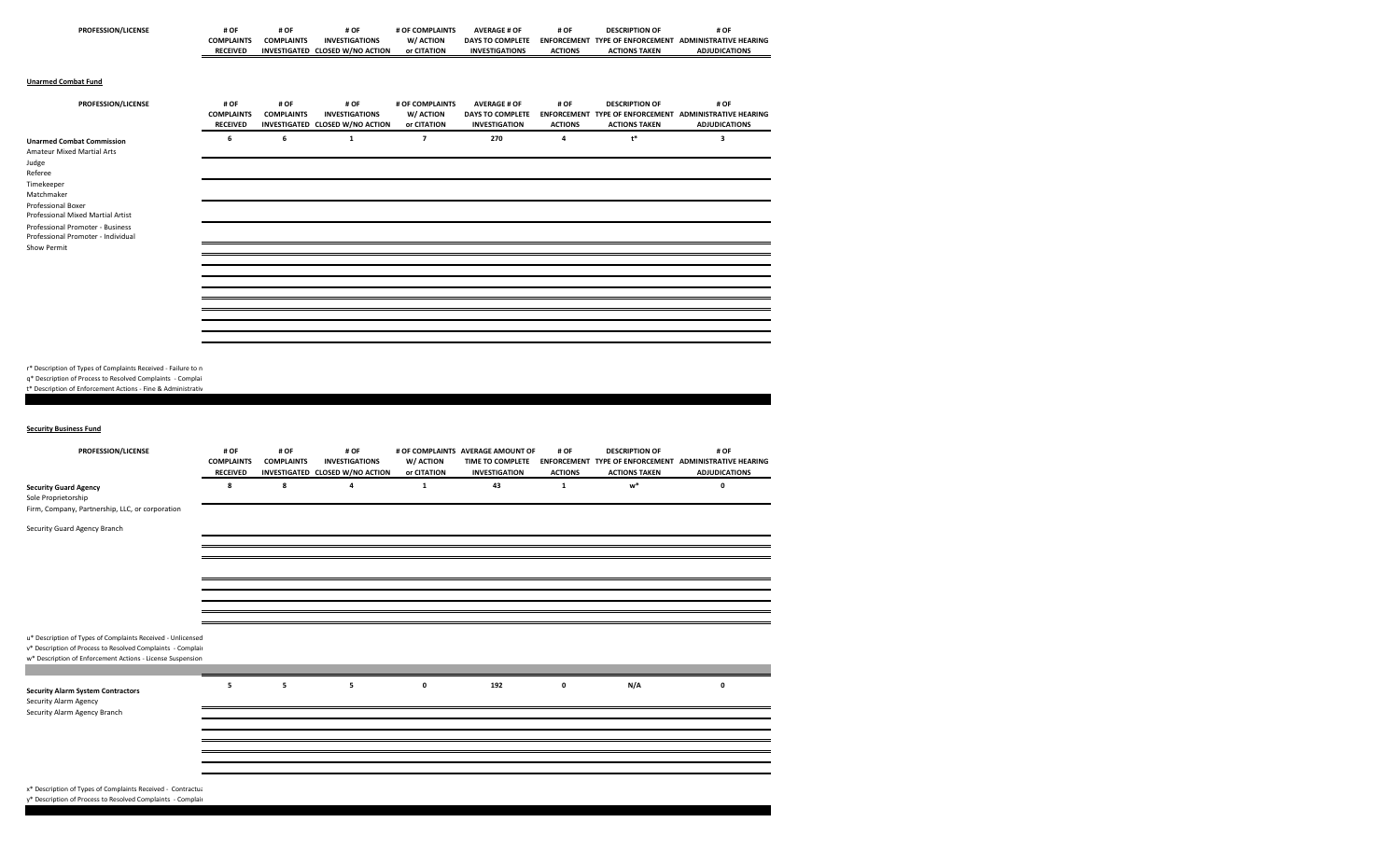| PROFESSION/LICENSE                                                                                                                                                                                                                                                 | # OF<br><b>COMPLAINTS</b><br><b>RECEIVED</b> | # OF<br><b>COMPLAINTS</b> | # OF<br><b>INVESTIGATIONS</b><br>INVESTIGATED CLOSED W/NO ACTION | # OF COMPLAINTS<br>W/ ACTION<br>or CITATION | <b>AVERAGE # OF</b><br>DAYS TO COMPLETE<br><b>INVESTIGATIONS</b>       | # OF<br><b>ACTIONS</b> | <b>DESCRIPTION OF</b><br><b>ACTIONS TAKEN</b> | # OF<br>ENFORCEMENT TYPE OF ENFORCEMENT ADMINISTRATIVE HEARING<br><b>ADJUDICATIONS</b>                  |
|--------------------------------------------------------------------------------------------------------------------------------------------------------------------------------------------------------------------------------------------------------------------|----------------------------------------------|---------------------------|------------------------------------------------------------------|---------------------------------------------|------------------------------------------------------------------------|------------------------|-----------------------------------------------|---------------------------------------------------------------------------------------------------------|
| <b>Unarmed Combat Fund</b>                                                                                                                                                                                                                                         |                                              |                           |                                                                  |                                             |                                                                        |                        |                                               |                                                                                                         |
| PROFESSION/LICENSE                                                                                                                                                                                                                                                 | # OF<br><b>COMPLAINTS</b><br><b>RECEIVED</b> | # OF<br><b>COMPLAINTS</b> | # OF<br><b>INVESTIGATIONS</b><br>INVESTIGATED CLOSED W/NO ACTION | # OF COMPLAINTS<br>W/ ACTION<br>or CITATION | <b>AVERAGE # OF</b><br><b>DAYS TO COMPLETE</b><br><b>INVESTIGATION</b> | # OF<br><b>ACTIONS</b> | <b>DESCRIPTION OF</b><br><b>ACTIONS TAKEN</b> | # OF<br>ENFORCEMENT TYPE OF ENFORCEMENT ADMINISTRATIVE HEARING<br><b>ADJUDICATIONS</b>                  |
| <b>Unarmed Combat Commission</b><br>Amateur Mixed Martial Arts<br>Judge<br>Referee<br>Timekeeper<br>Matchmaker<br>Professional Boxer<br>Professional Mixed Martial Artist<br>Professional Promoter - Business<br>Professional Promoter - Individual<br>Show Permit | 6                                            | 6                         | $\mathbf 1$                                                      | $\overline{\phantom{a}}$                    | 270                                                                    | 4                      | $\mathsf{t}^*$                                | 3                                                                                                       |
| r* Description of Types of Complaints Received - Failure to n<br>q* Description of Process to Resolved Complaints - Complai<br>t* Description of Enforcement Actions - Fine & Administrativ<br><b>Security Business Fund</b>                                       |                                              |                           |                                                                  |                                             |                                                                        |                        |                                               |                                                                                                         |
| PROFESSION/LICENSE                                                                                                                                                                                                                                                 | # OF<br><b>COMPLAINTS</b><br><b>RECEIVED</b> | # OF<br><b>COMPLAINTS</b> | # OF<br><b>INVESTIGATIONS</b><br>INVESTIGATED CLOSED W/NO ACTION | W/ ACTION<br>or CITATION                    | # OF COMPLAINTS AVERAGE AMOUNT OF<br><b>INVESTIGATION</b>              | # OF<br><b>ACTIONS</b> | <b>DESCRIPTION OF</b><br><b>ACTIONS TAKEN</b> | # OF<br>TIME TO COMPLETE ENFORCEMENT TYPE OF ENFORCEMENT ADMINISTRATIVE HEARING<br><b>ADJUDICATIONS</b> |
| <b>Security Guard Agency</b><br>Sole Proprietorship<br>Firm, Company, Partnership, LLC, or corporation<br>Security Guard Agency Branch                                                                                                                             | 8                                            | 8                         | 4                                                                | $\mathbf 1$                                 | 43                                                                     | $\mathbf 1$            | w*                                            | 0                                                                                                       |
|                                                                                                                                                                                                                                                                    |                                              |                           |                                                                  |                                             |                                                                        |                        |                                               |                                                                                                         |
|                                                                                                                                                                                                                                                                    |                                              |                           |                                                                  |                                             |                                                                        |                        |                                               |                                                                                                         |
| u* Description of Types of Complaints Received - Unlicensed<br>v* Description of Process to Resolved Complaints - Complair<br>w* Description of Enforcement Actions - License Suspension                                                                           |                                              |                           |                                                                  |                                             |                                                                        |                        |                                               |                                                                                                         |
| <b>Security Alarm System Contractors</b><br>Security Alarm Agency<br>Security Alarm Agency Branch                                                                                                                                                                  | 5                                            | 5                         | 5                                                                | $\mathbf 0$                                 | 192                                                                    | $\pmb{\mathsf{o}}$     | N/A                                           | 0                                                                                                       |
|                                                                                                                                                                                                                                                                    |                                              |                           |                                                                  |                                             |                                                                        |                        |                                               |                                                                                                         |
|                                                                                                                                                                                                                                                                    |                                              |                           |                                                                  |                                             |                                                                        |                        |                                               |                                                                                                         |
|                                                                                                                                                                                                                                                                    |                                              |                           |                                                                  |                                             |                                                                        |                        |                                               |                                                                                                         |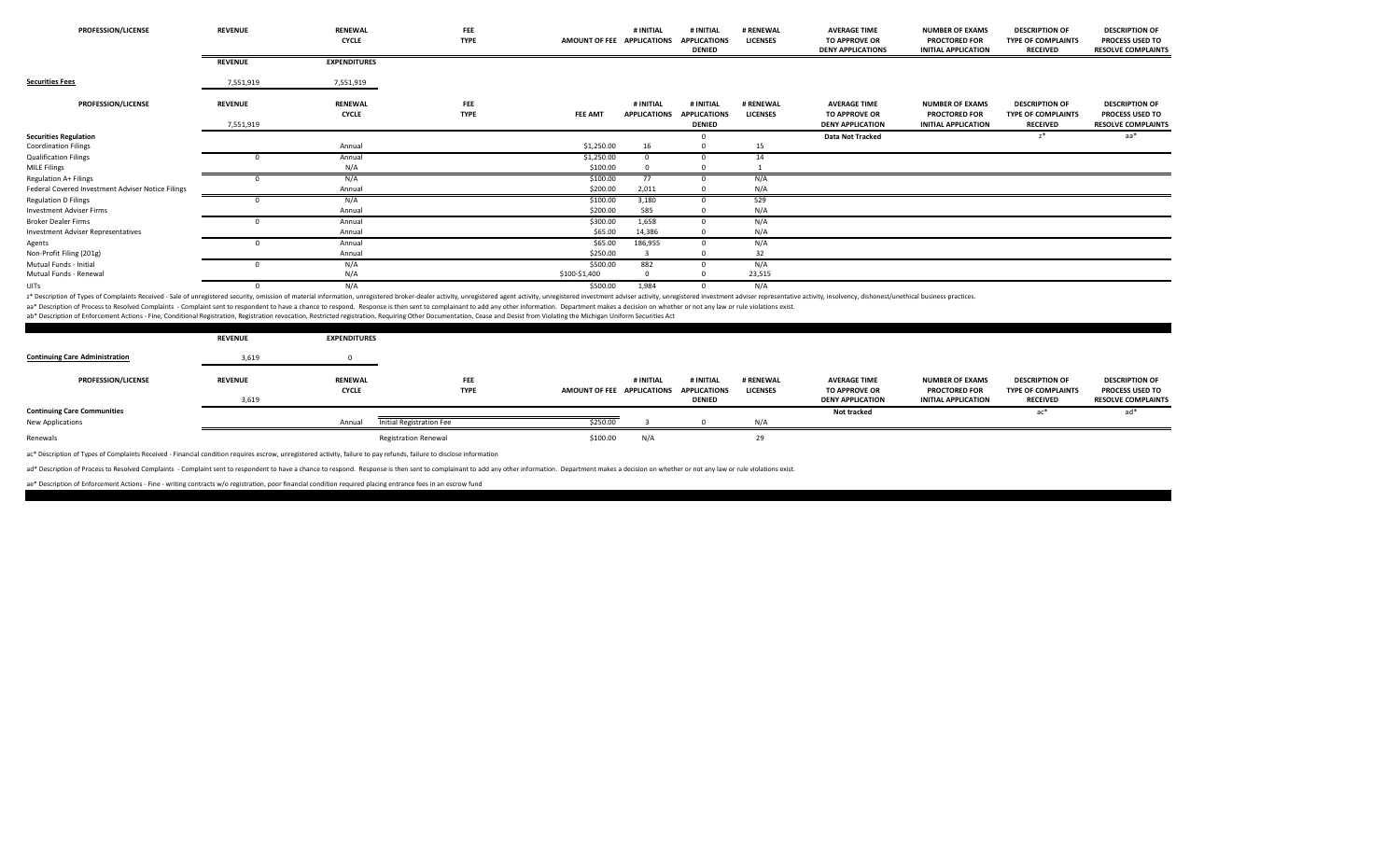| PROFESSION/LICENSE                                | <b>REVENUE</b>              | <b>RENEWAL</b><br><b>CYCLE</b> | FEE<br><b>TYPE</b> | AMOUNT OF FEE APPLICATIONS | # INITIAL                        | # INITIAL<br><b>APPLICATIONS</b><br><b>DENIED</b> | # RENEWAL<br><b>LICENSES</b> | <b>AVERAGE TIME</b><br>TO APPROVE OR<br><b>DENY APPLICATIONS</b>       | <b>NUMBER OF EXAMS</b><br><b>PROCTORED FOR</b><br><b>INITIAL APPLICATION</b> | <b>DESCRIPTION OF</b><br><b>TYPE OF COMPLAINTS</b><br><b>RECEIVED</b> | <b>DESCRIPTION OF</b><br>PROCESS USED TO<br><b>RESOLVE COMPLAINTS</b>        |
|---------------------------------------------------|-----------------------------|--------------------------------|--------------------|----------------------------|----------------------------------|---------------------------------------------------|------------------------------|------------------------------------------------------------------------|------------------------------------------------------------------------------|-----------------------------------------------------------------------|------------------------------------------------------------------------------|
|                                                   | <b>REVENUE</b>              | <b>EXPENDITURES</b>            |                    |                            |                                  |                                                   |                              |                                                                        |                                                                              |                                                                       |                                                                              |
| <b>Securities Fees</b>                            | 7,551,919                   | 7,551,919                      |                    |                            |                                  |                                                   |                              |                                                                        |                                                                              |                                                                       |                                                                              |
| <b>PROFESSION/LICENSE</b>                         | <b>REVENUE</b><br>7,551,919 | <b>RENEWAL</b><br><b>CYCLE</b> | FEE<br><b>TYPE</b> | <b>FEE AMT</b>             | # INITIAL<br><b>APPLICATIONS</b> | # INITIAL<br><b>APPLICATIONS</b><br><b>DENIED</b> | # RENEWAL<br><b>LICENSES</b> | <b>AVERAGE TIME</b><br><b>TO APPROVE OR</b><br><b>DENY APPLICATION</b> | <b>NUMBER OF EXAMS</b><br><b>PROCTORED FOR</b><br><b>INITIAL APPLICATION</b> | <b>DESCRIPTION OF</b><br><b>TYPE OF COMPLAINTS</b><br><b>RECEIVED</b> | <b>DESCRIPTION OF</b><br><b>PROCESS USED TO</b><br><b>RESOLVE COMPLAINTS</b> |
| <b>Securities Regulation</b>                      |                             |                                |                    |                            |                                  |                                                   |                              | Data Not Tracked                                                       |                                                                              | $z^*$                                                                 | aa*                                                                          |
| <b>Coordination Filings</b>                       |                             | Annual                         |                    | \$1,250.00                 | 16                               |                                                   | 15                           |                                                                        |                                                                              |                                                                       |                                                                              |
| <b>Qualification Filings</b>                      |                             | Annual                         |                    | \$1,250.00                 |                                  |                                                   | 14                           |                                                                        |                                                                              |                                                                       |                                                                              |
| <b>MILE Filings</b>                               |                             | N/A                            |                    | \$100.00                   |                                  |                                                   |                              |                                                                        |                                                                              |                                                                       |                                                                              |
| Regulation A+ Filings                             |                             | N/A                            |                    | \$100.00                   | 77                               |                                                   | N/A                          |                                                                        |                                                                              |                                                                       |                                                                              |
| Federal Covered Investment Adviser Notice Filings |                             | Annual                         |                    | \$200.00                   | 2,011                            |                                                   | N/A                          |                                                                        |                                                                              |                                                                       |                                                                              |
| <b>Regulation D Filings</b>                       |                             | N/A                            |                    | \$100.00                   | 3,180                            |                                                   | 529                          |                                                                        |                                                                              |                                                                       |                                                                              |
| <b>Investment Adviser Firms</b>                   |                             | Annual                         |                    | \$200.00                   | 585                              |                                                   | N/A                          |                                                                        |                                                                              |                                                                       |                                                                              |
| <b>Broker Dealer Firms</b>                        |                             | Annual                         |                    | \$300.00                   | 1,658                            |                                                   | N/A                          |                                                                        |                                                                              |                                                                       |                                                                              |
| <b>Investment Adviser Representatives</b>         |                             | Annual                         |                    | \$65.00                    | 14,386                           |                                                   | N/A                          |                                                                        |                                                                              |                                                                       |                                                                              |
| Agents                                            |                             | Annual                         |                    | \$65.00                    | 186,955                          |                                                   | N/A                          |                                                                        |                                                                              |                                                                       |                                                                              |
| Non-Profit Filing (201g)                          |                             | Annual                         |                    | \$250.00                   |                                  |                                                   | 32                           |                                                                        |                                                                              |                                                                       |                                                                              |
| Mutual Funds - Initial                            |                             | N/A                            |                    | \$500.00                   | 882                              |                                                   | N/A                          |                                                                        |                                                                              |                                                                       |                                                                              |
| Mutual Funds - Renewal                            |                             | N/A                            |                    | \$100-\$1,400              | $\Omega$                         |                                                   | 23,515                       |                                                                        |                                                                              |                                                                       |                                                                              |
| UITs                                              |                             | N/A                            |                    | \$500.00                   | 1.984                            |                                                   | N/A                          |                                                                        |                                                                              |                                                                       |                                                                              |

z\* Description of Types of Complaints Received - Sale of unregistered security, omission of material information, unregistered broker-dealer activity, unregistered agent activity, unregistered investment adviser activity,

aa\* Description of Process to Resolved Complaints - Complaint sent to respondent to have a chance to respond. Response is then sent to complainant to add any other information. Department makes a decision on whether or not

ab\* Description of Enforcement Actions ‐ Fine, Conditional Registration, Registration revocation, Restricted registration, Requiring Other Documentation, Cease and Desist from Violating the Michigan Uniform Securities Act

|                                       | <b>REVENUE</b> | <b>EXPENDITURES</b> |                             |                            |           |                                      |                 |                                                 |                                                    |                                       |                                                     |
|---------------------------------------|----------------|---------------------|-----------------------------|----------------------------|-----------|--------------------------------------|-----------------|-------------------------------------------------|----------------------------------------------------|---------------------------------------|-----------------------------------------------------|
| <b>Continuing Care Administration</b> | 3,619          |                     |                             |                            |           |                                      |                 |                                                 |                                                    |                                       |                                                     |
| <b>PROFESSION/LICENSE</b>             | <b>REVENUE</b> | <b>RENEWAL</b>      | <b>FEE</b>                  |                            | # INITIAL | # INITIAL                            | # RENEWAL       | <b>AVERAGE TIME</b>                             | <b>NUMBER OF EXAMS</b>                             | <b>DESCRIPTION OF</b>                 | <b>DESCRIPTION OF</b>                               |
|                                       | 3,619          | <b>CYCLE</b>        | <b>TYPE</b>                 | AMOUNT OF FEE APPLICATIONS |           | <b>APPLICATIONS</b><br><b>DENIED</b> | <b>LICENSES</b> | <b>TO APPROVE OR</b><br><b>DENY APPLICATION</b> | <b>PROCTORED FOR</b><br><b>INITIAL APPLICATION</b> | TYPE OF COMPLAINTS<br><b>RECEIVED</b> | <b>PROCESS USED TO</b><br><b>RESOLVE COMPLAINTS</b> |
| <b>Continuing Care Communities</b>    |                |                     |                             |                            |           |                                      |                 | <b>Not tracked</b>                              |                                                    | ac*                                   | $ad*$                                               |
| New Applications                      |                | Annual              | Initial Registration Fee    | \$250.00                   |           |                                      | N/A             |                                                 |                                                    |                                       |                                                     |
| Renewals                              |                |                     | <b>Registration Renewal</b> | \$100.00                   | N/A       |                                      | 29              |                                                 |                                                    |                                       |                                                     |

ac\* Description of Types of Complaints Received ‐ Financial condition requires escrow, unregistered activity, failure to pay refunds, failure to disclose information

ad\* Description of Process to Resolved Complaints - Complaint sent to respondent to have a chance to respond. Response is then sent to complainant to add any other information. Department makes a decision on whether or not

ae\* Description of Enforcement Actions ‐ Fine ‐ writing contracts w/o registration, poor financial condition required placing entrance fees in an escrow fund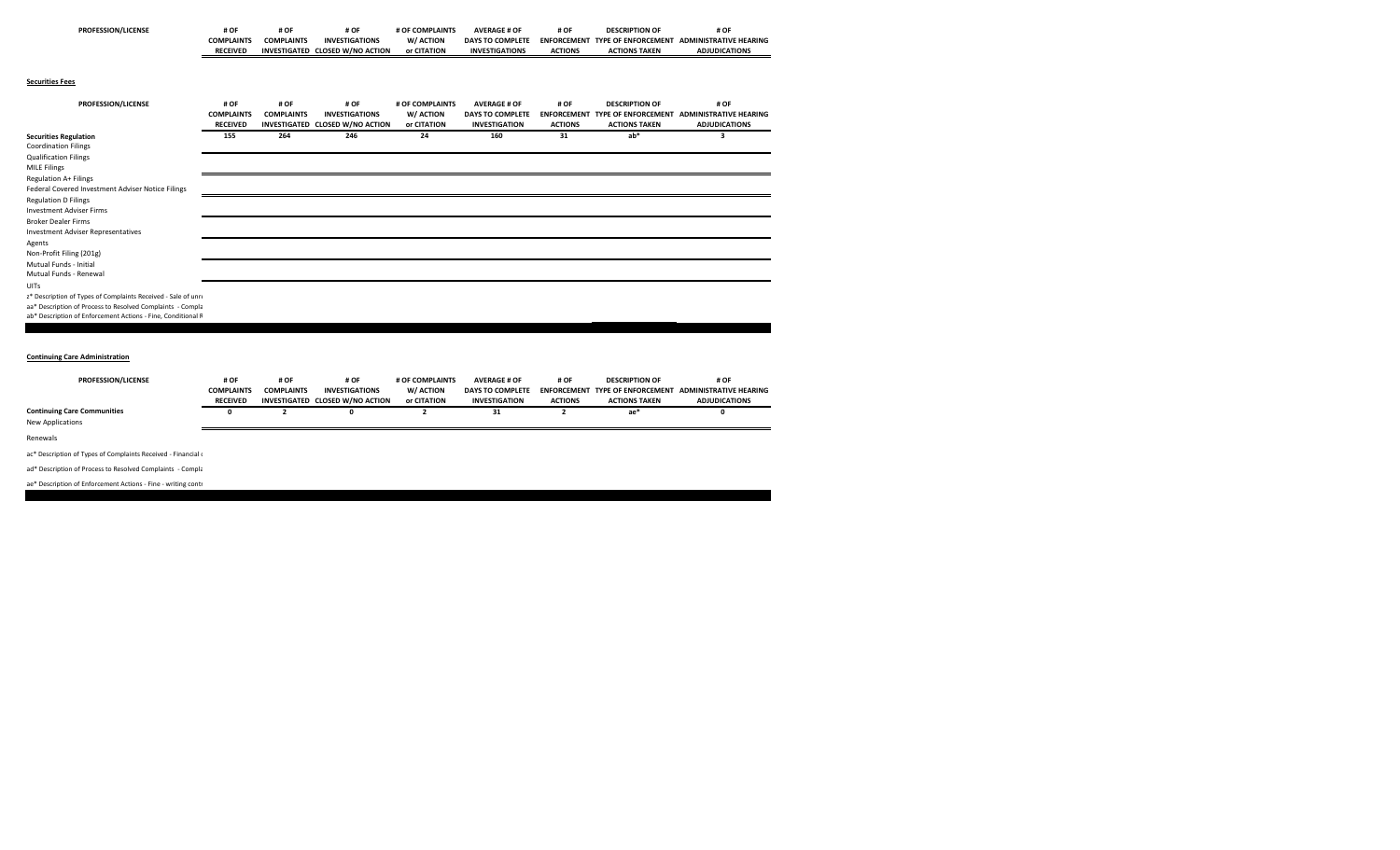| <b>PROFESSION/LICENSE</b> | # OF<br>____      | #O                  | # OF<br>___               | # OF COMPLAINTS | <b>AVERAGE # OF</b>     | # OF<br>___        | DESCRIPTION CT             | # OF<br>____                  |
|---------------------------|-------------------|---------------------|---------------------------|-----------------|-------------------------|--------------------|----------------------------|-------------------------------|
|                           | <b>COMPLAINTS</b> | <b>COMPLAINTS</b>   | <b>INVESTIGATIONS</b>     | W/ ACTION       | <b>DAYS TO COMPLETE</b> | <b>ENFORCEMENT</b> | <b>TYPE OF ENFORCEMENT</b> | <b>ADMINISTRATIVE HEARING</b> |
|                           | <b>RECEIVED</b>   | <b>INVESTIGATED</b> | <b>CLOSED W/NO ACTION</b> | or CITATION     | <b>INVESTIGATIONS</b>   | <b>ACTIONS</b>     | <b>ACTIONS TAKEN</b>       | <b>ADJUDICATIONS</b>          |

## **Securities Fees**

| PROFESSION/LICENSE                                            | # OF              | # OF              | # OF                            | # OF COMPLAINTS | <b>AVERAGE # OF</b>     | # OF           | <b>DESCRIPTION OF</b> | # OF                                                   |
|---------------------------------------------------------------|-------------------|-------------------|---------------------------------|-----------------|-------------------------|----------------|-----------------------|--------------------------------------------------------|
|                                                               | <b>COMPLAINTS</b> | <b>COMPLAINTS</b> | <b>INVESTIGATIONS</b>           | W/ ACTION       | <b>DAYS TO COMPLETE</b> |                |                       | ENFORCEMENT TYPE OF ENFORCEMENT ADMINISTRATIVE HEARING |
|                                                               | <b>RECEIVED</b>   |                   | INVESTIGATED CLOSED W/NO ACTION | or CITATION     | <b>INVESTIGATION</b>    | <b>ACTIONS</b> | <b>ACTIONS TAKEN</b>  | <b>ADJUDICATIONS</b>                                   |
| <b>Securities Regulation</b>                                  | 155               | 264               | 246                             | 24              | 160                     | 31             | $ab*$                 | з                                                      |
| <b>Coordination Filings</b>                                   |                   |                   |                                 |                 |                         |                |                       |                                                        |
| <b>Qualification Filings</b>                                  |                   |                   |                                 |                 |                         |                |                       |                                                        |
| <b>MILE Filings</b>                                           |                   |                   |                                 |                 |                         |                |                       |                                                        |
| <b>Regulation A+ Filings</b>                                  |                   |                   |                                 |                 |                         |                |                       |                                                        |
| Federal Covered Investment Adviser Notice Filings             |                   |                   |                                 |                 |                         |                |                       |                                                        |
| <b>Regulation D Filings</b>                                   |                   |                   |                                 |                 |                         |                |                       |                                                        |
| <b>Investment Adviser Firms</b>                               |                   |                   |                                 |                 |                         |                |                       |                                                        |
| <b>Broker Dealer Firms</b>                                    |                   |                   |                                 |                 |                         |                |                       |                                                        |
| Investment Adviser Representatives                            |                   |                   |                                 |                 |                         |                |                       |                                                        |
| Agents                                                        |                   |                   |                                 |                 |                         |                |                       |                                                        |
| Non-Profit Filing (201g)                                      |                   |                   |                                 |                 |                         |                |                       |                                                        |
| Mutual Funds - Initial                                        |                   |                   |                                 |                 |                         |                |                       |                                                        |
| Mutual Funds - Renewal                                        |                   |                   |                                 |                 |                         |                |                       |                                                        |
| UITs                                                          |                   |                   |                                 |                 |                         |                |                       |                                                        |
| z* Description of Types of Complaints Received - Sale of unre |                   |                   |                                 |                 |                         |                |                       |                                                        |
| aa* Description of Process to Resolved Complaints - Compla    |                   |                   |                                 |                 |                         |                |                       |                                                        |
| ab* Description of Enforcement Actions - Fine, Conditional R  |                   |                   |                                 |                 |                         |                |                       |                                                        |

## **Continuing Care Administration**

| <b>PROFESSION/LICENSE</b>          | # OF              | # OF<br># OF      |                                 | # OF COMPLAINTS | <b>AVERAGE # OF</b>     |                | <b>DESCRIPTION OF</b> | # OF                                                   |
|------------------------------------|-------------------|-------------------|---------------------------------|-----------------|-------------------------|----------------|-----------------------|--------------------------------------------------------|
|                                    | <b>COMPLAINTS</b> | <b>COMPLAINTS</b> | <b>INVESTIGATIONS</b>           | W/ ACTION       | <b>DAYS TO COMPLETE</b> |                |                       | ENFORCEMENT TYPE OF ENFORCEMENT ADMINISTRATIVE HEARING |
|                                    | <b>RECEIVED</b>   |                   | INVESTIGATED CLOSED W/NO ACTION | or CITATION     | <b>INVESTIGATION</b>    | <b>ACTIONS</b> | <b>ACTIONS TAKEN</b>  | <b>ADJUDICATIONS</b>                                   |
| <b>Continuing Care Communities</b> |                   |                   |                                 |                 | 31                      |                | ae*                   |                                                        |
| New Applications                   |                   |                   |                                 |                 |                         |                |                       |                                                        |
| Renewals                           |                   |                   |                                 |                 |                         |                |                       |                                                        |

ac\* Description of Types of Complaints Received ‐ Financial <sup>c</sup>

ad\* Description of Process to Resolved Complaints ‐ Compla

## ae\* Description of Enforcement Actions ‐ Fine ‐ writing contr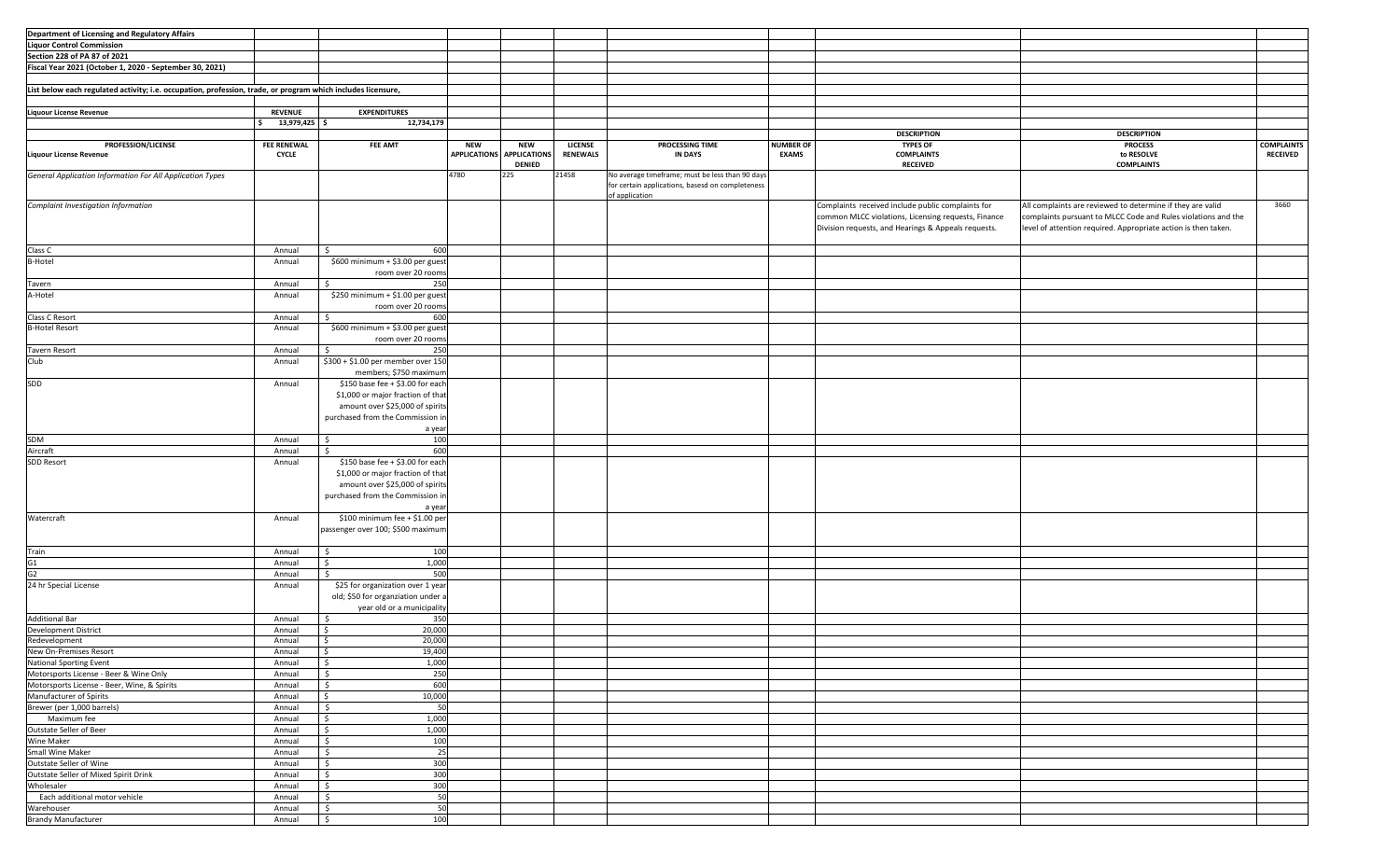| Department of Licensing and Regulatory Affairs                                                               |                    |                                    |                     |                     |                 |                                                  |                  |                                                     |                                                                |                   |
|--------------------------------------------------------------------------------------------------------------|--------------------|------------------------------------|---------------------|---------------------|-----------------|--------------------------------------------------|------------------|-----------------------------------------------------|----------------------------------------------------------------|-------------------|
|                                                                                                              |                    |                                    |                     |                     |                 |                                                  |                  |                                                     |                                                                |                   |
| <b>Liquor Control Commission</b>                                                                             |                    |                                    |                     |                     |                 |                                                  |                  |                                                     |                                                                |                   |
| Section 228 of PA 87 of 2021                                                                                 |                    |                                    |                     |                     |                 |                                                  |                  |                                                     |                                                                |                   |
| Fiscal Year 2021 (October 1, 2020 - September 30, 2021)                                                      |                    |                                    |                     |                     |                 |                                                  |                  |                                                     |                                                                |                   |
|                                                                                                              |                    |                                    |                     |                     |                 |                                                  |                  |                                                     |                                                                |                   |
|                                                                                                              |                    |                                    |                     |                     |                 |                                                  |                  |                                                     |                                                                |                   |
| List below each regulated activity; i.e. occupation, profession, trade, or program which includes licensure, |                    |                                    |                     |                     |                 |                                                  |                  |                                                     |                                                                |                   |
|                                                                                                              |                    |                                    |                     |                     |                 |                                                  |                  |                                                     |                                                                |                   |
| <b>Liquour License Revenue</b>                                                                               | <b>REVENUE</b>     | <b>EXPENDITURES</b>                |                     |                     |                 |                                                  |                  |                                                     |                                                                |                   |
|                                                                                                              | 13,979,425 \$      | 12,734,179                         |                     |                     |                 |                                                  |                  |                                                     |                                                                |                   |
|                                                                                                              |                    |                                    |                     |                     |                 |                                                  |                  | <b>DESCRIPTION</b>                                  | <b>DESCRIPTION</b>                                             |                   |
| <b>PROFESSION/LICENSE</b>                                                                                    | <b>FEE RENEWAL</b> | <b>FEE AMT</b>                     | <b>NEW</b>          | <b>NEW</b>          | LICENSE         | PROCESSING TIME                                  | <b>NUMBER OF</b> | <b>TYPES OF</b>                                     | <b>PROCESS</b>                                                 | <b>COMPLAINTS</b> |
|                                                                                                              |                    |                                    | <b>APPLICATIONS</b> | <b>APPLICATIONS</b> | <b>RENEWALS</b> |                                                  | <b>EXAMS</b>     |                                                     |                                                                |                   |
| <b>Liquour License Revenue</b>                                                                               | <b>CYCLE</b>       |                                    |                     |                     |                 | <b>IN DAYS</b>                                   |                  | <b>COMPLAINTS</b>                                   | to RESOLVE                                                     | <b>RECEIVED</b>   |
|                                                                                                              |                    |                                    |                     | <b>DENIED</b>       |                 |                                                  |                  | <b>RECEIVED</b>                                     | <b>COMPLAINTS</b>                                              |                   |
| General Application Information For All Application Types                                                    |                    |                                    | 4780                | 225                 | 21458           | No average timeframe; must be less than 90 days  |                  |                                                     |                                                                |                   |
|                                                                                                              |                    |                                    |                     |                     |                 | for certain applications, basesd on completeness |                  |                                                     |                                                                |                   |
|                                                                                                              |                    |                                    |                     |                     |                 | of application                                   |                  |                                                     |                                                                |                   |
| Complaint Investigation Information                                                                          |                    |                                    |                     |                     |                 |                                                  |                  | Complaints received include public complaints for   | All complaints are reviewed to determine if they are valid     | 3660              |
|                                                                                                              |                    |                                    |                     |                     |                 |                                                  |                  | common MLCC violations, Licensing requests, Finance | complaints pursuant to MLCC Code and Rules violations and the  |                   |
|                                                                                                              |                    |                                    |                     |                     |                 |                                                  |                  | Division requests, and Hearings & Appeals requests. | level of attention required. Appropriate action is then taken. |                   |
|                                                                                                              |                    |                                    |                     |                     |                 |                                                  |                  |                                                     |                                                                |                   |
|                                                                                                              |                    |                                    |                     |                     |                 |                                                  |                  |                                                     |                                                                |                   |
| Class C                                                                                                      | Annual             | 600<br>Ś                           |                     |                     |                 |                                                  |                  |                                                     |                                                                |                   |
| <b>B-Hotel</b>                                                                                               | Annual             | \$600 minimum + \$3.00 per guest   |                     |                     |                 |                                                  |                  |                                                     |                                                                |                   |
|                                                                                                              |                    | room over 20 rooms                 |                     |                     |                 |                                                  |                  |                                                     |                                                                |                   |
| Tavern                                                                                                       | Annual             | 250<br>\$                          |                     |                     |                 |                                                  |                  |                                                     |                                                                |                   |
| A-Hotel                                                                                                      | Annual             | \$250 minimum + \$1.00 per guest   |                     |                     |                 |                                                  |                  |                                                     |                                                                |                   |
|                                                                                                              |                    |                                    |                     |                     |                 |                                                  |                  |                                                     |                                                                |                   |
|                                                                                                              |                    | room over 20 rooms                 |                     |                     |                 |                                                  |                  |                                                     |                                                                |                   |
| Class C Resort                                                                                               | Annual             | Ś.<br>600                          |                     |                     |                 |                                                  |                  |                                                     |                                                                |                   |
| <b>B-Hotel Resort</b>                                                                                        | Annual             | \$600 minimum + \$3.00 per guest   |                     |                     |                 |                                                  |                  |                                                     |                                                                |                   |
|                                                                                                              |                    | room over 20 rooms                 |                     |                     |                 |                                                  |                  |                                                     |                                                                |                   |
| Tavern Resort                                                                                                | Annual             | 250<br>\$                          |                     |                     |                 |                                                  |                  |                                                     |                                                                |                   |
| Club                                                                                                         | Annual             | \$300 + \$1.00 per member over 150 |                     |                     |                 |                                                  |                  |                                                     |                                                                |                   |
|                                                                                                              |                    |                                    |                     |                     |                 |                                                  |                  |                                                     |                                                                |                   |
|                                                                                                              |                    | members; \$750 maximum             |                     |                     |                 |                                                  |                  |                                                     |                                                                |                   |
| SDD                                                                                                          | Annual             | \$150 base fee + \$3.00 for each   |                     |                     |                 |                                                  |                  |                                                     |                                                                |                   |
|                                                                                                              |                    | \$1,000 or major fraction of that  |                     |                     |                 |                                                  |                  |                                                     |                                                                |                   |
|                                                                                                              |                    | amount over \$25,000 of spirits    |                     |                     |                 |                                                  |                  |                                                     |                                                                |                   |
|                                                                                                              |                    | purchased from the Commission in   |                     |                     |                 |                                                  |                  |                                                     |                                                                |                   |
|                                                                                                              |                    |                                    |                     |                     |                 |                                                  |                  |                                                     |                                                                |                   |
|                                                                                                              |                    | a year                             |                     |                     |                 |                                                  |                  |                                                     |                                                                |                   |
| SDM                                                                                                          | Annual             | \$<br>100                          |                     |                     |                 |                                                  |                  |                                                     |                                                                |                   |
| Aircraft                                                                                                     | Annual             | 600<br>S.                          |                     |                     |                 |                                                  |                  |                                                     |                                                                |                   |
| SDD Resort                                                                                                   | Annual             | \$150 base fee + \$3.00 for each   |                     |                     |                 |                                                  |                  |                                                     |                                                                |                   |
|                                                                                                              |                    | \$1,000 or major fraction of that  |                     |                     |                 |                                                  |                  |                                                     |                                                                |                   |
|                                                                                                              |                    | amount over \$25,000 of spirits    |                     |                     |                 |                                                  |                  |                                                     |                                                                |                   |
|                                                                                                              |                    |                                    |                     |                     |                 |                                                  |                  |                                                     |                                                                |                   |
|                                                                                                              |                    | purchased from the Commission in   |                     |                     |                 |                                                  |                  |                                                     |                                                                |                   |
|                                                                                                              |                    | a year                             |                     |                     |                 |                                                  |                  |                                                     |                                                                |                   |
| Watercraft                                                                                                   | Annual             | \$100 minimum fee + \$1.00 per     |                     |                     |                 |                                                  |                  |                                                     |                                                                |                   |
|                                                                                                              |                    | passenger over 100; \$500 maximum  |                     |                     |                 |                                                  |                  |                                                     |                                                                |                   |
|                                                                                                              |                    |                                    |                     |                     |                 |                                                  |                  |                                                     |                                                                |                   |
|                                                                                                              |                    |                                    |                     |                     |                 |                                                  |                  |                                                     |                                                                |                   |
| Train                                                                                                        | Annual             | 100<br>$\ddot{\mathsf{S}}$         |                     |                     |                 |                                                  |                  |                                                     |                                                                |                   |
| G1                                                                                                           | Annual             | 1,000<br>\$                        |                     |                     |                 |                                                  |                  |                                                     |                                                                |                   |
| G2                                                                                                           | Annual             | 500<br>Ŝ.                          |                     |                     |                 |                                                  |                  |                                                     |                                                                |                   |
| 24 hr Special License                                                                                        | Annual             | \$25 for organization over 1 year  |                     |                     |                 |                                                  |                  |                                                     |                                                                |                   |
|                                                                                                              |                    | old; \$50 for organziation under a |                     |                     |                 |                                                  |                  |                                                     |                                                                |                   |
|                                                                                                              |                    |                                    |                     |                     |                 |                                                  |                  |                                                     |                                                                |                   |
|                                                                                                              |                    | year old or a municipality         |                     |                     |                 |                                                  |                  |                                                     |                                                                |                   |
| <b>Additional Bar</b>                                                                                        | Annual             | 350<br>.s                          |                     |                     |                 |                                                  |                  |                                                     |                                                                |                   |
| Development District                                                                                         | Annual             | 20,000<br>$\mathsf{S}$             |                     |                     |                 |                                                  |                  |                                                     |                                                                |                   |
| Redevelopment                                                                                                | Annual             | 20,000<br>$\ddot{\mathsf{s}}$      |                     |                     |                 |                                                  |                  |                                                     |                                                                |                   |
| New On-Premises Resort                                                                                       | Annual             | l\$<br>19,400                      |                     |                     |                 |                                                  |                  |                                                     |                                                                |                   |
| National Sporting Event                                                                                      | Annual             | $\ddot{s}$<br>1,000                |                     |                     |                 |                                                  |                  |                                                     |                                                                |                   |
|                                                                                                              |                    |                                    |                     |                     |                 |                                                  |                  |                                                     |                                                                |                   |
| Motorsports License - Beer & Wine Only                                                                       | Annual             | 250<br>\$                          |                     |                     |                 |                                                  |                  |                                                     |                                                                |                   |
| Motorsports License - Beer, Wine, & Spirits                                                                  | Annual             | 600<br>\$                          |                     |                     |                 |                                                  |                  |                                                     |                                                                |                   |
| Manufacturer of Spirits                                                                                      | Annual             | 10,000<br>$\mathsf{S}$             |                     |                     |                 |                                                  |                  |                                                     |                                                                |                   |
| Brewer (per 1,000 barrels)                                                                                   | Annual             | $\mathsf{S}$<br>50                 |                     |                     |                 |                                                  |                  |                                                     |                                                                |                   |
| Maximum fee                                                                                                  | Annual             | 1,000<br>$\ddot{\mathsf{s}}$       |                     |                     |                 |                                                  |                  |                                                     |                                                                |                   |
| Outstate Seller of Beer                                                                                      | Annual             | 1,000<br>$\ddot{\mathsf{s}}$       |                     |                     |                 |                                                  |                  |                                                     |                                                                |                   |
|                                                                                                              |                    |                                    |                     |                     |                 |                                                  |                  |                                                     |                                                                |                   |
| Wine Maker                                                                                                   | Annual             | \$<br>100                          |                     |                     |                 |                                                  |                  |                                                     |                                                                |                   |
| Small Wine Maker                                                                                             | Annual             | 25<br>S.                           |                     |                     |                 |                                                  |                  |                                                     |                                                                |                   |
| Outstate Seller of Wine                                                                                      | Annual             | 300<br>\$                          |                     |                     |                 |                                                  |                  |                                                     |                                                                |                   |
| Outstate Seller of Mixed Spirit Drink                                                                        | Annual             | 300<br>$\ddot{\mathsf{S}}$         |                     |                     |                 |                                                  |                  |                                                     |                                                                |                   |
| Wholesaler                                                                                                   | Annual             | 300<br>$\frac{1}{2}$               |                     |                     |                 |                                                  |                  |                                                     |                                                                |                   |
| Each additional motor vehicle                                                                                |                    | 50<br>$\frac{1}{2}$                |                     |                     |                 |                                                  |                  |                                                     |                                                                |                   |
|                                                                                                              | Annual             |                                    |                     |                     |                 |                                                  |                  |                                                     |                                                                |                   |
| Warehouser                                                                                                   | Annual             | 50<br>$\frac{1}{2}$                |                     |                     |                 |                                                  |                  |                                                     |                                                                |                   |
| <b>Brandy Manufacturer</b>                                                                                   | Annual             | 100<br>$\ddot{\mathsf{S}}$         |                     |                     |                 |                                                  |                  |                                                     |                                                                |                   |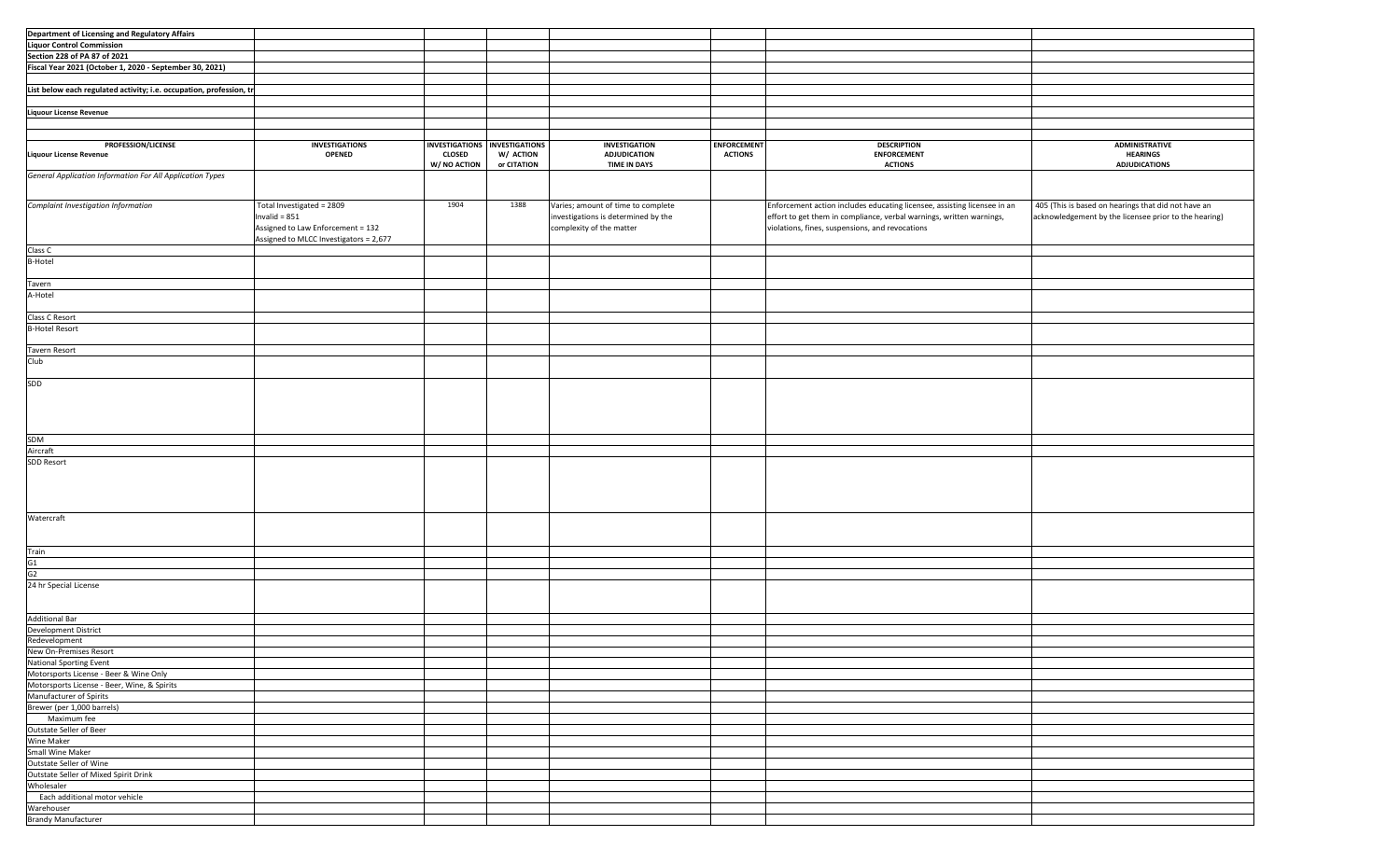| Department of Licensing and Regulatory Affairs                      |                                        |                               |             |                                     |                    |                                                                          |                                                       |
|---------------------------------------------------------------------|----------------------------------------|-------------------------------|-------------|-------------------------------------|--------------------|--------------------------------------------------------------------------|-------------------------------------------------------|
|                                                                     |                                        |                               |             |                                     |                    |                                                                          |                                                       |
| <b>Liquor Control Commission</b>                                    |                                        |                               |             |                                     |                    |                                                                          |                                                       |
| Section 228 of PA 87 of 2021                                        |                                        |                               |             |                                     |                    |                                                                          |                                                       |
| Fiscal Year 2021 (October 1, 2020 - September 30, 2021)             |                                        |                               |             |                                     |                    |                                                                          |                                                       |
|                                                                     |                                        |                               |             |                                     |                    |                                                                          |                                                       |
| List below each regulated activity; i.e. occupation, profession, tr |                                        |                               |             |                                     |                    |                                                                          |                                                       |
|                                                                     |                                        |                               |             |                                     |                    |                                                                          |                                                       |
|                                                                     |                                        |                               |             |                                     |                    |                                                                          |                                                       |
| <b>Liquour License Revenue</b>                                      |                                        |                               |             |                                     |                    |                                                                          |                                                       |
|                                                                     |                                        |                               |             |                                     |                    |                                                                          |                                                       |
|                                                                     |                                        |                               |             |                                     |                    |                                                                          |                                                       |
| PROFESSION/LICENSE                                                  | <b>INVESTIGATIONS</b>                  | INVESTIGATIONS INVESTIGATIONS |             | <b>INVESTIGATION</b>                | <b>ENFORCEMENT</b> | <b>DESCRIPTION</b>                                                       | <b>ADMINISTRATIVE</b>                                 |
| <b>Liquour License Revenue</b>                                      | <b>OPENED</b>                          | <b>CLOSED</b>                 | W/ ACTION   | <b>ADJUDICATION</b>                 | <b>ACTIONS</b>     | <b>ENFORCEMENT</b>                                                       | <b>HEARINGS</b>                                       |
|                                                                     |                                        | W/ NO ACTION                  | or CITATION | <b>TIME IN DAYS</b>                 |                    | <b>ACTIONS</b>                                                           | <b>ADJUDICATIONS</b>                                  |
| General Application Information For All Application Types           |                                        |                               |             |                                     |                    |                                                                          |                                                       |
|                                                                     |                                        |                               |             |                                     |                    |                                                                          |                                                       |
|                                                                     |                                        |                               |             |                                     |                    |                                                                          |                                                       |
|                                                                     |                                        |                               |             |                                     |                    |                                                                          |                                                       |
| Complaint Investigation Information                                 | Total Investigated = 2809              | 1904                          | 1388        | Varies; amount of time to complete  |                    | Enforcement action includes educating licensee, assisting licensee in an | 405 (This is based on hearings that did not have an   |
|                                                                     | Invalid = $851$                        |                               |             | investigations is determined by the |                    | effort to get them in compliance, verbal warnings, written warnings,     | acknowledgement by the licensee prior to the hearing) |
|                                                                     | Assigned to Law Enforcement = 132      |                               |             | complexity of the matter            |                    | violations, fines, suspensions, and revocations                          |                                                       |
|                                                                     | Assigned to MLCC Investigators = 2,677 |                               |             |                                     |                    |                                                                          |                                                       |
| Class C                                                             |                                        |                               |             |                                     |                    |                                                                          |                                                       |
|                                                                     |                                        |                               |             |                                     |                    |                                                                          |                                                       |
| <b>B-Hotel</b>                                                      |                                        |                               |             |                                     |                    |                                                                          |                                                       |
|                                                                     |                                        |                               |             |                                     |                    |                                                                          |                                                       |
| Tavern                                                              |                                        |                               |             |                                     |                    |                                                                          |                                                       |
| A-Hotel                                                             |                                        |                               |             |                                     |                    |                                                                          |                                                       |
|                                                                     |                                        |                               |             |                                     |                    |                                                                          |                                                       |
|                                                                     |                                        |                               |             |                                     |                    |                                                                          |                                                       |
| Class C Resort                                                      |                                        |                               |             |                                     |                    |                                                                          |                                                       |
| <b>B-Hotel Resort</b>                                               |                                        |                               |             |                                     |                    |                                                                          |                                                       |
|                                                                     |                                        |                               |             |                                     |                    |                                                                          |                                                       |
| Tavern Resort                                                       |                                        |                               |             |                                     |                    |                                                                          |                                                       |
| Club                                                                |                                        |                               |             |                                     |                    |                                                                          |                                                       |
|                                                                     |                                        |                               |             |                                     |                    |                                                                          |                                                       |
|                                                                     |                                        |                               |             |                                     |                    |                                                                          |                                                       |
| SDD                                                                 |                                        |                               |             |                                     |                    |                                                                          |                                                       |
|                                                                     |                                        |                               |             |                                     |                    |                                                                          |                                                       |
|                                                                     |                                        |                               |             |                                     |                    |                                                                          |                                                       |
|                                                                     |                                        |                               |             |                                     |                    |                                                                          |                                                       |
|                                                                     |                                        |                               |             |                                     |                    |                                                                          |                                                       |
|                                                                     |                                        |                               |             |                                     |                    |                                                                          |                                                       |
| SDM                                                                 |                                        |                               |             |                                     |                    |                                                                          |                                                       |
| Aircraft                                                            |                                        |                               |             |                                     |                    |                                                                          |                                                       |
| SDD Resort                                                          |                                        |                               |             |                                     |                    |                                                                          |                                                       |
|                                                                     |                                        |                               |             |                                     |                    |                                                                          |                                                       |
|                                                                     |                                        |                               |             |                                     |                    |                                                                          |                                                       |
|                                                                     |                                        |                               |             |                                     |                    |                                                                          |                                                       |
|                                                                     |                                        |                               |             |                                     |                    |                                                                          |                                                       |
|                                                                     |                                        |                               |             |                                     |                    |                                                                          |                                                       |
|                                                                     |                                        |                               |             |                                     |                    |                                                                          |                                                       |
| Watercraft                                                          |                                        |                               |             |                                     |                    |                                                                          |                                                       |
|                                                                     |                                        |                               |             |                                     |                    |                                                                          |                                                       |
|                                                                     |                                        |                               |             |                                     |                    |                                                                          |                                                       |
| Train                                                               |                                        |                               |             |                                     |                    |                                                                          |                                                       |
| G1                                                                  |                                        |                               |             |                                     |                    |                                                                          |                                                       |
| G2                                                                  |                                        |                               |             |                                     |                    |                                                                          |                                                       |
|                                                                     |                                        |                               |             |                                     |                    |                                                                          |                                                       |
| 24 hr Special License                                               |                                        |                               |             |                                     |                    |                                                                          |                                                       |
|                                                                     |                                        |                               |             |                                     |                    |                                                                          |                                                       |
|                                                                     |                                        |                               |             |                                     |                    |                                                                          |                                                       |
| <b>Additional Bar</b>                                               |                                        |                               |             |                                     |                    |                                                                          |                                                       |
| Development District                                                |                                        |                               |             |                                     |                    |                                                                          |                                                       |
|                                                                     |                                        |                               |             |                                     |                    |                                                                          |                                                       |
| Redevelopment                                                       |                                        |                               |             |                                     |                    |                                                                          |                                                       |
| New On-Premises Resort                                              |                                        |                               |             |                                     |                    |                                                                          |                                                       |
| National Sporting Event                                             |                                        |                               |             |                                     |                    |                                                                          |                                                       |
| Motorsports License - Beer & Wine Only                              |                                        |                               |             |                                     |                    |                                                                          |                                                       |
| Motorsports License - Beer, Wine, & Spirits                         |                                        |                               |             |                                     |                    |                                                                          |                                                       |
|                                                                     |                                        |                               |             |                                     |                    |                                                                          |                                                       |
| Manufacturer of Spirits                                             |                                        |                               |             |                                     |                    |                                                                          |                                                       |
| Brewer (per 1,000 barrels)                                          |                                        |                               |             |                                     |                    |                                                                          |                                                       |
| Maximum fee                                                         |                                        |                               |             |                                     |                    |                                                                          |                                                       |
| Outstate Seller of Beer                                             |                                        |                               |             |                                     |                    |                                                                          |                                                       |
| Wine Maker                                                          |                                        |                               |             |                                     |                    |                                                                          |                                                       |
|                                                                     |                                        |                               |             |                                     |                    |                                                                          |                                                       |
| Small Wine Maker                                                    |                                        |                               |             |                                     |                    |                                                                          |                                                       |
| Outstate Seller of Wine                                             |                                        |                               |             |                                     |                    |                                                                          |                                                       |
| Outstate Seller of Mixed Spirit Drink                               |                                        |                               |             |                                     |                    |                                                                          |                                                       |
| Wholesaler                                                          |                                        |                               |             |                                     |                    |                                                                          |                                                       |
| Each additional motor vehicle                                       |                                        |                               |             |                                     |                    |                                                                          |                                                       |
|                                                                     |                                        |                               |             |                                     |                    |                                                                          |                                                       |
| Warehouser                                                          |                                        |                               |             |                                     |                    |                                                                          |                                                       |
| <b>Brandy Manufacturer</b>                                          |                                        |                               |             |                                     |                    |                                                                          |                                                       |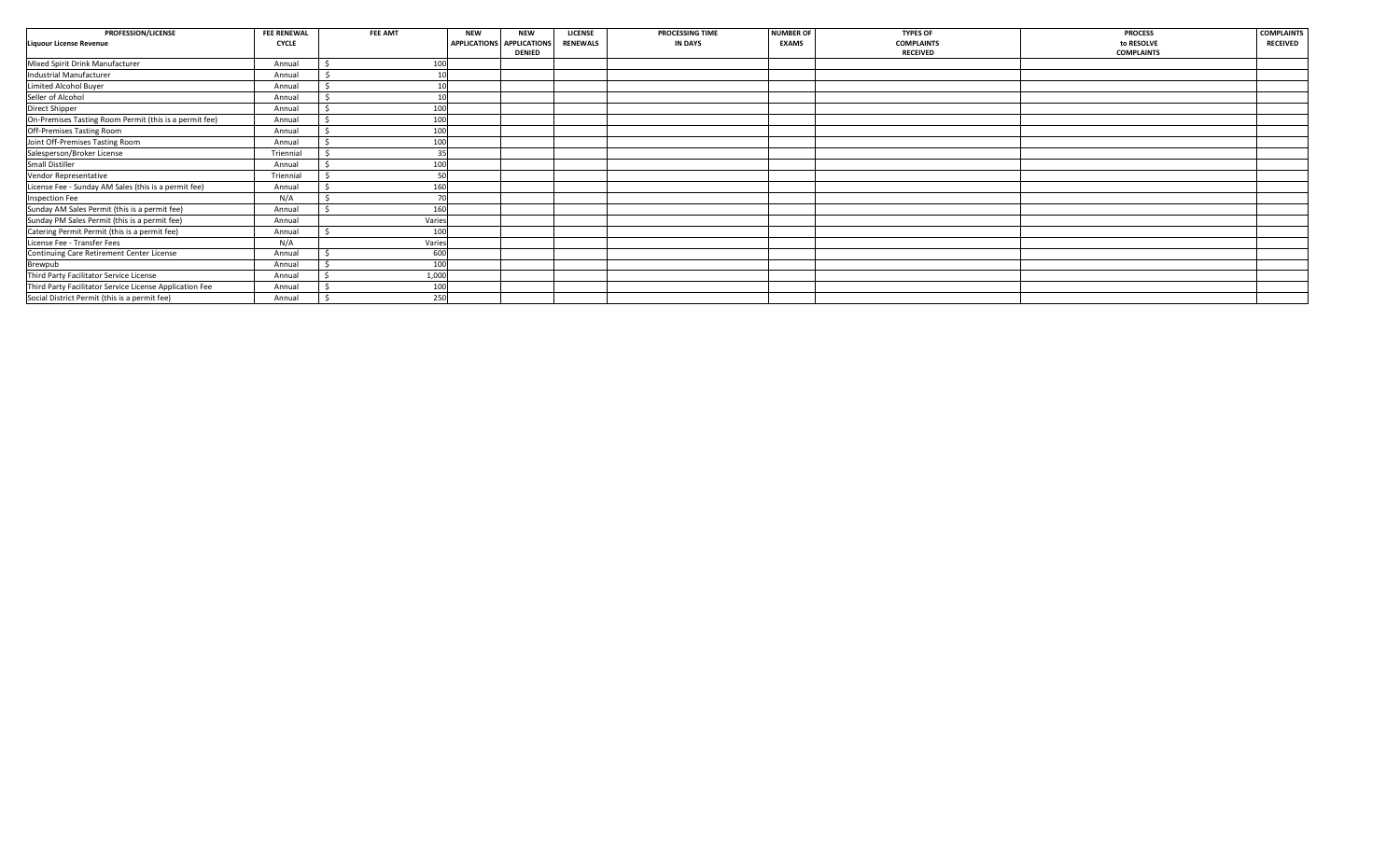| PROFESSION/LICENSE                                      | <b>FEE RENEWAL</b> | FEE AMT | <b>NEW</b> | <b>NEW</b>                | <b>LICENSE</b>  | PROCESSING TIME | <b>NUMBER OF</b> | <b>TYPES OF</b>   | <b>PROCESS</b>    | <b>COMPLAINTS</b> |
|---------------------------------------------------------|--------------------|---------|------------|---------------------------|-----------------|-----------------|------------------|-------------------|-------------------|-------------------|
| <b>Liquour License Revenue</b>                          | <b>CYCLE</b>       |         |            | APPLICATIONS APPLICATIONS | <b>RENEWALS</b> | <b>IN DAYS</b>  | <b>EXAMS</b>     | <b>COMPLAINTS</b> | to RESOLVE        | <b>RECEIVED</b>   |
|                                                         |                    |         |            | <b>DENIED</b>             |                 |                 |                  | <b>RECEIVED</b>   | <b>COMPLAINTS</b> |                   |
| Mixed Spirit Drink Manufacturer                         | Annual             | 100     |            |                           |                 |                 |                  |                   |                   |                   |
| Industrial Manufacturer                                 | Annual             |         |            |                           |                 |                 |                  |                   |                   |                   |
| Limited Alcohol Buyer                                   | Annual             |         |            |                           |                 |                 |                  |                   |                   |                   |
| Seller of Alcohol                                       | Annual             |         |            |                           |                 |                 |                  |                   |                   |                   |
| Direct Shipper                                          | Annual             | 100     |            |                           |                 |                 |                  |                   |                   |                   |
| On-Premises Tasting Room Permit (this is a permit fee)  | Annual             | 100     |            |                           |                 |                 |                  |                   |                   |                   |
| Off-Premises Tasting Room                               | Annual             | 100     |            |                           |                 |                 |                  |                   |                   |                   |
| Joint Off-Premises Tasting Room                         | Annual             | 100     |            |                           |                 |                 |                  |                   |                   |                   |
| Salesperson/Broker License                              | Triennial          | 35      |            |                           |                 |                 |                  |                   |                   |                   |
| Small Distiller                                         | Annual             | 100     |            |                           |                 |                 |                  |                   |                   |                   |
| Vendor Representative                                   | Triennial          | 50      |            |                           |                 |                 |                  |                   |                   |                   |
| License Fee - Sunday AM Sales (this is a permit fee)    | Annual             | 160     |            |                           |                 |                 |                  |                   |                   |                   |
| <b>Inspection Fee</b>                                   | N/A                |         |            |                           |                 |                 |                  |                   |                   |                   |
| Sunday AM Sales Permit (this is a permit fee)           | Annual             | 160     |            |                           |                 |                 |                  |                   |                   |                   |
| Sunday PM Sales Permit (this is a permit fee)           | Annual             | Varies  |            |                           |                 |                 |                  |                   |                   |                   |
| Catering Permit Permit (this is a permit fee)           | Annual             | 100     |            |                           |                 |                 |                  |                   |                   |                   |
| License Fee - Transfer Fees                             | N/A                | Varies  |            |                           |                 |                 |                  |                   |                   |                   |
| Continuing Care Retirement Center License               | Annual             | 600     |            |                           |                 |                 |                  |                   |                   |                   |
| Brewpub                                                 | Annual             | 100     |            |                           |                 |                 |                  |                   |                   |                   |
| Third Party Facilitator Service License                 | Annual             | 1,000   |            |                           |                 |                 |                  |                   |                   |                   |
| Third Party Facilitator Service License Application Fee | Annual             | 100     |            |                           |                 |                 |                  |                   |                   |                   |
| Social District Permit (this is a permit fee)           | Annual             | 250     |            |                           |                 |                 |                  |                   |                   |                   |